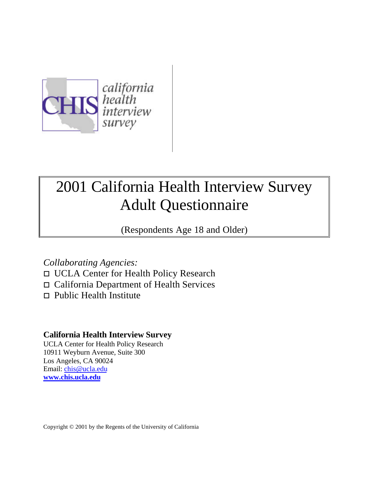

# 2001 California Health Interview Survey Adult Questionnaire

(Respondents Age 18 and Older)

# *Collaborating Agencies:*

- o UCLA Center for Health Policy Research
- $\Box$  California Department of Health Services
- $\Box$  Public Health Institute

# **California Health Interview Survey**

UCLA Center for Health Policy Research 10911 Weyburn Avenue, Suite 300 Los Angeles, CA 90024 Email: chis@ucla.edu **www.chis.ucla.edu**

Copyright © 2001 by the Regents of the University of California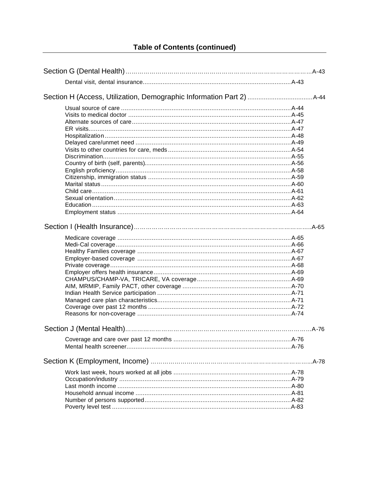# **Table of Contents (continued)**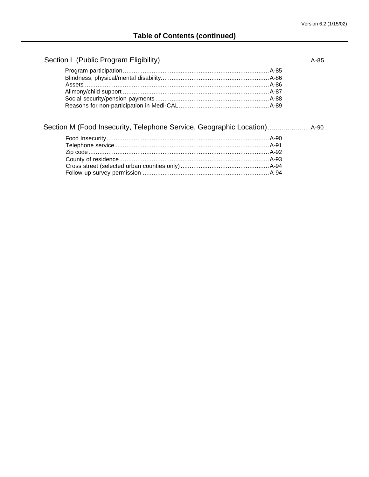Section M (Food Insecurity, Telephone Service, Geographic Location)………………….A-90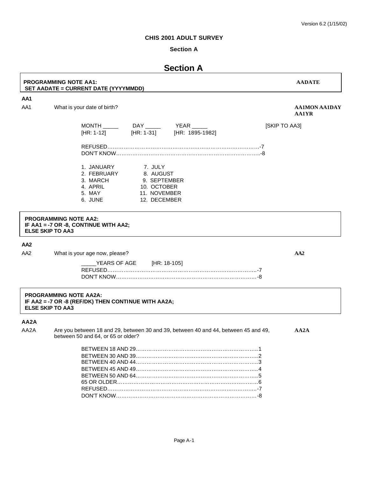# **Section A**

# **Section A**

# **PROGRAMMING NOTE AA1: AADATE SET AADATE = CURRENT DATE (YYYYMMDD)**

# **AA1**

AA1 What is your date of birth? **AA1MON AA1DAY AA1MON AA1DAY** 

**AA1YR**

| MONTH      | DAY               | YFAR            | <b>ISKIP TO AA31</b> |
|------------|-------------------|-----------------|----------------------|
| [HR: 1-12] | <b>IHR: 1-311</b> | [HR: 1895-1982] |                      |
| REFUSED    |                   |                 |                      |

DON'T KNOW……………………………………………………………………..-8

| 1. JANUARY  | 7. JULY      |
|-------------|--------------|
| 2. FEBRUARY | 8. AUGUST    |
| 3. MARCH    | 9. SEPTEMBER |
| 4. APRIL    | 10. OCTOBER  |
| 5. MAY      | 11. NOVEMBER |
| 6. JUNE-    | 12. DECEMBER |
|             |              |

#### **PROGRAMMING NOTE AA2: IF AA1 = -7 OR -8, CONTINUE WITH AA2; ELSE SKIP TO AA3**

# **AA2**

AA2 What is your age now, please? **AA2** What is your age now, please?

| ______YEARS OF AGE [HR: 18-105] |  |
|---------------------------------|--|
|                                 |  |
|                                 |  |

#### **PROGRAMMING NOTE AA2A: IF AA2 = -7 OR -8 (REF/DK) THEN CONTINUE WITH AA2A; ELSE SKIP TO AA3**

# **AA2A**

AA2A Are you between 18 and 29, between 30 and 39, between 40 and 44, between 45 and 49, **AA2A** between 50 and 64, or 65 or older? BETWEEN 19 AND 20.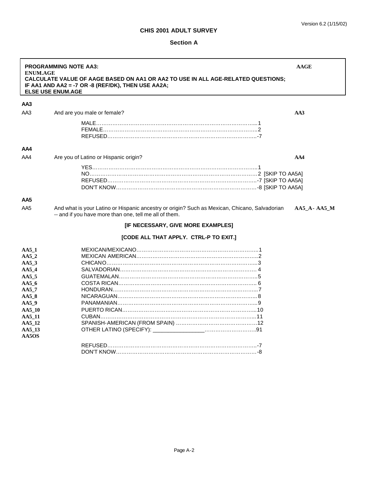# **Section A**

| <b>ENUM.AGE</b>                                                                                                                            | <b>PROGRAMMING NOTE AA3:</b><br>CALCULATE VALUE OF AAGE BASED ON AA1 OR AA2 TO USE IN ALL AGE-RELATED QUESTIONS;<br>IF AA1 AND AA2 = -7 OR -8 (REF/DK), THEN USE AA2A;<br><b>ELSE USE ENUM.AGE</b> | <b>AAGE</b>       |
|--------------------------------------------------------------------------------------------------------------------------------------------|----------------------------------------------------------------------------------------------------------------------------------------------------------------------------------------------------|-------------------|
| AA3                                                                                                                                        |                                                                                                                                                                                                    |                   |
| AA3                                                                                                                                        | And are you male or female?                                                                                                                                                                        | AA3               |
|                                                                                                                                            |                                                                                                                                                                                                    |                   |
| AA4                                                                                                                                        |                                                                                                                                                                                                    |                   |
| AA4                                                                                                                                        | Are you of Latino or Hispanic origin?                                                                                                                                                              | AA4               |
|                                                                                                                                            |                                                                                                                                                                                                    |                   |
| AA5                                                                                                                                        |                                                                                                                                                                                                    |                   |
| AA5                                                                                                                                        | And what is your Latino or Hispanic ancestry or origin? Such as Mexican, Chicano, Salvadorian<br>-- and if you have more than one, tell me all of them.<br>[IF NECESSARY, GIVE MORE EXAMPLES]      | $AA5$ $A-AA5$ $M$ |
|                                                                                                                                            | [CODE ALL THAT APPLY. CTRL-P TO EXIT.]                                                                                                                                                             |                   |
| AA51<br>AA52<br>$AA5_3$<br>AA54<br>AA5 <sub>5</sub><br>AA56<br>$AA5_7$<br>$AA5_8$<br>AA59<br>AA5_10<br>AA5_11<br>AA5_12<br>AA5_13<br>AA5OS |                                                                                                                                                                                                    |                   |
|                                                                                                                                            |                                                                                                                                                                                                    |                   |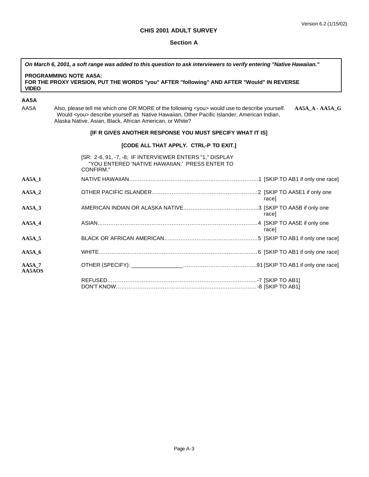#### **Section A**

*On March 6, 2001, a soft range was added to this question to ask interviewers to verify entering "Native Hawaiian."*

#### **PROGRAMMING NOTE AA5A: FOR THE PROXY VERSION, PUT THE WORDS "you" AFTER "following" AND AFTER "Would" IN REVERSE VIDEO**

# **AA5A**

AA5A Also, please tell me which one OR MORE of the following <you> would use to describe yourself. **AA5A\_A - AA5A\_G** Would <you> describe yourself as Native Hawaiian, Other Pacific Islander, American Indian, Alaska Native, Asian, Black, African American, or White?

# **[IF R GIVES ANOTHER RESPONSE YOU MUST SPECIFY WHAT IT IS]**

# **[CODE ALL THAT APPLY. CTRL-P TO EXIT.]**

|                         | [SR: 2-6, 91, -7, -8; IF INTERVIEWER ENTERS "1," DISPLAY<br>"YOU ENTERED 'NATIVE HAWAIIAN.' PRESS ENTER TO<br>CONFIRM." |       |
|-------------------------|-------------------------------------------------------------------------------------------------------------------------|-------|
| $AA5A$ 1                |                                                                                                                         |       |
| $AA5A$ 2                |                                                                                                                         | racel |
| $AA5A$ 3                |                                                                                                                         | racel |
| $AA5A$ 4                |                                                                                                                         | racel |
| $AA5A$ 5                |                                                                                                                         |       |
| $AA5A$ 6                |                                                                                                                         |       |
| <b>AA5A 7</b><br>AA5AOS |                                                                                                                         |       |
|                         |                                                                                                                         |       |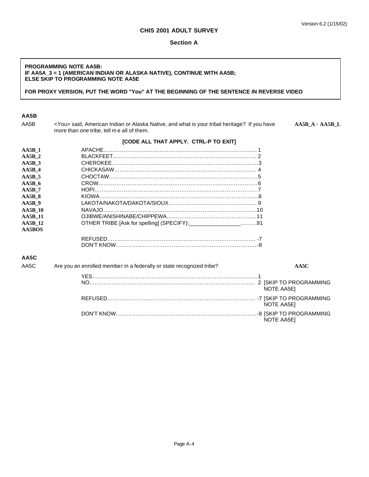# **Section A**

#### **PROGRAMMING NOTE AA5B: IF AA5A\_3 = 1 (AMERICAN INDIAN OR ALASKA NATIVE), CONTINUE WITH AA5B; ELSE SKIP TO PROGRAMMING NOTE AA5E**

## **FOR PROXY VERSION, PUT THE WORD "You" AT THE BEGINNING OF THE SENTENCE IN REVERSE VIDEO**

# **AA5B**

AA5B <You> said, American Indian or Alaska Native, and what is your tribal heritage? If you have **AA5B\_A - AA5B\_L** more than one tribe, tell m e all of them.

| A <sub>A5B</sub> 1  |                                                                              |
|---------------------|------------------------------------------------------------------------------|
| $AA5B$ 2            |                                                                              |
| $AA5B$ <sub>3</sub> |                                                                              |
| $AA5B$ 4            |                                                                              |
| $AA5B$ 5            |                                                                              |
| $AA5B$ 6            |                                                                              |
| $AA5B$ 7            |                                                                              |
| $AA5B$ 8            |                                                                              |
| $AA5B$ 9            |                                                                              |
| <b>AA5B 10</b>      |                                                                              |
| <b>AA5B 11</b>      |                                                                              |
| <b>AA5B 12</b>      | OTHER TRIBE [Ask for spelling] (SPECIFY):___________________91               |
| AA5BOS              |                                                                              |
|                     |                                                                              |
|                     |                                                                              |
| AA5C                |                                                                              |
| AA5C                | Are you an enrolled member in a federally or state recognized tribe?<br>AA5C |
|                     |                                                                              |
|                     | NOTE AA5E]                                                                   |
|                     | NOTE AA5E]                                                                   |
|                     | <b>NOTE AA5EI</b>                                                            |

# **[CODE ALL THAT APPLY. CTRL-P TO EXIT]**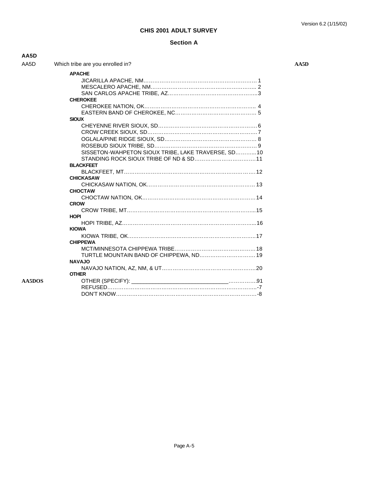# **Section A**

| AA5D   |                                                    |      |
|--------|----------------------------------------------------|------|
| AA5D   | Which tribe are you enrolled in?                   | AA5D |
|        | <b>APACHE</b>                                      |      |
|        |                                                    |      |
|        |                                                    |      |
|        |                                                    |      |
|        | <b>CHEROKEE</b>                                    |      |
|        |                                                    |      |
|        |                                                    |      |
|        | <b>SIOUX</b>                                       |      |
|        |                                                    |      |
|        |                                                    |      |
|        |                                                    |      |
|        |                                                    |      |
|        | SISSETON-WAHPETON SIOUX TRIBE, LAKE TRAVERSE, SD10 |      |
|        |                                                    |      |
|        | <b>BLACKFEET</b>                                   |      |
|        |                                                    |      |
|        | <b>CHICKASAW</b>                                   |      |
|        |                                                    |      |
|        | <b>CHOCTAW</b>                                     |      |
|        | <b>CROW</b>                                        |      |
|        |                                                    |      |
|        | <b>HOPI</b>                                        |      |
|        |                                                    |      |
|        | <b>KIOWA</b>                                       |      |
|        |                                                    |      |
|        | <b>CHIPPEWA</b>                                    |      |
|        |                                                    |      |
|        | TURTLE MOUNTAIN BAND OF CHIPPEWA, ND 19            |      |
|        | <b>NAVAJO</b>                                      |      |
|        |                                                    |      |
|        | <b>OTHER</b>                                       |      |
| AA5DOS |                                                    |      |
|        |                                                    |      |
|        |                                                    |      |
|        |                                                    |      |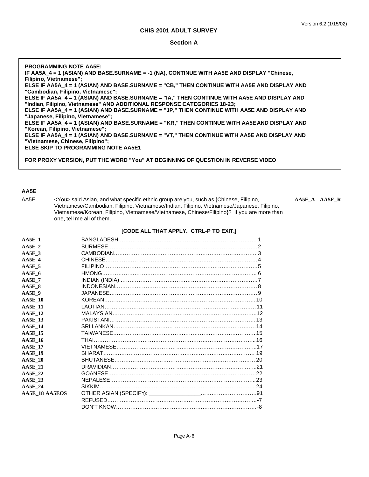#### **Section A**

**PROGRAMMING NOTE AA5E: IF AA5A\_4 = 1 (ASIAN) AND BASE.SURNAME = -1 (NA), CONTINUE WITH AA5E AND DISPLAY "Chinese, Filipino, Vietnamese"; ELSE IF AA5A\_4 = 1 (ASIAN) AND BASE.SURNAME = "CB," THEN CONTINUE WITH AA5E AND DISPLAY AND "Cambodian, Filipino, Vietnamese"; ELSE IF AA5A\_4 = 1 (ASIAN) AND BASE.SURNAME = "IA," THEN CONTINUE WITH AA5E AND DISPLAY AND "Indian, Filipino, Vietnamese" AND ADDITIONAL RESPONSE CATEGORIES 18-23; ELSE IF AA5A\_4 = 1 (ASIAN) AND BASE.SURNAME = "JP," THEN CONTINUE WITH AA5E AND DISPLAY AND "Japanese, Filipino, Vietnamese"; ELSE IF AA5A\_4 = 1 (ASIAN) AND BASE.SURNAME = "KR," THEN CONTINUE WITH AA5E AND DISPLAY AND "Korean, Filipino, Vietnamese"; ELSE IF AA5A\_4 = 1 (ASIAN) AND BASE.SURNAME = "VT," THEN CONTINUE WITH AA5E AND DISPLAY AND "Vietnamese, Chinese, Filipino"; ELSE SKIP TO PROGRAMMING NOTE AA5E1 FOR PROXY VERSION, PUT THE WORD "You" AT BEGINNING OF QUESTION IN REVERSE VIDEO**

# **AA5E**

AA5E <You> said Asian, and what specific ethnic group are you, such as {Chinese, Filipino, **AA5E\_A - AA5E\_R** Vietnamese/Cambodian, Filipino, Vietnamese/Indian, Filipino, Vietnamese/Japanese, Filipino, Vietnamese/Korean, Filipino, Vietnamese/Vietnamese, Chinese/Filipino}? If you are more than one, tell me all of them.

#### **[CODE ALL THAT APPLY. CTRL-P TO EXIT.]**

| $AA5E$ 1       |  |
|----------------|--|
| $AA5E$ 2       |  |
| $AA5E$ 3       |  |
| AA5E 4         |  |
| $AA5E$ 5       |  |
| $AA5E$ 6       |  |
| $AA5E$ 7       |  |
| AA5E 8         |  |
| $AA5E$ 9       |  |
| <b>AA5E 10</b> |  |
| <b>AA5E 11</b> |  |
| <b>AA5E 12</b> |  |
| <b>AA5E 13</b> |  |
| <b>AA5E 14</b> |  |
| <b>AA5E 15</b> |  |
| <b>AA5E 16</b> |  |
| <b>AA5E 17</b> |  |
| <b>AA5E 19</b> |  |
| <b>AA5E 20</b> |  |
| <b>AA5E 21</b> |  |
| <b>AA5E 22</b> |  |
| <b>AA5E 23</b> |  |
| AA5E_24        |  |
| AA5E 18 AA5EOS |  |
|                |  |
|                |  |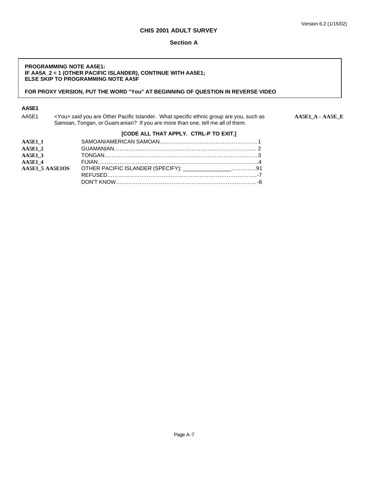#### **Section A**

#### **PROGRAMMING NOTE AA5E1: IF AA5A\_2 = 1 (OTHER PACIFIC ISLANDER), CONTINUE WITH AA5E1; ELSE SKIP TO PROGRAMMING NOTE AA5F**

# **FOR PROXY VERSION, PUT THE WORD "You" AT BEGINNING OF QUESTION IN REVERSE VIDEO**

# **AA5E1**

AA5E1 <You> said you are Other Pacific Islander. What specific ethnic group are you, such as **AA5E1\_A - AA5E\_E** Samoan, Tongan, or Guam anian? If you are more than one, tell me all of them.

# **[CODE ALL THAT APPLY. CTRL-P TO EXIT.]**

| <b>AA5E1 1</b> |                                                                       |  |
|----------------|-----------------------------------------------------------------------|--|
| <b>AA5E1 2</b> |                                                                       |  |
| <b>AA5E1 3</b> |                                                                       |  |
| <b>AA5E1 4</b> |                                                                       |  |
|                | AA5E1_5 AA5E1OS OTHER PACIFIC ISLANDER (SPECIFY): _________________91 |  |
|                |                                                                       |  |
|                |                                                                       |  |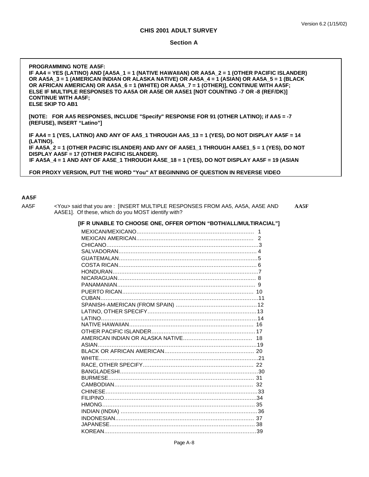#### **Section A**

| <b>PROGRAMMING NOTE AA5F:</b>                                                                  |
|------------------------------------------------------------------------------------------------|
| IF AA4 = YES (LATINO) AND [AA5A_1 = 1 (NATIVE HAWAIIAN) OR AA5A_2 = 1 (OTHER PACIFIC ISLANDER) |
| OR AA5A_3 = 1 (AMERICAN INDIAN OR ALASKA NATIVE) OR AA5A_4 = 1 (ASIAN) OR AA5A_5 = 1 (BLACK    |
| OR AFRICAN AMERICAN) OR AA5A $6 = 1$ (WHITE) OR AA5A $7 = 1$ (OTHER)], CONTINUE WITH AA5F;     |
| ELSE IF MULTIPLE RESPONSES TO AA5A OR AA5E OR AA5E1 [NOT COUNTING -7 OR -8 (REF/DK)]           |
| <b>CONTINUE WITH AA5F:</b>                                                                     |
| <b>ELSE SKIP TO AB1</b>                                                                        |
|                                                                                                |
| [NOTE: FOR AA5 RESPONSES, INCLUDE "Specify" RESPONSE FOR 91 (OTHER LATINO); if AA5 = -7        |
| (REFUSE). INSERT "Latino"]                                                                     |
|                                                                                                |
| IF AA4 = 1 (YES, LATINO) AND ANY OF AA5_1 THROUGH AA5_13 = 1 (YES), DO NOT DISPLAY AA5F = 14   |
| (LATINO).                                                                                      |
| IF AA5A_2 = 1 (OTHER PACIFIC ISLANDER) AND ANY OF AA5E1_1 THROUGH AA5E1_5 = 1 (YES), DO NOT    |
| DISPLAY AA5F = 17 (OTHER PACIFIC ISLANDER).                                                    |
| IF AA5A 4 = 1 AND ANY OF AA5E 1 THROUGH AA5E 18 = 1 (YES), DO NOT DISPLAY AA5F = 19 (ASIAN     |

 **FOR PROXY VERSION, PUT THE WORD "You" AT BEGINNING OF QUESTION IN REVERSE VIDEO**

#### **AA5F**

AA5F <You> said that you are : [INSERT MULTIPLE RESPONSES FROM AA5, AA5A, AA5E AND **AA5F** AA5E1]. Of these, which do you MOST identify with?

**[IF R UNABLE TO CHOOSE ONE, OFFER OPTION "BOTH/ALL/MULTIRACIAL"]**

Page A-8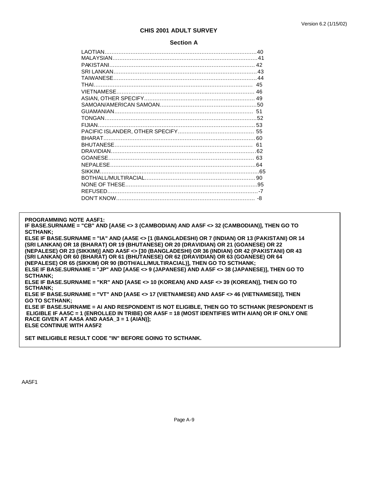#### **Section A**

**PROGRAMMING NOTE AA5F1:**

**IF BASE.SURNAME = "CB" AND [AA5E <> 3 (CAMBODIAN) AND AA5F <> 32 (CAMBODIAN)], THEN GO TO SCTHANK;**

**ELSE IF BASE.SURNAME = "IA" AND (AA5E <> [1 (BANGLADESHI) OR 7 (INDIAN) OR 13 (PAKISTANI) OR 14 (SRI LANKAN) OR 18 (BHARAT) OR 19 (BHUTANESE) OR 20 (DRAVIDIAN) OR 21 (GOANESE) OR 22 (NEPALESE) OR 23 (SIKKIM)] AND AA5F <> [30 (BANGLADESHI) OR 36 (INDIAN) OR 42 (PAKISTANI) OR 43 (SRI LANKAN) OR 60 (BHARAT) OR 61 (BHUTANESE) OR 62 (DRAVIDIAN) OR 63 (GOANESE) OR 64 (NEPALESE) OR 65 (SIKKIM) OR 90 (BOTH/ALL/MULTIRACIAL)], THEN GO TO SCTHANK; ELSE IF BASE.SURNAME = "JP" AND [AA5E <> 9 (JAPANESE) AND AA5F <> 38 (JAPANESE)], THEN GO TO SCTHANK; ELSE IF BASE.SURNAME = "KR" AND [AA5E <> 10 (KOREAN) AND AA5F <> 39 (KOREAN)], THEN GO TO SCTHANK; ELSE IF BASE.SURNAME = "VT" AND [AA5E <> 17 (VIETNAMESE) AND AA5F <> 46 (VIETNAMESE)], THEN GO TO SCTHANK; ELSE IF BASE.SURNAME = AI AND RESPONDENT IS NOT ELIGIBLE, THEN GO TO SCTHANK [RESPONDENT IS ELIGIBLE IF AA5C = 1 (ENROLLED IN TRIBE) OR AA5F = 18 (MOST IDENTIFIES WITH AIAN) OR IF ONLY ONE RACE GIVEN AT AA5A AND AA5A\_3 = 1 (AIAN)]; ELSE CONTINUE WITH AA5F2**

**SET INELIGIBLE RESULT CODE "IN" BEFORE GOING TO SCTHANK.**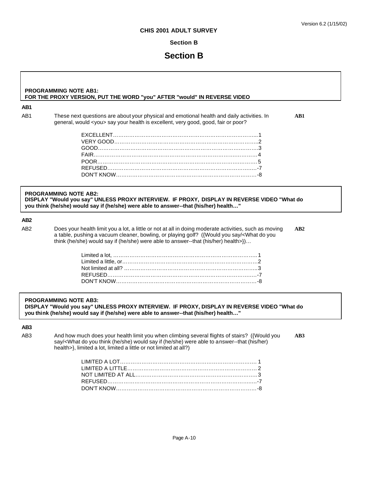# **Section B**

# **Section B**

#### **PROGRAMMING NOTE AB1: FOR THE PROXY VERSION, PUT THE WORD "you" AFTER "would" IN REVERSE VIDEO**

#### **AB1**

AB1 These next questions are about your physical and emotional health and daily activities. In **AB1** general, would <you> say your health is excellent, very good, good, fair or poor?

#### **PROGRAMMING NOTE AB2: DISPLAY "Would you say" UNLESS PROXY INTERVIEW. IF PROXY, DISPLAY IN REVERSE VIDEO "What do you think (he/she) would say if (he/she) were able to answer--that (his/her) health…"**

# **AB2**

AB2 Does your health limit you a lot, a little or not at all in doing moderate activities, such as moving **AB2** a table, pushing a vacuum cleaner, bowling, or playing golf? ({Would you say/<What do you think (he/she) would say if (he/she) were able to answer--that (his/her) health>})…

#### **PROGRAMMING NOTE AB3:**

**DISPLAY "Would you say" UNLESS PROXY INTERVIEW. IF PROXY, DISPLAY IN REVERSE VIDEO "What do you think (he/she) would say if (he/she) were able to answer--that (his/her) health…"**

# **AB3**

AB3 And how much does your health limit you when climbing several flights of stairs? ({Would you **AB3** say/<What do you think (he/she) would say if (he/she) were able to answer--that (his/her) health>}, limited a lot, limited a little or not limited at all?)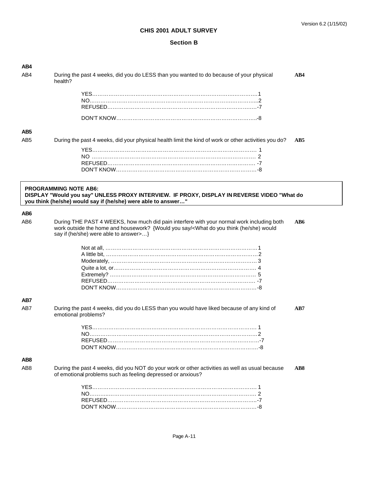| AB4             |                                                                                                                                                               |     |
|-----------------|---------------------------------------------------------------------------------------------------------------------------------------------------------------|-----|
| AB4             | During the past 4 weeks, did you do LESS than you wanted to do because of your physical<br>health?                                                            | AB4 |
|                 |                                                                                                                                                               |     |
|                 |                                                                                                                                                               |     |
|                 |                                                                                                                                                               |     |
|                 |                                                                                                                                                               |     |
| AB <sub>5</sub> |                                                                                                                                                               |     |
| AB <sub>5</sub> | During the past 4 weeks, did your physical health limit the kind of work or other activities you do?                                                          | AB5 |
|                 |                                                                                                                                                               |     |
|                 |                                                                                                                                                               |     |
|                 |                                                                                                                                                               |     |
|                 |                                                                                                                                                               |     |
|                 | <b>PROGRAMMING NOTE AB6:</b><br>DISPLAY "Would you say" UNLESS PROXY INTERVIEW. IF PROXY, DISPLAY IN REVERSE VIDEO "What do                                   |     |
|                 | you think (he/she) would say if (he/she) were able to answer"                                                                                                 |     |
| AB6             |                                                                                                                                                               |     |
| AB <sub>6</sub> | During THE PAST 4 WEEKS, how much did pain interfere with your normal work including both                                                                     | AB6 |
|                 | work outside the home and housework? {Would you say/ <what (he="" do="" she)="" think="" would<br="" you="">say if (he/she) were able to answer&gt;}</what>   |     |
|                 |                                                                                                                                                               |     |
|                 |                                                                                                                                                               |     |
|                 |                                                                                                                                                               |     |
|                 |                                                                                                                                                               |     |
|                 |                                                                                                                                                               |     |
|                 |                                                                                                                                                               |     |
| AB7             |                                                                                                                                                               |     |
| AB7             | During the past 4 weeks, did you do LESS than you would have liked because of any kind of<br>emotional problems?                                              | AB7 |
|                 |                                                                                                                                                               |     |
|                 |                                                                                                                                                               |     |
|                 |                                                                                                                                                               |     |
|                 |                                                                                                                                                               |     |
| AB <sub>8</sub> |                                                                                                                                                               |     |
| AB <sub>8</sub> | During the past 4 weeks, did you NOT do your work or other activities as well as usual because<br>of emotional problems such as feeling depressed or anxious? | AB8 |
|                 |                                                                                                                                                               |     |
|                 |                                                                                                                                                               |     |
|                 |                                                                                                                                                               |     |
|                 |                                                                                                                                                               |     |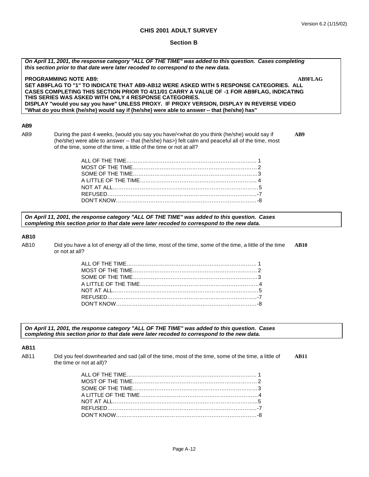# **Section B**

| On April 11, 2001, the response category "ALL OF THE TIME" was added to this question. Cases completing<br>this section prior to that date were later recoded to correspond to the new data. |                                                                                                                                                                                                                                                                                                                                                                                                                                                                             |                |
|----------------------------------------------------------------------------------------------------------------------------------------------------------------------------------------------|-----------------------------------------------------------------------------------------------------------------------------------------------------------------------------------------------------------------------------------------------------------------------------------------------------------------------------------------------------------------------------------------------------------------------------------------------------------------------------|----------------|
|                                                                                                                                                                                              | <b>PROGRAMMING NOTE AB9:</b><br>SET AB9FLAG TO "1" TO INDICATE THAT AB9-AB12 WERE ASKED WITH 5 RESPONSE CATEGORIES. ALL<br>CASES COMPLETING THIS SECTION PRIOR TO 4/11/01 CARRY A VALUE OF -1 FOR AB9FLAG, INDICATING<br>THIS SERIES WAS ASKED WITH ONLY 4 RESPONSE CATEGORIES.<br>DISPLAY "would you say you have" UNLESS PROXY. IF PROXY VERSION, DISPLAY IN REVERSE VIDEO<br>"What do you think (he/she) would say if (he/she) were able to answer -- that (he/she) has" | <b>AB9FLAG</b> |
| AB <sub>9</sub>                                                                                                                                                                              |                                                                                                                                                                                                                                                                                                                                                                                                                                                                             |                |
| AB <sub>9</sub>                                                                                                                                                                              | During the past 4 weeks, {would you say you have/ <what (he="" do="" if<br="" say="" she)="" think="" would="" you="">(he/she) were able to answer -- that (he/she) has&gt;} felt calm and peaceful all of the time, most<br/>of the time, some of the time, a little of the time or not at all?</what>                                                                                                                                                                     | AB9            |
|                                                                                                                                                                                              |                                                                                                                                                                                                                                                                                                                                                                                                                                                                             |                |
|                                                                                                                                                                                              |                                                                                                                                                                                                                                                                                                                                                                                                                                                                             |                |
|                                                                                                                                                                                              |                                                                                                                                                                                                                                                                                                                                                                                                                                                                             |                |
|                                                                                                                                                                                              |                                                                                                                                                                                                                                                                                                                                                                                                                                                                             |                |
|                                                                                                                                                                                              |                                                                                                                                                                                                                                                                                                                                                                                                                                                                             |                |
|                                                                                                                                                                                              |                                                                                                                                                                                                                                                                                                                                                                                                                                                                             |                |
|                                                                                                                                                                                              |                                                                                                                                                                                                                                                                                                                                                                                                                                                                             |                |
| <b>AB10</b>                                                                                                                                                                                  | On April 11, 2001, the response category "ALL OF THE TIME" was added to this question. Cases<br>completing this section prior to that date were later recoded to correspond to the new data.                                                                                                                                                                                                                                                                                |                |
| AB10                                                                                                                                                                                         | Did you have a lot of energy all of the time, most of the time, some of the time, a little of the time<br>or not at all?                                                                                                                                                                                                                                                                                                                                                    | <b>AB10</b>    |
|                                                                                                                                                                                              |                                                                                                                                                                                                                                                                                                                                                                                                                                                                             |                |
|                                                                                                                                                                                              |                                                                                                                                                                                                                                                                                                                                                                                                                                                                             |                |
|                                                                                                                                                                                              |                                                                                                                                                                                                                                                                                                                                                                                                                                                                             |                |
|                                                                                                                                                                                              |                                                                                                                                                                                                                                                                                                                                                                                                                                                                             |                |
|                                                                                                                                                                                              |                                                                                                                                                                                                                                                                                                                                                                                                                                                                             |                |
|                                                                                                                                                                                              |                                                                                                                                                                                                                                                                                                                                                                                                                                                                             |                |
|                                                                                                                                                                                              |                                                                                                                                                                                                                                                                                                                                                                                                                                                                             |                |
|                                                                                                                                                                                              |                                                                                                                                                                                                                                                                                                                                                                                                                                                                             |                |
|                                                                                                                                                                                              | On April 11, 2001, the response category "ALL OF THE TIME" was added to this question. Cases<br>completing this section prior to that date were later recoded to correspond to the new data.                                                                                                                                                                                                                                                                                |                |
| <b>AB11</b>                                                                                                                                                                                  |                                                                                                                                                                                                                                                                                                                                                                                                                                                                             |                |
| AB11                                                                                                                                                                                         | Did you feel downhearted and sad (all of the time, most of the time, some of the time, a little of<br>the time or not at all)?                                                                                                                                                                                                                                                                                                                                              | <b>AB11</b>    |
|                                                                                                                                                                                              |                                                                                                                                                                                                                                                                                                                                                                                                                                                                             |                |
|                                                                                                                                                                                              |                                                                                                                                                                                                                                                                                                                                                                                                                                                                             |                |
|                                                                                                                                                                                              |                                                                                                                                                                                                                                                                                                                                                                                                                                                                             |                |
|                                                                                                                                                                                              |                                                                                                                                                                                                                                                                                                                                                                                                                                                                             |                |
|                                                                                                                                                                                              |                                                                                                                                                                                                                                                                                                                                                                                                                                                                             |                |
|                                                                                                                                                                                              |                                                                                                                                                                                                                                                                                                                                                                                                                                                                             |                |

DON'T KNOW……………………………………………………………………-8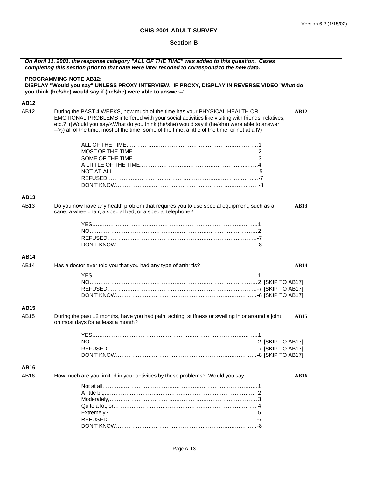| On April 11, 2001, the response category "ALL OF THE TIME" was added to this question. Cases<br>completing this section prior to that date were later recoded to correspond to the new data. |                                                                                                                                                                                                                                                                                                                                                                                                                                       |  |
|----------------------------------------------------------------------------------------------------------------------------------------------------------------------------------------------|---------------------------------------------------------------------------------------------------------------------------------------------------------------------------------------------------------------------------------------------------------------------------------------------------------------------------------------------------------------------------------------------------------------------------------------|--|
|                                                                                                                                                                                              | <b>PROGRAMMING NOTE AB12:</b><br>DISPLAY "Would you say" UNLESS PROXY INTERVIEW. IF PROXY, DISPLAY IN REVERSE VIDEO "What do<br>you think (he/she) would say if (he/she) were able to answer--"                                                                                                                                                                                                                                       |  |
| <b>AB12</b>                                                                                                                                                                                  |                                                                                                                                                                                                                                                                                                                                                                                                                                       |  |
| AB12                                                                                                                                                                                         | During the PAST 4 WEEKS, how much of the time has your PHYSICAL HEALTH OR<br><b>AB12</b><br>EMOTIONAL PROBLEMS interfered with your social activities like visiting with friends, relatives,<br>etc.? ({Would you say/ <what (he="" able="" answer<br="" do="" if="" say="" she)="" think="" to="" were="" would="" you="">--&gt;}) all of the time, most of the time, some of the time, a little of the time, or not at all?)</what> |  |
|                                                                                                                                                                                              |                                                                                                                                                                                                                                                                                                                                                                                                                                       |  |
| <b>AB13</b>                                                                                                                                                                                  |                                                                                                                                                                                                                                                                                                                                                                                                                                       |  |
| AB13                                                                                                                                                                                         | Do you now have any health problem that requires you to use special equipment, such as a<br><b>AB13</b><br>cane, a wheelchair, a special bed, or a special telephone?                                                                                                                                                                                                                                                                 |  |
|                                                                                                                                                                                              |                                                                                                                                                                                                                                                                                                                                                                                                                                       |  |
| <b>AB14</b>                                                                                                                                                                                  |                                                                                                                                                                                                                                                                                                                                                                                                                                       |  |
| <b>AB14</b>                                                                                                                                                                                  | Has a doctor ever told you that you had any type of arthritis?<br><b>AB14</b>                                                                                                                                                                                                                                                                                                                                                         |  |
| <b>AB15</b>                                                                                                                                                                                  |                                                                                                                                                                                                                                                                                                                                                                                                                                       |  |
| AB15                                                                                                                                                                                         | During the past 12 months, have you had pain, aching, stiffness or swelling in or around a joint<br><b>AB15</b><br>on most days for at least a month?                                                                                                                                                                                                                                                                                 |  |
|                                                                                                                                                                                              |                                                                                                                                                                                                                                                                                                                                                                                                                                       |  |
| <b>AB16</b>                                                                                                                                                                                  |                                                                                                                                                                                                                                                                                                                                                                                                                                       |  |
| AB16                                                                                                                                                                                         | How much are you limited in your activities by these problems? Would you say<br><b>AB16</b>                                                                                                                                                                                                                                                                                                                                           |  |
|                                                                                                                                                                                              |                                                                                                                                                                                                                                                                                                                                                                                                                                       |  |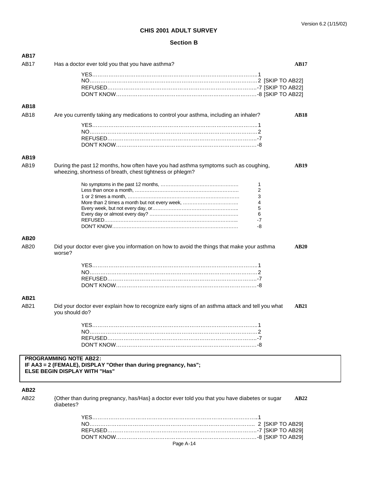| AB17             |                                                                                                                                                  |             |
|------------------|--------------------------------------------------------------------------------------------------------------------------------------------------|-------------|
| AB17             | Has a doctor ever told you that you have asthma?                                                                                                 | AB17        |
|                  |                                                                                                                                                  |             |
|                  |                                                                                                                                                  |             |
|                  |                                                                                                                                                  |             |
|                  |                                                                                                                                                  |             |
| <b>AB18</b>      |                                                                                                                                                  |             |
| AB18             | Are you currently taking any medications to control your asthma, including an inhaler?                                                           | <b>AB18</b> |
|                  |                                                                                                                                                  |             |
|                  |                                                                                                                                                  |             |
|                  |                                                                                                                                                  |             |
|                  |                                                                                                                                                  |             |
| <b>AB19</b>      |                                                                                                                                                  |             |
| AB19             | During the past 12 months, how often have you had asthma symptoms such as coughing,<br>wheezing, shortness of breath, chest tightness or phlegm? | <b>AB19</b> |
|                  | 1                                                                                                                                                |             |
|                  | 2                                                                                                                                                |             |
|                  | 3<br>4                                                                                                                                           |             |
|                  | 5                                                                                                                                                |             |
|                  | 6                                                                                                                                                |             |
|                  | $-7$                                                                                                                                             |             |
|                  | -8                                                                                                                                               |             |
| AB <sub>20</sub> |                                                                                                                                                  |             |
| AB20             | Did your doctor ever give you information on how to avoid the things that make your asthma<br>worse?                                             | <b>AB20</b> |
|                  |                                                                                                                                                  |             |
|                  |                                                                                                                                                  |             |
|                  |                                                                                                                                                  |             |
|                  |                                                                                                                                                  |             |
| AB21             |                                                                                                                                                  |             |
| AB21             | Did your doctor ever explain how to recognize early signs of an asthma attack and tell you what                                                  | <b>AB21</b> |
|                  | you should do?                                                                                                                                   |             |
|                  | YES……………………………………………………………………………………1                                                                                                             |             |
|                  |                                                                                                                                                  |             |
|                  |                                                                                                                                                  |             |
|                  |                                                                                                                                                  |             |
|                  | <b>PROGRAMMING NOTE AB22:</b><br>IF AA3 = 2 (FEMALE), DISPLAY "Other than during pregnancy, has";<br><b>ELSE BEGIN DISPLAY WITH "Has"</b>        |             |
| <b>AB22</b>      |                                                                                                                                                  |             |
| AB22             | {Other than during pregnancy, has/Has} a doctor ever told you that you have diabetes or sugar<br>diabetes?                                       | AB22        |
|                  |                                                                                                                                                  |             |
|                  |                                                                                                                                                  |             |
|                  |                                                                                                                                                  |             |
|                  |                                                                                                                                                  |             |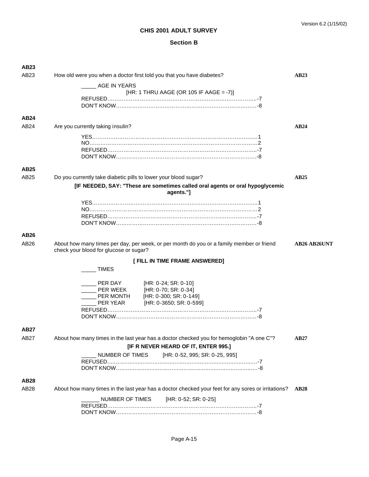| AB <sub>23</sub> |                                                                                                                                    |                     |  |
|------------------|------------------------------------------------------------------------------------------------------------------------------------|---------------------|--|
| AB23             | How old were you when a doctor first told you that you have diabetes?                                                              | AB23                |  |
|                  | AGE IN YEARS                                                                                                                       |                     |  |
|                  | [HR: 1 THRU AAGE (OR 105 IF AAGE = -7)]                                                                                            |                     |  |
|                  |                                                                                                                                    |                     |  |
|                  |                                                                                                                                    |                     |  |
| AB <sub>24</sub> |                                                                                                                                    |                     |  |
| AB24             | Are you currently taking insulin?                                                                                                  | AB24                |  |
|                  |                                                                                                                                    |                     |  |
|                  |                                                                                                                                    |                     |  |
|                  |                                                                                                                                    |                     |  |
|                  |                                                                                                                                    |                     |  |
|                  |                                                                                                                                    |                     |  |
| AB <sub>25</sub> |                                                                                                                                    |                     |  |
| AB <sub>25</sub> | Do you currently take diabetic pills to lower your blood sugar?                                                                    | AB25                |  |
|                  | [IF NEEDED, SAY: "These are sometimes called oral agents or oral hypoglycemic<br>agents."]                                         |                     |  |
|                  |                                                                                                                                    |                     |  |
|                  |                                                                                                                                    |                     |  |
|                  |                                                                                                                                    |                     |  |
|                  |                                                                                                                                    |                     |  |
| AB <sub>26</sub> |                                                                                                                                    |                     |  |
| AB26             | About how many times per day, per week, or per month do you or a family member or friend<br>check your blood for glucose or sugar? | <b>AB26 AB26UNT</b> |  |
|                  | [ FILL IN TIME FRAME ANSWERED]                                                                                                     |                     |  |
|                  | <b>TIMES</b>                                                                                                                       |                     |  |
|                  | ___ PER DAY [HR: 0-24; SR: 0-10]                                                                                                   |                     |  |
|                  | __ PER WEEK            [HR: 0-70; SR: 0-34]<br>__ PER MONTH         [HR: 0-300; SR: 0-14                                           |                     |  |
|                  | [HR: 0-300; SR: 0-149]                                                                                                             |                     |  |
|                  | PER YEAR<br>[HR: 0-3650; SR: 0-599]                                                                                                |                     |  |
|                  |                                                                                                                                    |                     |  |
|                  |                                                                                                                                    |                     |  |
| AB27             |                                                                                                                                    |                     |  |
| AB27             | About how many times in the last year has a doctor checked you for hemoglobin "A one C"?                                           | <b>AB27</b>         |  |
|                  | [IF R NEVER HEARD OF IT, ENTER 995.]                                                                                               |                     |  |
|                  | NUMBER OF TIMES<br>[HR: 0-52, 995; SR: 0-25, 995]                                                                                  |                     |  |
|                  |                                                                                                                                    |                     |  |
|                  |                                                                                                                                    |                     |  |
| <b>AB28</b>      |                                                                                                                                    |                     |  |
| AB28             | About how many times in the last year has a doctor checked your feet for any sores or irritations?                                 | <b>AB28</b>         |  |
|                  |                                                                                                                                    |                     |  |
|                  | NUMBER OF TIMES<br>[HR: 0-52; SR: 0-25]                                                                                            |                     |  |
|                  |                                                                                                                                    |                     |  |
|                  |                                                                                                                                    |                     |  |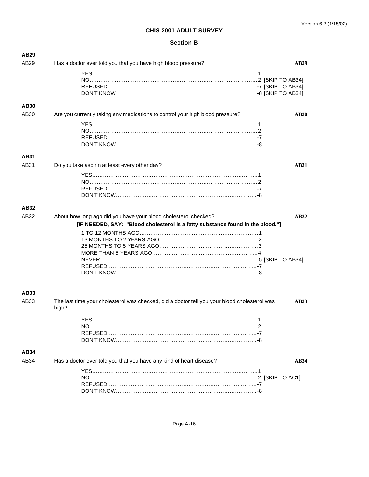| AB <sub>29</sub> |                                                                                                                      |
|------------------|----------------------------------------------------------------------------------------------------------------------|
| AB29             | Has a doctor ever told you that you have high blood pressure?<br><b>AB29</b>                                         |
|                  |                                                                                                                      |
|                  |                                                                                                                      |
|                  |                                                                                                                      |
|                  | -8 [SKIP TO AB34]<br><b>DON'T KNOW</b>                                                                               |
| <b>AB30</b>      |                                                                                                                      |
| AB30             | Are you currently taking any medications to control your high blood pressure?<br><b>AB30</b>                         |
|                  |                                                                                                                      |
|                  |                                                                                                                      |
|                  |                                                                                                                      |
|                  |                                                                                                                      |
| <b>AB31</b>      |                                                                                                                      |
| AB31             | Do you take aspirin at least every other day?<br><b>AB31</b>                                                         |
|                  |                                                                                                                      |
|                  |                                                                                                                      |
|                  |                                                                                                                      |
|                  |                                                                                                                      |
|                  |                                                                                                                      |
| AB32             |                                                                                                                      |
| AB32             | About how long ago did you have your blood cholesterol checked?<br>AB32                                              |
|                  | [IF NEEDED, SAY: "Blood cholesterol is a fatty substance found in the blood."]                                       |
|                  |                                                                                                                      |
|                  |                                                                                                                      |
|                  |                                                                                                                      |
|                  |                                                                                                                      |
|                  |                                                                                                                      |
|                  |                                                                                                                      |
|                  |                                                                                                                      |
|                  |                                                                                                                      |
|                  |                                                                                                                      |
| AB33             |                                                                                                                      |
| AB33             | The last time your cholesterol was checked, did a doctor tell you your blood cholesterol was<br><b>AB33</b><br>high? |
|                  |                                                                                                                      |
|                  | <b>YES</b><br>1                                                                                                      |
|                  |                                                                                                                      |
|                  |                                                                                                                      |
|                  |                                                                                                                      |
| <b>AB34</b>      |                                                                                                                      |
| AB34             | Has a doctor ever told you that you have any kind of heart disease?<br><b>AB34</b>                                   |
|                  |                                                                                                                      |
|                  |                                                                                                                      |
|                  |                                                                                                                      |
|                  |                                                                                                                      |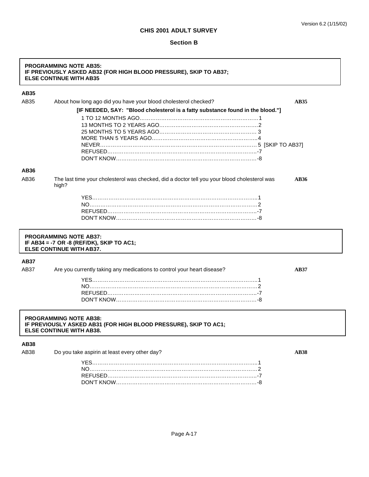#### **Section B**

# **PROGRAMMING NOTE AB35: IF PREVIOUSLY ASKED AB32 (FOR HIGH BLOOD PRESSURE), SKIP TO AB37; ELSE CONTINUE WITH AB35**

# **AB35**

| AB35             | About how long ago did you have your blood cholesterol checked?                                       | <b>AB35</b> |
|------------------|-------------------------------------------------------------------------------------------------------|-------------|
|                  | [IF NEEDED, SAY: "Blood cholesterol is a fatty substance found in the blood."]                        |             |
|                  |                                                                                                       |             |
|                  |                                                                                                       |             |
|                  |                                                                                                       |             |
|                  |                                                                                                       |             |
|                  |                                                                                                       |             |
|                  |                                                                                                       |             |
|                  |                                                                                                       |             |
| AB36             |                                                                                                       |             |
| AB <sub>36</sub> | The last time your cholesterol was checked, did a doctor tell you your blood cholesterol was<br>high? | <b>AB36</b> |
|                  |                                                                                                       |             |
|                  |                                                                                                       |             |
|                  |                                                                                                       |             |
|                  |                                                                                                       |             |
|                  |                                                                                                       |             |
|                  | <b>PROGRAMMING NOTE AB37:</b>                                                                         |             |

**IF AB34 = -7 OR -8 (REF/DK), SKIP TO AC1; ELSE CONTINUE WITH AB37.**

# **AB37**

AB37 Are you currently taking any medications to control your heart disease? AB37

#### **PROGRAMMING NOTE AB38: IF PREVIOUSLY ASKED AB31 (FOR HIGH BLOOD PRESSURE), SKIP TO AC1; ELSE CONTINUE WITH AB38.**

#### **AB38**

AB38 Do you take aspirin at least every other day? **AB38** AB38 AB38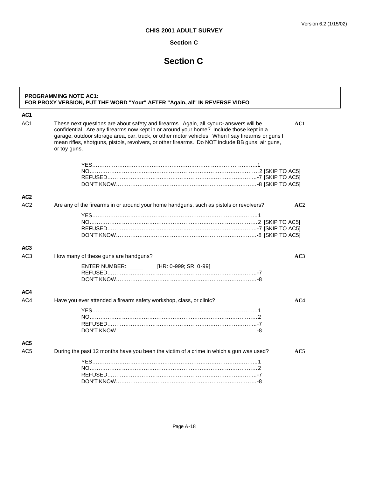# **Section C**

# **Section C**

| AC <sub>1</sub> |                                                                                                                                                                                                                                                                                                                                                                                                                    |     |
|-----------------|--------------------------------------------------------------------------------------------------------------------------------------------------------------------------------------------------------------------------------------------------------------------------------------------------------------------------------------------------------------------------------------------------------------------|-----|
| AC <sub>1</sub> | These next questions are about safety and firearms. Again, all <your> answers will be<br/>confidential. Are any firearms now kept in or around your home? Include those kept in a<br/>garage, outdoor storage area, car, truck, or other motor vehicles. When I say firearms or guns I<br/>mean rifles, shotguns, pistols, revolvers, or other firearms. Do NOT include BB guns, air guns,<br/>or toy guns.</your> | AC1 |
|                 |                                                                                                                                                                                                                                                                                                                                                                                                                    |     |
| AC <sub>2</sub> |                                                                                                                                                                                                                                                                                                                                                                                                                    |     |
| AC <sub>2</sub> | Are any of the firearms in or around your home handguns, such as pistols or revolvers?                                                                                                                                                                                                                                                                                                                             | AC2 |
| AC <sub>3</sub> |                                                                                                                                                                                                                                                                                                                                                                                                                    |     |
| AC <sub>3</sub> | How many of these guns are handguns?<br>ENTER NUMBER: [HR: 0-999; SR: 0-99]                                                                                                                                                                                                                                                                                                                                        | AC3 |
| AC4             |                                                                                                                                                                                                                                                                                                                                                                                                                    |     |
| AC4             | Have you ever attended a firearm safety workshop, class, or clinic?                                                                                                                                                                                                                                                                                                                                                | AC4 |
| AC5             |                                                                                                                                                                                                                                                                                                                                                                                                                    |     |
| AC <sub>5</sub> | During the past 12 months have you been the victim of a crime in which a gun was used?                                                                                                                                                                                                                                                                                                                             | AC5 |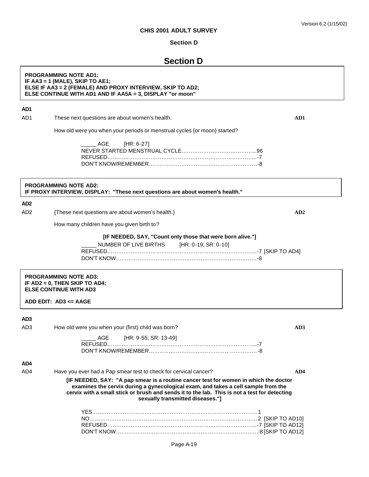#### **Section D**

# **Section D**

#### **PROGRAMMING NOTE AD1: IF AA3 = 1 (MALE), SKIP TO AE1; ELSE IF AA3 = 2 (FEMALE) AND PROXY INTERVIEW, SKIP TO AD2; ELSE CONTINUE WITH AD1 AND IF AA5A = 3, DISPLAY "or moon"**

# **AD1**

AD1 These next questions are about women's health. **AD1**

How old were you when your periods or menstrual cycles {or moon} started?

| ______ AGE [HR: 6-27] |  |
|-----------------------|--|
|                       |  |
|                       |  |
|                       |  |

# **PROGRAMMING NOTE AD2: IF PROXY INTERVIEW, DISPLAY: "These next questions are about women's health."**

#### **AD2**

AD2 {These next questions are about women's health.} **AD2**

How many children have you given birth to?

#### **[IF NEEDED, SAY, "Count only those that were born alive."]**

| ______ NUMBER OF LIVE BIRTHS [HR: 0-19; SR: 0-10] |  |
|---------------------------------------------------|--|
|                                                   |  |
|                                                   |  |

#### **PROGRAMMING NOTE AD3: IF AD2 = 0, THEN SKIP TO AD4; ELSE CONTINUE WITH AD3**

**ADD EDIT: AD3 <= AAGE**

#### **AD3**

| AD <sub>3</sub> | How old were you when your (first) child was born?                                                                                                                                                                                                                                                           |     |
|-----------------|--------------------------------------------------------------------------------------------------------------------------------------------------------------------------------------------------------------------------------------------------------------------------------------------------------------|-----|
|                 | AGE [HR: 9-55; SR: 13-49]                                                                                                                                                                                                                                                                                    |     |
|                 |                                                                                                                                                                                                                                                                                                              |     |
| AD4             |                                                                                                                                                                                                                                                                                                              |     |
| AD4             | Have you ever had a Pap smear test to check for cervical cancer?                                                                                                                                                                                                                                             | AD4 |
|                 | [IF NEEDED, SAY: "A pap smear is a routine cancer test for women in which the doctor<br>examines the cervix during a gynecological exam, and takes a cell sample from the<br>cervix with a small stick or brush and sends it to the lab. This is not a test for detecting<br>sexually transmitted diseases." |     |
|                 |                                                                                                                                                                                                                                                                                                              |     |
|                 |                                                                                                                                                                                                                                                                                                              |     |
|                 |                                                                                                                                                                                                                                                                                                              |     |
|                 |                                                                                                                                                                                                                                                                                                              |     |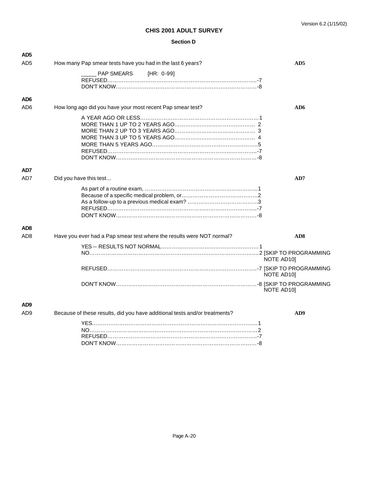#### **Section D**

| AD <sub>5</sub> |                                                                            |                 |
|-----------------|----------------------------------------------------------------------------|-----------------|
| AD <sub>5</sub> | How many Pap smear tests have you had in the last 6 years?                 | AD5             |
|                 | PAP SMEARS<br>[HR: 0-99]                                                   |                 |
|                 |                                                                            |                 |
|                 |                                                                            |                 |
|                 |                                                                            |                 |
| AD6             |                                                                            |                 |
| AD <sub>6</sub> | How long ago did you have your most recent Pap smear test?                 | AD6             |
|                 |                                                                            |                 |
|                 |                                                                            |                 |
|                 |                                                                            |                 |
|                 |                                                                            |                 |
|                 |                                                                            |                 |
|                 |                                                                            |                 |
|                 |                                                                            |                 |
| AD7             |                                                                            |                 |
|                 |                                                                            |                 |
| AD7             | Did you have this test                                                     | AD7             |
|                 |                                                                            |                 |
|                 |                                                                            |                 |
|                 |                                                                            |                 |
|                 |                                                                            |                 |
|                 |                                                                            |                 |
|                 |                                                                            |                 |
| AD <sub>8</sub> |                                                                            |                 |
| AD <sub>8</sub> | Have you ever had a Pap smear test where the results were NOT normal?      | AD <sub>8</sub> |
|                 |                                                                            |                 |
|                 |                                                                            |                 |
|                 |                                                                            | NOTE AD10]      |
|                 |                                                                            |                 |
|                 |                                                                            | NOTE AD10]      |
|                 |                                                                            |                 |
|                 |                                                                            | NOTE AD10]      |
|                 |                                                                            |                 |
| AD <sub>9</sub> |                                                                            |                 |
| AD <sub>9</sub> | Because of these results, did you have additional tests and/or treatments? | AD9             |
|                 |                                                                            |                 |
|                 |                                                                            |                 |
|                 |                                                                            |                 |
|                 |                                                                            |                 |

DON'T KNOW……………………………………………………………………-8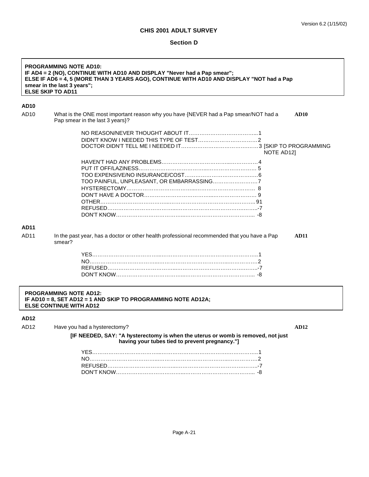# **Section D**

| <b>PROGRAMMING NOTE AD10:</b><br>IF AD4 = 2 (NO), CONTINUE WITH AD10 AND DISPLAY "Never had a Pap smear";<br>ELSE IF AD6 = 4, 5 (MORE THAN 3 YEARS AGO), CONTINUE WITH AD10 AND DISPLAY "NOT had a Pap<br>smear in the last 3 years";<br><b>ELSE SKIP TO AD11</b> |                                                                                                                                                                   |             |
|-------------------------------------------------------------------------------------------------------------------------------------------------------------------------------------------------------------------------------------------------------------------|-------------------------------------------------------------------------------------------------------------------------------------------------------------------|-------------|
| <b>AD10</b>                                                                                                                                                                                                                                                       |                                                                                                                                                                   |             |
| AD <sub>10</sub>                                                                                                                                                                                                                                                  | What is the ONE most important reason why you have {NEVER had a Pap smear/NOT had a<br>Pap smear in the last 3 years}?                                            | AD10        |
|                                                                                                                                                                                                                                                                   | NOTE AD12]                                                                                                                                                        |             |
|                                                                                                                                                                                                                                                                   |                                                                                                                                                                   |             |
| <b>AD11</b>                                                                                                                                                                                                                                                       |                                                                                                                                                                   |             |
| AD11                                                                                                                                                                                                                                                              | In the past year, has a doctor or other health professional recommended that you have a Pap<br>smear?                                                             | <b>AD11</b> |
|                                                                                                                                                                                                                                                                   |                                                                                                                                                                   |             |
| <b>PROGRAMMING NOTE AD12:</b><br>IF AD10 = 8, SET AD12 = 1 AND SKIP TO PROGRAMMING NOTE AD12A;<br><b>ELSE CONTINUE WITH AD12</b>                                                                                                                                  |                                                                                                                                                                   |             |
| AD <sub>12</sub><br>AD <sub>12</sub>                                                                                                                                                                                                                              | Have you had a hysterectomy?<br>[IF NEEDED, SAY: "A hysterectomy is when the uterus or womb is removed, not just<br>having your tubes tied to prevent pregnancy." | <b>AD12</b> |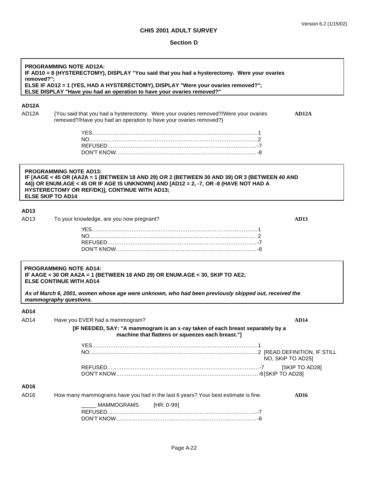#### **Section D**

**PROGRAMMING NOTE AD12A: IF AD10 = 8 (HYSTERECTOMY), DISPLAY "You said that you had a hysterectomy. Were your ovaries removed?"; ELSE IF AD12 = 1 (YES, HAD A HYSTERECTOMY), DISPLAY "Were your ovaries removed?"; ELSE DISPLAY "Have you had an operation to have your ovaries removed?"**

# **AD12A**

AD12A {You said that you had a hysterectomy. Were your ovaries removed?/Were your ovaries removed?/Have you had an operation to have your ovaries removed?}

|  | I |  |
|--|---|--|
|  |   |  |

#### **PROGRAMMING NOTE AD13: IF [AAGE < 45 OR (AA2A = 1 (BETWEEN 18 AND 29) OR 2 (BETWEEN 30 AND 39) OR 3 (BETWEEN 40 AND 44)) OR ENUM.AGE < 45 OR IF AGE IS UNKNOWN] AND [AD12 = 2, -7, OR -8 (HAVE NOT HAD A HYSTERECTOMY OR REF/DK)], CONTINUE WITH AD13; ELSE SKIP TO AD14**

# **AD13**

AD13 To your knowledge, are you now pregnant? **AD13**

#### **PROGRAMMING NOTE AD14: IF AAGE < 30 OR AA2A = 1 (BETWEEN 18 AND 29) OR ENUM.AGE < 30, SKIP TO AE2; ELSE CONTINUE WITH AD14**

*As of March 6, 2001, women whose age were unknown, who had been previously skipped out, received the mammography questions.* 

#### **AD14**

| AD <sub>14</sub> | Have you EVER had a mammogram?                                                                                                     | <b>AD14</b>       |
|------------------|------------------------------------------------------------------------------------------------------------------------------------|-------------------|
|                  | [IF NEEDED, SAY: "A mammogram is an x-ray taken of each breast separately by a<br>machine that flattens or squeezes each breast."] |                   |
|                  |                                                                                                                                    |                   |
|                  |                                                                                                                                    | NO, SKIP TO AD251 |
|                  |                                                                                                                                    | [SKIP TO AD28]    |
| AD16             |                                                                                                                                    |                   |
| AD <sub>16</sub> | How many mammograms have you had in the last 6 years? Your best estimate is fine.                                                  | <b>AD16</b>       |
|                  | MAMMOGRAMS [HR: 0-99]                                                                                                              |                   |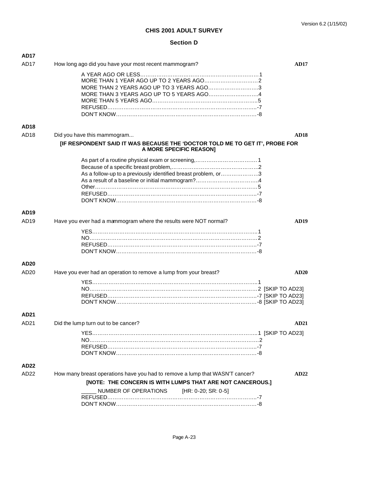## **Section D**

| <b>AD17</b>      |                                                                                                                                           |             |
|------------------|-------------------------------------------------------------------------------------------------------------------------------------------|-------------|
| AD <sub>17</sub> | How long ago did you have your most recent mammogram?                                                                                     | <b>AD17</b> |
|                  | MORE THAN 2 YEARS AGO UP TO 3 YEARS AGO3<br>MORE THAN 3 YEARS AGO UP TO 5 YEARS AGO4                                                      |             |
| <b>AD18</b>      |                                                                                                                                           |             |
| AD18             | Did you have this mammogram                                                                                                               | <b>AD18</b> |
|                  | [IF RESPONDENT SAID IT WAS BECAUSE THE 'DOCTOR TOLD ME TO GET IT', PROBE FOR<br>A MORE SPECIFIC REASON]                                   |             |
|                  | As a follow-up to a previously identified breast problem, or3                                                                             |             |
| AD <sub>19</sub> |                                                                                                                                           |             |
| AD <sub>19</sub> | Have you ever had a mammogram where the results were NOT normal?                                                                          | AD19        |
|                  |                                                                                                                                           |             |
| AD <sub>20</sub> |                                                                                                                                           |             |
| AD20             | Have you ever had an operation to remove a lump from your breast?                                                                         | <b>AD20</b> |
|                  |                                                                                                                                           |             |
| AD <sub>21</sub> |                                                                                                                                           |             |
| AD <sub>21</sub> | Did the lump turn out to be cancer?                                                                                                       | <b>AD21</b> |
|                  |                                                                                                                                           |             |
| AD <sub>22</sub> |                                                                                                                                           |             |
| AD22             | How many breast operations have you had to remove a lump that WASN'T cancer?<br>[NOTE: THE CONCERN IS WITH LUMPS THAT ARE NOT CANCEROUS.] | AD22        |
|                  | NUMBER OF OPERATIONS<br>[HR: 0-20; SR: 0-5]                                                                                               |             |
|                  |                                                                                                                                           |             |
|                  |                                                                                                                                           |             |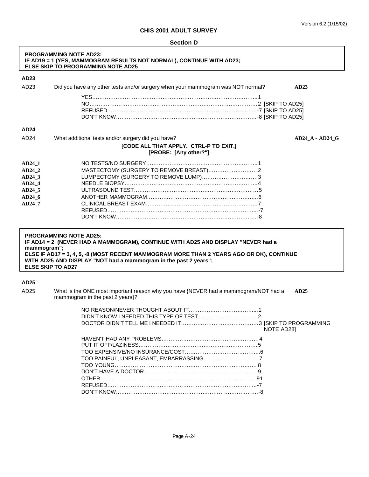|                                                                      | <b>PROGRAMMING NOTE AD23:</b><br>IF AD19 = 1 (YES, MAMMOGRAM RESULTS NOT NORMAL), CONTINUE WITH AD23;<br>ELSE SKIP TO PROGRAMMING NOTE AD25                                                                                                                                                                   |                   |
|----------------------------------------------------------------------|---------------------------------------------------------------------------------------------------------------------------------------------------------------------------------------------------------------------------------------------------------------------------------------------------------------|-------------------|
| AD23                                                                 |                                                                                                                                                                                                                                                                                                               |                   |
| AD23                                                                 | Did you have any other tests and/or surgery when your mammogram was NOT normal?<br>AD23                                                                                                                                                                                                                       |                   |
|                                                                      |                                                                                                                                                                                                                                                                                                               |                   |
| AD24                                                                 |                                                                                                                                                                                                                                                                                                               |                   |
| AD <sub>24</sub>                                                     | What additional tests and/or surgery did you have?<br>[CODE ALL THAT APPLY. CTRL-P TO EXIT.]<br>[PROBE: [Any other?"]                                                                                                                                                                                         | $AD24_A - AD24_G$ |
| AD24 1<br>AD24 2<br>AD24 3<br>AD24_4<br>AD24_5<br>$AD24_6$<br>AD24_7 |                                                                                                                                                                                                                                                                                                               |                   |
| mammogram";                                                          | <b>PROGRAMMING NOTE AD25:</b><br>IF AD14 = 2 (NEVER HAD A MAMMOGRAM), CONTINUE WITH AD25 AND DISPLAY "NEVER had a<br>ELSE IF AD17 = 3, 4, 5, -8 (MOST RECENT MAMMOGRAM MORE THAN 2 YEARS AGO OR DK), CONTINUE<br>WITH AD25 AND DISPLAY "NOT had a mammogram in the past 2 years";<br><b>ELSE SKIP TO AD27</b> |                   |
|                                                                      |                                                                                                                                                                                                                                                                                                               |                   |
| AD25<br>AD <sub>25</sub>                                             | What is the ONE most important reason why you have {NEVER had a mammogram/NOT had a<br>AD25<br>mammogram in the past 2 years}?                                                                                                                                                                                |                   |
|                                                                      | NOTE AD28]                                                                                                                                                                                                                                                                                                    |                   |
|                                                                      |                                                                                                                                                                                                                                                                                                               |                   |

OTHER…………………………………………………………………………...91 REFUSED………………………………………………………………………..-7 DON'T KNOW…………………………………………………………………….-8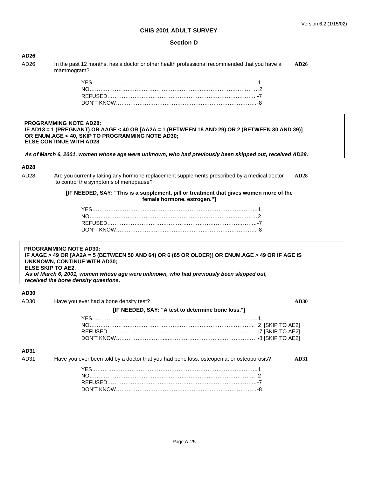## Version 6.2 (1/15/02)

# **CHIS 2001 ADULT SURVEY**

## **Section D**

| AD <sub>26</sub>         |                                                                                                                                                                                                                                                                                                            |             |
|--------------------------|------------------------------------------------------------------------------------------------------------------------------------------------------------------------------------------------------------------------------------------------------------------------------------------------------------|-------------|
| AD26                     | In the past 12 months, has a doctor or other health professional recommended that you have a<br>mammogram?                                                                                                                                                                                                 | AD26        |
|                          |                                                                                                                                                                                                                                                                                                            |             |
|                          |                                                                                                                                                                                                                                                                                                            |             |
|                          |                                                                                                                                                                                                                                                                                                            |             |
|                          |                                                                                                                                                                                                                                                                                                            |             |
|                          | <b>PROGRAMMING NOTE AD28:</b><br>IF AD13 = 1 (PREGNANT) OR AAGE < 40 OR [AA2A = 1 (BETWEEN 18 AND 29) OR 2 (BETWEEN 30 AND 39)]<br>OR ENUM.AGE < 40, SKIP TO PROGRAMMING NOTE AD30;<br><b>ELSE CONTINUE WITH AD28</b>                                                                                      |             |
|                          | As of March 6, 2001, women whose age were unknown, who had previously been skipped out, received AD28.                                                                                                                                                                                                     |             |
| AD <sub>28</sub>         |                                                                                                                                                                                                                                                                                                            |             |
| AD28                     | Are you currently taking any hormone replacement supplements prescribed by a medical doctor<br>to control the symptoms of menopause?                                                                                                                                                                       | <b>AD28</b> |
|                          | [IF NEEDED, SAY: "This is a supplement, pill or treatment that gives women more of the<br>female hormone, estrogen."]                                                                                                                                                                                      |             |
|                          |                                                                                                                                                                                                                                                                                                            |             |
|                          |                                                                                                                                                                                                                                                                                                            |             |
|                          |                                                                                                                                                                                                                                                                                                            |             |
|                          |                                                                                                                                                                                                                                                                                                            |             |
| <b>ELSE SKIP TO AE2.</b> | <b>PROGRAMMING NOTE AD30:</b><br>IF AAGE > 49 OR [AA2A = 5 (BETWEEN 50 AND 64) OR 6 (65 OR OLDER)] OR ENUM.AGE > 49 OR IF AGE IS<br><b>UNKNOWN, CONTINUE WITH AD30;</b><br>As of March 6, 2001, women whose age were unknown, who had previously been skipped out,<br>received the bone density questions. |             |
|                          |                                                                                                                                                                                                                                                                                                            |             |
| AD30<br>AD30             | Have you ever had a bone density test?                                                                                                                                                                                                                                                                     | AD30        |
|                          | [IF NEEDED, SAY: "A test to determine bone loss."]                                                                                                                                                                                                                                                         |             |
|                          |                                                                                                                                                                                                                                                                                                            |             |
|                          |                                                                                                                                                                                                                                                                                                            |             |
|                          |                                                                                                                                                                                                                                                                                                            |             |
|                          |                                                                                                                                                                                                                                                                                                            |             |
| <b>AD31</b>              |                                                                                                                                                                                                                                                                                                            |             |
| AD31                     | Have you ever been told by a doctor that you had bone loss, osteopenia, or osteoporosis?                                                                                                                                                                                                                   | <b>AD31</b> |
|                          |                                                                                                                                                                                                                                                                                                            |             |
|                          |                                                                                                                                                                                                                                                                                                            |             |
|                          |                                                                                                                                                                                                                                                                                                            |             |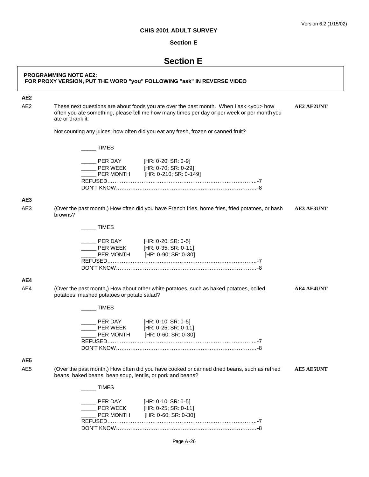#### **Section E**

# **Section E**

# **PROGRAMMING NOTE AE2: FOR PROXY VERSION, PUT THE WORD "you" FOLLOWING "ask" IN REVERSE VIDEO AE2** AE2 These next questions are about foods you ate over the past month. When I ask <you> how **AE2 AE2UNT** often you ate something, please tell me how many times per day or per week or per month you ate or drank it. Not counting any juices, how often did you eat any fresh, frozen or canned fruit? \_\_\_\_\_ TIMES PER DAY [HR: 0-20; SR: 0-9] PER WEEK [HR: 0-70; SR: 0-29]<br>PER MONTH [HR: 0-210; SR: 0-14 [HR: 0-210; SR: 0-149] REFUSED………………………………………………………………………..-7 DON'T KNOW……………………………………………………………………-8 **AE3** AE3 (Over the past month,) How often did you have French fries, home fries, fried potatoes, or hash **AE3 AE3UNT** browns?  $\_$  TIMES \_\_\_\_\_ PER DAY [HR: 0-20; SR: 0-5] PER WEEK [HR: 0-35; SR: 0-11] PER MONTH [HR: 0-90; SR: 0-30] REFUSED………………………………………………………………………..-7 DON'T KNOW……………………………………………………………………-8

#### **AE4**

AE4 (Over the past month,) How about other white potatoes, such as baked potatoes, boiled **AE4 AE4UNT** potatoes, mashed potatoes or potato salad?

| PER DAY          | [HR: 0-10; SR: 0-5]  |  |
|------------------|----------------------|--|
| PFR WFFK         | [HR: 0-25; SR: 0-11] |  |
| <b>PER MONTH</b> | [HR: 0-60; SR: 0-30] |  |
|                  |                      |  |
|                  |                      |  |
|                  |                      |  |

# **AE5**

AE5 (Over the past month,) How often did you have cooked or canned dried beans, such as refried **AE5 AE5UNT** beans, baked beans, bean soup, lentils, or pork and beans?

| <b>TIMES</b>                     |                                                                       |  |
|----------------------------------|-----------------------------------------------------------------------|--|
| PER DAY<br>PER WEEK<br>PER MONTH | $[HR: 0-10; SR: 0-5]$<br>[HR: 0-25; SR: 0-11]<br>[HR: 0-60; SR: 0-30] |  |
| <b>REFUSED</b>                   |                                                                       |  |
| DON'T KNOW                       |                                                                       |  |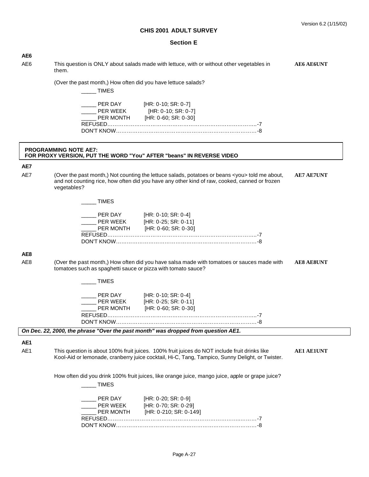| AE6             |                                                                                                                                                                                                                        |                   |
|-----------------|------------------------------------------------------------------------------------------------------------------------------------------------------------------------------------------------------------------------|-------------------|
| AE <sub>6</sub> | This question is ONLY about salads made with lettuce, with or without other vegetables in<br>them.                                                                                                                     | <b>AE6 AE6UNT</b> |
|                 | (Over the past month,) How often did you have lettuce salads?<br><b>TIMES</b>                                                                                                                                          |                   |
|                 | Let PER DAY [HR: 0-10; SR: 0-7]<br>$\frac{1}{2}$ PER WEEK [HR: 0-10; SR: 0-7]<br>PER MONTH [HR: 0-60; SR: 0-30]                                                                                                        |                   |
|                 | <b>PROGRAMMING NOTE AE7:</b><br>FOR PROXY VERSION, PUT THE WORD "You" AFTER "beans" IN REVERSE VIDEO                                                                                                                   |                   |
| AE7             |                                                                                                                                                                                                                        |                   |
| AE7             | (Over the past month,) Not counting the lettuce salads, potatoes or beans <you> told me about,<br/>and not counting rice, how often did you have any other kind of raw, cooked, canned or frozen<br/>vegetables?</you> | <b>AE7 AE7UNT</b> |
|                 | <b>TIMES</b>                                                                                                                                                                                                           |                   |
|                 | __ PER DAY [HR: 0-10; SR: 0-4]<br>PER WEEK [HR: 0-25; SR: 0-11]<br>PER MONTH [HR: 0-60; SR: 0-30]                                                                                                                      |                   |
| AE8             |                                                                                                                                                                                                                        |                   |
| AE <sub>8</sub> | (Over the past month,) How often did you have salsa made with tomatoes or sauces made with<br>tomatoes such as spaghetti sauce or pizza with tomato sauce?                                                             | <b>AE8 AE8UNT</b> |
|                 | TIMES                                                                                                                                                                                                                  |                   |
|                 | PER DAY [HR: 0-10; SR: 0-4]<br>PER WEEK [HR: 0-25; SR: 0-11]<br>PER MONTH [HR: 0-60; SR: 0-30]                                                                                                                         |                   |
|                 | On Dec. 22, 2000, the phrase "Over the past month" was dropped from question AE1.                                                                                                                                      |                   |
| AE1<br>AE1      | This question is about 100% fruit juices. 100% fruit juices do NOT include fruit drinks like<br>Kool-Aid or lemonade, cranberry juice cocktail, Hi-C, Tang, Tampico, Sunny Delight, or Twister.                        | <b>AE1 AE1UNT</b> |
|                 | How often did you drink 100% fruit juices, like orange juice, mango juice, apple or grape juice?<br>____ TIMES                                                                                                         |                   |
|                 | PER DAY [HR: 0-20; SR: 0-9]<br>PER WEEK [HR: 0-70; SR: 0-29]<br>PER MONTH [HR: 0-210; SR: 0-149]                                                                                                                       |                   |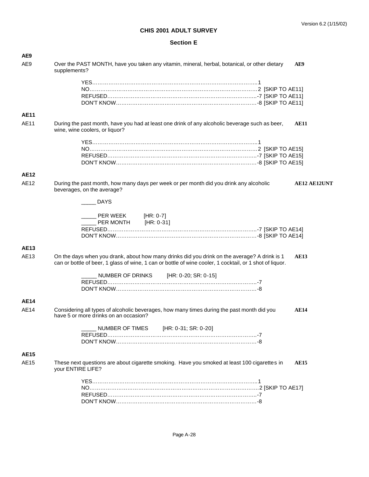| AE9         |                                                                                                                                                                                                                         |
|-------------|-------------------------------------------------------------------------------------------------------------------------------------------------------------------------------------------------------------------------|
| AE9         | Over the PAST MONTH, have you taken any vitamin, mineral, herbal, botanical, or other dietary<br>AE9<br>supplements?                                                                                                    |
|             |                                                                                                                                                                                                                         |
|             |                                                                                                                                                                                                                         |
|             |                                                                                                                                                                                                                         |
|             |                                                                                                                                                                                                                         |
| <b>AE11</b> |                                                                                                                                                                                                                         |
| <b>AE11</b> | During the past month, have you had at least one drink of any alcoholic beverage such as beer,<br><b>AE11</b>                                                                                                           |
|             | wine, wine coolers, or liquor?                                                                                                                                                                                          |
|             |                                                                                                                                                                                                                         |
|             |                                                                                                                                                                                                                         |
|             |                                                                                                                                                                                                                         |
|             |                                                                                                                                                                                                                         |
| <b>AE12</b> |                                                                                                                                                                                                                         |
| AE12        | During the past month, how many days per week or per month did you drink any alcoholic<br><b>AE12 AE12UNT</b><br>beverages, on the average?                                                                             |
|             | DAYS                                                                                                                                                                                                                    |
|             | PER WEEK [HR: 0-7]                                                                                                                                                                                                      |
|             | PER MONTH [HR: 0-31]                                                                                                                                                                                                    |
|             |                                                                                                                                                                                                                         |
|             |                                                                                                                                                                                                                         |
| <b>AE13</b> |                                                                                                                                                                                                                         |
| AE13        | On the days when you drank, about how many drinks did you drink on the average? A drink is 1<br><b>AE13</b><br>can or bottle of beer, 1 glass of wine, 1 can or bottle of wine cooler, 1 cocktail, or 1 shot of liquor. |
|             | NUMBER OF DRINKS<br>[HR: 0-20; SR: 0-15]                                                                                                                                                                                |
|             |                                                                                                                                                                                                                         |
|             |                                                                                                                                                                                                                         |
|             |                                                                                                                                                                                                                         |
| <b>AE14</b> |                                                                                                                                                                                                                         |
| <b>AE14</b> | Considering all types of alcoholic beverages, how many times during the past month did you<br><b>AE14</b><br>have 5 or more drinks on an occasion?                                                                      |
|             | NUMBER OF TIMES [HR: 0-31; SR: 0-20]                                                                                                                                                                                    |
|             |                                                                                                                                                                                                                         |
|             |                                                                                                                                                                                                                         |
| <b>AE15</b> |                                                                                                                                                                                                                         |
|             |                                                                                                                                                                                                                         |
| AE15        | These next questions are about cigarette smoking. Have you smoked at least 100 cigarettes in<br><b>AE15</b><br>your ENTIRE LIFE?                                                                                        |
|             |                                                                                                                                                                                                                         |
|             |                                                                                                                                                                                                                         |
|             |                                                                                                                                                                                                                         |
|             |                                                                                                                                                                                                                         |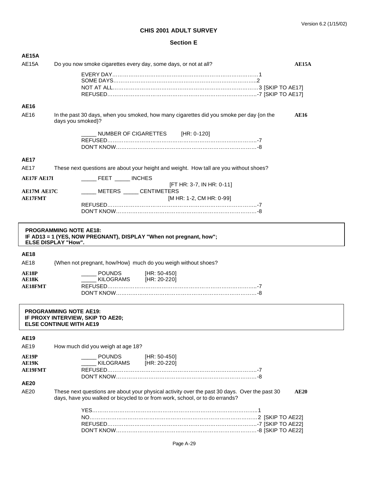| <b>AE15A</b>       |                                                                                                                                                                               |             |
|--------------------|-------------------------------------------------------------------------------------------------------------------------------------------------------------------------------|-------------|
| AE15A              | Do you now smoke cigarettes every day, some days, or not at all?                                                                                                              | AE15A       |
|                    |                                                                                                                                                                               |             |
|                    |                                                                                                                                                                               |             |
|                    |                                                                                                                                                                               |             |
| AE16               |                                                                                                                                                                               |             |
| AE16               | In the past 30 days, when you smoked, how many cigarettes did you smoke per day {on the<br>days you smoked}?                                                                  | <b>AE16</b> |
|                    | NUMBER OF CIGARETTES [HR: 0-120]                                                                                                                                              |             |
|                    |                                                                                                                                                                               |             |
|                    |                                                                                                                                                                               |             |
| <b>AE17</b>        |                                                                                                                                                                               |             |
| <b>AE17</b>        | These next questions are about your height and weight. How tall are you without shoes?                                                                                        |             |
| <b>AE17F AE17I</b> | _____ FEET _____ INCHES<br>[FT HR: 3-7, IN HR: 0-11]                                                                                                                          |             |
| <b>AE17M AE17C</b> | _____ METERS _____ CENTIMETERS                                                                                                                                                |             |
| <b>AE17FMT</b>     | [M HR: 1-2, CM HR: 0-99]                                                                                                                                                      |             |
|                    |                                                                                                                                                                               |             |
|                    |                                                                                                                                                                               |             |
|                    | <b>PROGRAMMING NOTE AE18:</b><br>IF AD13 = 1 (YES, NOW PREGNANT), DISPLAY "When not pregnant, how";<br><b>ELSE DISPLAY "How".</b>                                             |             |
| <b>AE18</b>        |                                                                                                                                                                               |             |
| AE18               | {When not pregnant, how/How} much do you weigh without shoes?                                                                                                                 |             |
| AE18P              | <b>POUNDS</b><br>[HR: 50-450]                                                                                                                                                 |             |
| <b>AE18K</b>       | KILOGRAMS [HR: 20-220]                                                                                                                                                        |             |
| <b>AE18FMT</b>     |                                                                                                                                                                               |             |
|                    |                                                                                                                                                                               |             |
|                    | <b>PROGRAMMING NOTE AE19:</b><br>IF PROXY INTERVIEW, SKIP TO AE20;<br><b>ELSE CONTINUE WITH AE19</b>                                                                          |             |
| <b>AE19</b>        |                                                                                                                                                                               |             |
| AE19               | How much did you weigh at age 18?                                                                                                                                             |             |
| AE19P              | <b>POUNDS</b><br>[HR: 50-450]                                                                                                                                                 |             |
| AE19K              |                                                                                                                                                                               |             |
|                    | KILOGRAMS [HR: 20-220]                                                                                                                                                        |             |
| <b>AE19FMT</b>     |                                                                                                                                                                               |             |
| <b>AE20</b>        |                                                                                                                                                                               |             |
| AE20               | These next questions are about your physical activity over the past 30 days. Over the past 30<br>days, have you walked or bicycled to or from work, school, or to do errands? | AE20        |
|                    |                                                                                                                                                                               |             |
|                    |                                                                                                                                                                               |             |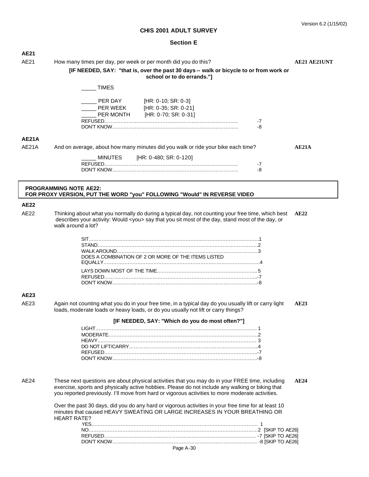| <b>AE21</b>  |                                                                                                                                                                                                                                                                                                         |              |
|--------------|---------------------------------------------------------------------------------------------------------------------------------------------------------------------------------------------------------------------------------------------------------------------------------------------------------|--------------|
| AE21         | How many times per day, per week or per month did you do this?                                                                                                                                                                                                                                          | AE21 AE21UNT |
|              | [IF NEEDED, SAY: "that is, over the past 30 days -- walk or bicycle to or from work or<br>school or to do errands."]                                                                                                                                                                                    |              |
|              |                                                                                                                                                                                                                                                                                                         |              |
|              | <b>TIMES</b>                                                                                                                                                                                                                                                                                            |              |
|              |                                                                                                                                                                                                                                                                                                         |              |
|              | <b>PER DAY</b> [HR: 0-10; SR: 0-3]<br>——<br>PER WEEK [HR: 0-35; SR: 0-21]                                                                                                                                                                                                                               |              |
|              |                                                                                                                                                                                                                                                                                                         |              |
|              | PER MONTH [HR: 0-70; SR: 0-31]                                                                                                                                                                                                                                                                          |              |
|              | $-7$<br>-8                                                                                                                                                                                                                                                                                              |              |
|              |                                                                                                                                                                                                                                                                                                         |              |
| <b>AE21A</b> |                                                                                                                                                                                                                                                                                                         |              |
| AE21A        | And on average, about how many minutes did you walk or ride your bike each time?                                                                                                                                                                                                                        | AE21A        |
|              | MINUTES<br>[HR: 0-480; SR: 0-120]                                                                                                                                                                                                                                                                       |              |
|              | -7                                                                                                                                                                                                                                                                                                      |              |
|              | -8                                                                                                                                                                                                                                                                                                      |              |
|              |                                                                                                                                                                                                                                                                                                         |              |
|              | <b>PROGRAMMING NOTE AE22:</b>                                                                                                                                                                                                                                                                           |              |
|              | FOR PROXY VERSION, PUT THE WORD "you" FOLLOWING "Would" IN REVERSE VIDEO                                                                                                                                                                                                                                |              |
|              |                                                                                                                                                                                                                                                                                                         |              |
| <b>AE22</b>  |                                                                                                                                                                                                                                                                                                         |              |
| AE22         | Thinking about what you normally do during a typical day, not counting your free time, which best<br>describes your activity: Would <you> say that you sit most of the day, stand most of the day, or<br/>walk around a lot?</you>                                                                      | AE22         |
|              |                                                                                                                                                                                                                                                                                                         |              |
|              |                                                                                                                                                                                                                                                                                                         |              |
|              |                                                                                                                                                                                                                                                                                                         |              |
|              |                                                                                                                                                                                                                                                                                                         |              |
|              | DOES A COMBINATION OF 2 OR MORE OF THE ITEMS LISTED                                                                                                                                                                                                                                                     |              |
|              |                                                                                                                                                                                                                                                                                                         |              |
|              |                                                                                                                                                                                                                                                                                                         |              |
|              |                                                                                                                                                                                                                                                                                                         |              |
|              |                                                                                                                                                                                                                                                                                                         |              |
|              |                                                                                                                                                                                                                                                                                                         |              |
| AE23         |                                                                                                                                                                                                                                                                                                         |              |
| AE23         | Again not counting what you do in your free time, in a typical day do you usually lift or carry light<br>loads, moderate loads or heavy loads, or do you usually not lift or carry things?                                                                                                              | AE23         |
|              | [IF NEEDED, SAY: "Which do you do most often?"]                                                                                                                                                                                                                                                         |              |
|              |                                                                                                                                                                                                                                                                                                         |              |
|              |                                                                                                                                                                                                                                                                                                         |              |
|              |                                                                                                                                                                                                                                                                                                         |              |
|              |                                                                                                                                                                                                                                                                                                         |              |
|              |                                                                                                                                                                                                                                                                                                         |              |
|              |                                                                                                                                                                                                                                                                                                         |              |
|              |                                                                                                                                                                                                                                                                                                         |              |
| AE24         | These next questions are about physical activities that you may do in your FREE time, including<br>exercise, sports and physically active hobbies. Please do not include any walking or biking that<br>you reported previously. I'll move from hard or vigorous activities to more moderate activities. | AE24         |
|              | Over the past 30 days, did you do any hard or vigorous activities in your free time for at least 10<br>minutes that caused HEAVY SWEATING OR LARGE INCREASES IN YOUR BREATHING OR<br><b>HEART RATE?</b>                                                                                                 |              |
|              |                                                                                                                                                                                                                                                                                                         |              |
|              |                                                                                                                                                                                                                                                                                                         |              |
|              |                                                                                                                                                                                                                                                                                                         |              |
|              | Page A-30                                                                                                                                                                                                                                                                                               |              |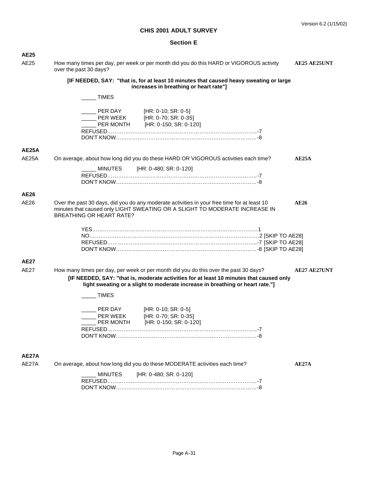| <b>AE25</b>                |                                                                                                                                                                                                                       |
|----------------------------|-----------------------------------------------------------------------------------------------------------------------------------------------------------------------------------------------------------------------|
| AE25                       | How many times per day, per week or per month did you do this HARD or VIGOROUS activity<br><b>AE25 AE25UNT</b><br>over the past 30 days?                                                                              |
|                            | [IF NEEDED, SAY: "that is, for at least 10 minutes that caused heavy sweating or large<br>increases in breathing or heart rate"]                                                                                      |
|                            | <b>TIMES</b>                                                                                                                                                                                                          |
|                            |                                                                                                                                                                                                                       |
|                            | $[HR: 0-10; SR: 0-5]$                                                                                                                                                                                                 |
|                            | ___ PER WEEK   [HR: 0-70; SR: 0-35]<br>___ PER MONTH   [HR: 0-150; SR: 0-120]                                                                                                                                         |
|                            |                                                                                                                                                                                                                       |
|                            |                                                                                                                                                                                                                       |
| <b>AE25A</b>               |                                                                                                                                                                                                                       |
| AE25A                      | On average, about how long did you do these HARD OR VIGOROUS activities each time?<br>AE25A                                                                                                                           |
|                            | [HR: 0-480; SR: 0-120]<br>MINUTES                                                                                                                                                                                     |
|                            |                                                                                                                                                                                                                       |
|                            |                                                                                                                                                                                                                       |
| <b>AE26</b>                |                                                                                                                                                                                                                       |
| AE26                       | Over the past 30 days, did you do any moderate activities in your free time for at least 10<br>AE26<br>minutes that caused only LIGHT SWEATING OR A SLIGHT TO MODERATE INCREASE IN<br><b>BREATHING OR HEART RATE?</b> |
|                            |                                                                                                                                                                                                                       |
|                            |                                                                                                                                                                                                                       |
|                            |                                                                                                                                                                                                                       |
|                            |                                                                                                                                                                                                                       |
|                            |                                                                                                                                                                                                                       |
| <b>AE27</b><br><b>AE27</b> |                                                                                                                                                                                                                       |
|                            | How many times per day, per week or per month did you do this over the past 30 days?<br><b>AE27 AE27UNT</b><br>[IF NEEDED, SAY: "that is, moderate activities for at least 10 minutes that caused only                |
|                            | light sweating or a slight to moderate increase in breathing or heart rate."]                                                                                                                                         |
|                            | <b>TIMES</b>                                                                                                                                                                                                          |
|                            |                                                                                                                                                                                                                       |
|                            | PER DAY<br>[HR: 0-10; SR: 0-5]                                                                                                                                                                                        |
|                            | PER WEEK<br>[HR: 0-70; SR: 0-35]                                                                                                                                                                                      |
|                            | [HR: 0-150; SR: 0-120]<br>PER MONTH                                                                                                                                                                                   |
|                            |                                                                                                                                                                                                                       |
|                            |                                                                                                                                                                                                                       |
|                            |                                                                                                                                                                                                                       |
| AE27A                      |                                                                                                                                                                                                                       |
| AE27A                      | On average, about how long did you do these MODERATE activities each time?<br>AE27A                                                                                                                                   |
|                            | [HR: 0-480; SR: 0-120]<br><b>MINUTES</b>                                                                                                                                                                              |
|                            |                                                                                                                                                                                                                       |
|                            |                                                                                                                                                                                                                       |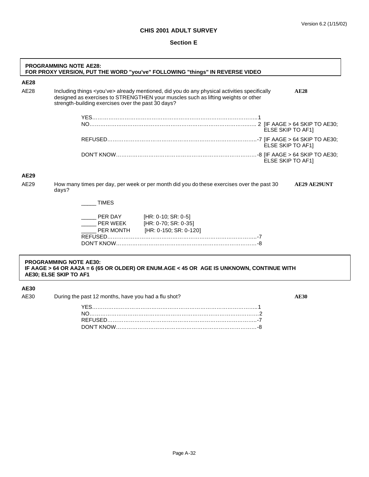# **Section E**

|              | <b>PROGRAMMING NOTE AE28:</b><br>FOR PROXY VERSION, PUT THE WORD "you've" FOLLOWING "things" IN REVERSE VIDEO                                                                                                                                               |  |  |
|--------------|-------------------------------------------------------------------------------------------------------------------------------------------------------------------------------------------------------------------------------------------------------------|--|--|
| <b>AE28</b>  |                                                                                                                                                                                                                                                             |  |  |
| AE28         | Including things <you've> already mentioned, did you do any physical activities specifically<br/>AE28<br/>designed as exercises to STRENGTHEN your muscles such as lifting weights or other<br/>strength-building exercises over the past 30 days?</you've> |  |  |
|              | <b>ELSE SKIP TO AF11</b>                                                                                                                                                                                                                                    |  |  |
|              | ELSE SKIP TO AF1]                                                                                                                                                                                                                                           |  |  |
|              | ELSE SKIP TO AF1]                                                                                                                                                                                                                                           |  |  |
| AE29<br>AE29 | How many times per day, per week or per month did you do these exercises over the past 30<br><b>AE29 AE29UNT</b>                                                                                                                                            |  |  |
|              | days?                                                                                                                                                                                                                                                       |  |  |
|              | <b>TIMES</b>                                                                                                                                                                                                                                                |  |  |
|              | Let $[HR: 0-10; SR: 0-5]$<br><b>EXECUTE: 0-70; SR: 0-35]</b><br>PER MONTH [HR: 0-150; SR: 0-120]                                                                                                                                                            |  |  |
|              |                                                                                                                                                                                                                                                             |  |  |
|              | <b>PROGRAMMING NOTE AE30:</b><br>IF AAGE > 64 OR AA2A = 6 (65 OR OLDER) OR ENUM.AGE < 45 OR AGE IS UNKNOWN, CONTINUE WITH<br>AE30; ELSE SKIP TO AF1                                                                                                         |  |  |

# **AE30**

AE30 During the past 12 months, have you had a flu shot? **AE30** AE30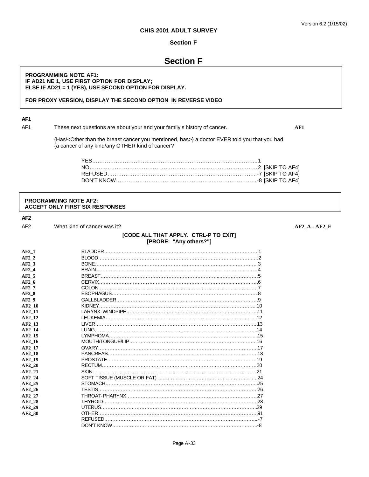### **Section F**

# **Section F**

#### **PROGRAMMING NOTE AF1: IF AD21 NE 1, USE FIRST OPTION FOR DISPLAY; ELSE IF AD21 = 1 (YES), USE SECOND OPTION FOR DISPLAY.**

#### **FOR PROXY VERSION, DISPLAY THE SECOND OPTION IN REVERSE VIDEO**

# **AF1**

AF1 These next questions are about your and your family's history of cancer. **AF1**

{Has/<Other than the breast cancer you mentioned, has>} a doctor EVER told you that you had {a cancer of any kind/any OTHER kind of cancer?

#### **PROGRAMMING NOTE AF2: ACCEPT ONLY FIRST SIX RESPONSES**

**AF2**

AF2 What kind of cancer was it? **AF2** A - AF2 F

#### **[CODE ALL THAT APPLY. CTRL-P TO EXIT] [PROBE: "Any others?"]**

**AF2\_1** BLADDER……………………………………………………………………………………1 **AF2\_2** BLOOD…………………………………………………………………………………….…2 **AF2\_3** BONE…………………………………………………………………………..…………… 3 **AF2\_4** BRAIN………………………………………………………………………….…………….4 **AF2\_5** BREAST………………………………………………………………..……………………5 **AF2\_6** CERVIX………………………………………………………………………..…………….6 **AF2\_7** COLON………………………………………………………………………………………7 **AF2\_8** ESOPHAGUS………………………………………………………………………………8 **AF2\_9** GALLBLADDER…………………………………………………………………………….9 **AF2\_10** KIDNEY……………………………………………………………………………………..10 **AF2\_11** LARYNX-WINDPIPE……………………………………………………………………….11 **AF2\_12** LEUKEMIA………………………………………………………………………………….12 **AF2\_13** LIVER………………………………………………………………………………………..13 **AF2\_14** LUNG………………………………………………………………………………………..14 **AF2\_15** LYMPHOMA………………………………………………………………………………...15 **AF2\_16** MOUTH/TONGUE/LIP…………………………………………………………………….16 **AF2\_17** OVARY………………………………………………………………………………………17 **AF2\_18** PANCREAS…………………………………………………………………………………18 **AF2\_19** PROSTATE…………………………………………………………………………………19 **AF2\_20** RECTUM……………………………………………………………………………………20 **AF2\_21** SKIN…………………………………………………………………………………………21 **AF2\_24** SOFT TISSUE (MUSCLE OR FAT) ……………………………………………………..24 **AF2\_25** STOMACH…………………………………………………………………………………..25 **AF2\_26** TESTIS………………………………………………………………………………………26 **AF2\_27** THROAT-PHARYNX……………………………………………………………………….27 **AF2\_28** THYROID……………………………………………………………………………………28 **AF2\_29** UTERUS…………………………………………………………………………………….29 **AF2\_30** OTHER………………………………………………………………………………………91 REFUSED…………………………………………………………………………………...-7 DON'T KNOW………………………………………………………………………………-8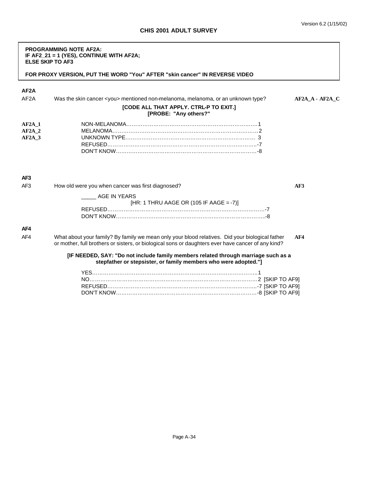| <b>PROGRAMMING NOTE AF2A:</b>              |
|--------------------------------------------|
| IF AF2 $21 = 1$ (YES), CONTINUE WITH AF2A; |
| <b>ELSE SKIP TO AF3</b>                    |

**FOR PROXY VERSION, PUT THE WORD "You" AFTER "skin cancer" IN REVERSE VIDEO**

| AF <sub>2</sub> A                  |                                                                                                                                                                                                       |                 |
|------------------------------------|-------------------------------------------------------------------------------------------------------------------------------------------------------------------------------------------------------|-----------------|
| AF <sub>2</sub> A                  | Was the skin cancer <you> mentioned non-melanoma, melanoma, or an unknown type?</you>                                                                                                                 | AF2A A - AF2A C |
|                                    | [CODE ALL THAT APPLY. CTRL-P TO EXIT.]<br>[PROBE: "Any others?"                                                                                                                                       |                 |
| $AF2A$ 1<br>$AF2A$ 2<br>$AF2A$ 3   |                                                                                                                                                                                                       |                 |
| AF <sub>3</sub><br>AF <sub>3</sub> | How old were you when cancer was first diagnosed?                                                                                                                                                     | AF3             |
|                                    | AGE IN YEARS<br>[HR: 1 THRU AAGE OR (105 IF AAGE = -7)]                                                                                                                                               |                 |
| AF4                                |                                                                                                                                                                                                       |                 |
| AF4                                | What about your family? By family we mean only your blood relatives. Did your biological father<br>or mother, full brothers or sisters, or biological sons or daughters ever have cancer of any kind? | AF4             |
|                                    | [IF NEEDED, SAY: "Do not include family members related through marriage such as a<br>stepfather or stepsister, or family members who were adopted."]                                                 |                 |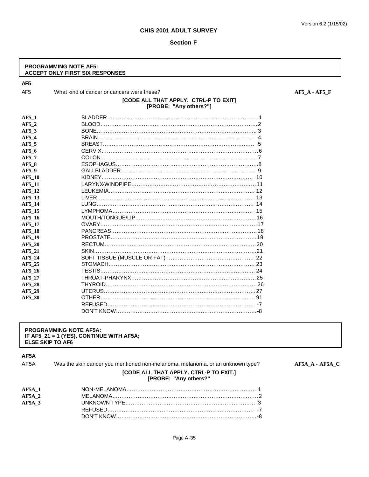#### **Section F**

#### **PROGRAMMING NOTE AF5: ACCEPT ONLY FIRST SIX RESPONSES**

**AF5**

AF5 What kind of cancer or cancers were these? **AF5\_A - AF5\_A** - AF5\_F

# **[CODE ALL THAT APPLY. CTRL-P TO EXIT] [PROBE: "Any others?"]**

| AF5 1         |  |
|---------------|--|
| AF5 2         |  |
| AF5 3         |  |
| AF5 4         |  |
| AF5 5         |  |
| AF5 6         |  |
| AF5 7         |  |
| AF5 8         |  |
| AF5 9         |  |
| AF5 10        |  |
| <b>AF5 11</b> |  |
| AF5 12        |  |
| AF5 13        |  |
| AF5_14        |  |
| AF5 15        |  |
| AF5 16        |  |
| AF5 17        |  |
| AF5 18        |  |
| AF5 19        |  |
| AF5 20        |  |
| AF5 21        |  |
| AF5 24        |  |
| AF5 25        |  |
| AF5 26        |  |
| AF5 27        |  |
| AF5 28        |  |
| AF5 29        |  |
| AF5 30        |  |
|               |  |
|               |  |

### **PROGRAMMING NOTE AF5A: IF AF5\_21 = 1 (YES), CONTINUE WITH AF5A; ELSE SKIP TO AF6**

# **AF5A**

AF5A Was the skin cancer you mentioned non-melanoma, melanoma, or an unknown type? AF5A\_A - AF5A\_C

#### **[CODE ALL THAT APPLY. CTRL-P TO EXIT.] [PROBE: "Any others?"**

| $AF5A$ 1          |  |
|-------------------|--|
| AF5A <sub>2</sub> |  |
| $AF5A$ 3          |  |
|                   |  |
|                   |  |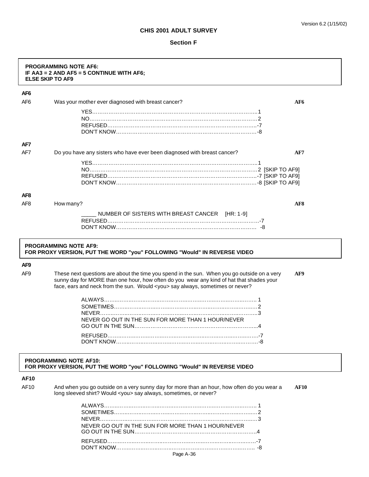|                 | <b>PROGRAMMING NOTE AF6:</b><br>IF AA3 = 2 AND AF5 = 5 CONTINUE WITH AF6;<br><b>ELSE SKIP TO AF9</b>                                                                                                                                                                           |             |
|-----------------|--------------------------------------------------------------------------------------------------------------------------------------------------------------------------------------------------------------------------------------------------------------------------------|-------------|
| AF <sub>6</sub> |                                                                                                                                                                                                                                                                                |             |
| AF <sub>6</sub> | Was your mother ever diagnosed with breast cancer?                                                                                                                                                                                                                             | AF6         |
|                 |                                                                                                                                                                                                                                                                                |             |
|                 |                                                                                                                                                                                                                                                                                |             |
|                 |                                                                                                                                                                                                                                                                                |             |
| AF7             |                                                                                                                                                                                                                                                                                |             |
| AF7             | Do you have any sisters who have ever been diagnosed with breast cancer?                                                                                                                                                                                                       | AF7         |
|                 |                                                                                                                                                                                                                                                                                |             |
|                 |                                                                                                                                                                                                                                                                                |             |
|                 |                                                                                                                                                                                                                                                                                |             |
|                 |                                                                                                                                                                                                                                                                                |             |
| AF <sub>8</sub> |                                                                                                                                                                                                                                                                                |             |
| AF <sub>8</sub> | How many?                                                                                                                                                                                                                                                                      | AF8         |
|                 | NUMBER OF SISTERS WITH BREAST CANCER [HR: 1-9]                                                                                                                                                                                                                                 |             |
|                 |                                                                                                                                                                                                                                                                                |             |
|                 |                                                                                                                                                                                                                                                                                |             |
| AF <sub>9</sub> | <b>PROGRAMMING NOTE AF9:</b><br>FOR PROXY VERSION, PUT THE WORD "you" FOLLOWING "Would" IN REVERSE VIDEO                                                                                                                                                                       |             |
| AF <sub>9</sub> | These next questions are about the time you spend in the sun. When you go outside on a very<br>sunny day for MORE than one hour, how often do you wear any kind of hat that shades your<br>face, ears and neck from the sun. Would <you> say always, sometimes or never?</you> | AF9         |
|                 |                                                                                                                                                                                                                                                                                |             |
|                 |                                                                                                                                                                                                                                                                                |             |
|                 | NEVER GO OUT IN THE SUN FOR MORE THAN 1 HOUR/NEVER                                                                                                                                                                                                                             |             |
|                 | GO OUT IN THE SUN.                                                                                                                                                                                                                                                             |             |
|                 |                                                                                                                                                                                                                                                                                |             |
|                 |                                                                                                                                                                                                                                                                                |             |
|                 | <b>PROGRAMMING NOTE AF10:</b><br>FOR PROXY VERSION, PUT THE WORD "you" FOLLOWING "Would" IN REVERSE VIDEO                                                                                                                                                                      |             |
| <b>AF10</b>     |                                                                                                                                                                                                                                                                                |             |
| AF10            | And when you go outside on a very sunny day for more than an hour, how often do you wear a<br>long sleeved shirt? Would <you> say always, sometimes, or never?</you>                                                                                                           | <b>AF10</b> |
|                 |                                                                                                                                                                                                                                                                                |             |
|                 |                                                                                                                                                                                                                                                                                |             |
|                 |                                                                                                                                                                                                                                                                                |             |
|                 | NEVER GO OUT IN THE SUN FOR MORE THAN 1 HOUR/NEVER                                                                                                                                                                                                                             |             |
|                 |                                                                                                                                                                                                                                                                                |             |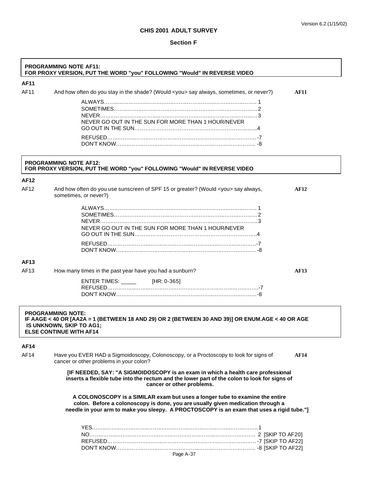| <b>AF11</b> |                                                                                                                                                                                                                                                              |             |
|-------------|--------------------------------------------------------------------------------------------------------------------------------------------------------------------------------------------------------------------------------------------------------------|-------------|
| AF11        | And how often do you stay in the shade? (Would <you> say always, sometimes, or never?)</you>                                                                                                                                                                 | <b>AF11</b> |
|             | NEVER GO OUT IN THE SUN FOR MORE THAN 1 HOUR/NEVER                                                                                                                                                                                                           |             |
|             |                                                                                                                                                                                                                                                              |             |
|             | <b>PROGRAMMING NOTE AF12:</b><br>FOR PROXY VERSION, PUT THE WORD "you" FOLLOWING "Would" IN REVERSE VIDEO                                                                                                                                                    |             |
| AF12        |                                                                                                                                                                                                                                                              |             |
| AF12        | And how often do you use sunscreen of SPF 15 or greater? (Would <you> say always,<br/>sometimes, or never?)</you>                                                                                                                                            | <b>AF12</b> |
|             | NEVER GO OUT IN THE SUN FOR MORE THAN 1 HOUR/NEVER                                                                                                                                                                                                           |             |
|             |                                                                                                                                                                                                                                                              |             |
| AF13        |                                                                                                                                                                                                                                                              |             |
| AF13        | How many times in the past year have you had a sunburn?                                                                                                                                                                                                      | <b>AF13</b> |
|             | ENTER TIMES: _______ [HR: 0-365]                                                                                                                                                                                                                             |             |
|             | <b>PROGRAMMING NOTE:</b><br>IF AAGE < 40 OR [AA2A = 1 (BETWEEN 18 AND 29) OR 2 (BETWEEN 30 AND 39)] OR ENUM.AGE < 40 OR AGE<br>IS UNKNOWN, SKIP TO AG1;<br><b>ELSE CONTINUE WITH AF14</b>                                                                    |             |
|             |                                                                                                                                                                                                                                                              |             |
| <b>AF14</b> |                                                                                                                                                                                                                                                              |             |
|             | Have you EVER HAD a Sigmoidoscopy, Colonoscopy, or a Proctoscopy to look for signs of<br>cancer or other problems in your colon?                                                                                                                             | <b>AF14</b> |
|             | [IF NEEDED, SAY: "A SIGMOIDOSCOPY is an exam in which a health care professional<br>inserts a flexible tube into the rectum and the lower part of the colon to look for signs of<br>cancer or other problems.                                                |             |
| AF14        | A COLONOSCOPY is a SIMILAR exam but uses a longer tube to examine the entire<br>colon. Before a colonoscopy is done, you are usually given medication through a<br>needle in your arm to make you sleepy. A PROCTOSCOPY is an exam that uses a rigid tube."] |             |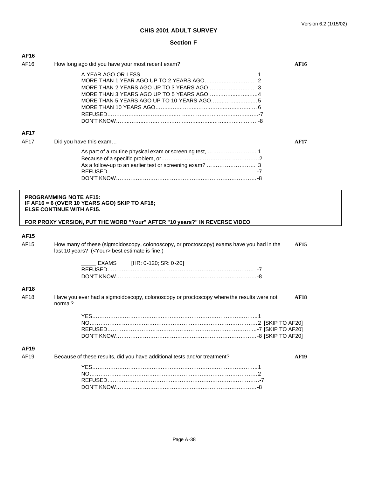| AF16        |                                                                                                                                                                                                |             |
|-------------|------------------------------------------------------------------------------------------------------------------------------------------------------------------------------------------------|-------------|
| AF16        | How long ago did you have your most recent exam?                                                                                                                                               | <b>AF16</b> |
|             |                                                                                                                                                                                                |             |
| <b>AF17</b> |                                                                                                                                                                                                |             |
| <b>AF17</b> | Did you have this exam                                                                                                                                                                         | <b>AF17</b> |
|             |                                                                                                                                                                                                |             |
|             | <b>PROGRAMMING NOTE AF15:</b><br>IF AF16 = 6 (OVER 10 YEARS AGO) SKIP TO AF18;<br><b>ELSE CONTINUE WITH AF15.</b><br>FOR PROXY VERSION, PUT THE WORD "Your" AFTER "10 years?" IN REVERSE VIDEO |             |
| <b>AF15</b> |                                                                                                                                                                                                |             |
| AF15        | How many of these (sigmoidoscopy, colonoscopy, or proctoscopy) exams have you had in the<br>last 10 years? ( <your> best estimate is fine.)</your>                                             | <b>AF15</b> |
|             | [HR: 0-120; SR: 0-20]<br>EXAMS                                                                                                                                                                 |             |
| AF18        |                                                                                                                                                                                                |             |
| AF18        | Have you ever had a sigmoidoscopy, colonoscopy or proctoscopy where the results were not<br>normal?                                                                                            | <b>AF18</b> |
|             |                                                                                                                                                                                                |             |
| <b>AF19</b> |                                                                                                                                                                                                |             |
| AF19        | Because of these results, did you have additional tests and/or treatment?                                                                                                                      | <b>AF19</b> |
|             |                                                                                                                                                                                                |             |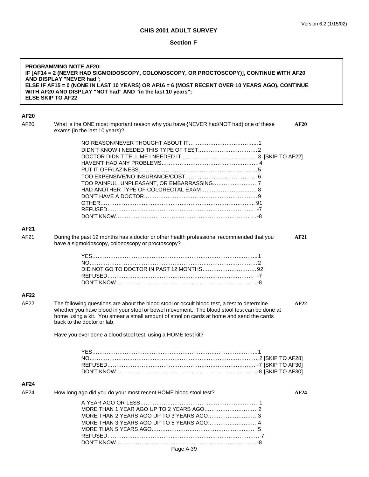| AF20<br>AF20<br>What is the ONE most important reason why you have {NEVER had/NOT had} one of these<br><b>AF20</b><br>exams {in the last 10 years}?<br>TOO PAINFUL, UNPLEASANT, OR EMBARRASSING 7<br>AF21<br>AF21<br>During the past 12 months has a doctor or other health professional recommended that you<br><b>AF21</b><br>have a sigmoidoscopy, colonoscopy or proctoscopy?<br>AF22<br>AF22<br>The following questions are about the blood stool or occult blood test, a test to determine<br>AF22<br>whether you have blood in your stool or bowel movement. The blood stool test can be done at<br>home using a kit. You smear a small amount of stool on cards at home and send the cards<br>back to the doctor or lab.<br>Have you ever done a blood stool test, using a HOME test kit?<br>AF24<br>AF24<br>How long ago did you do your most recent HOME blood stool test?<br>AF24<br>MORE THAN 3 YEARS AGO UP TO 5 YEARS AGO 4 | <b>PROGRAMMING NOTE AF20:</b><br>IF [AF14 = 2 (NEVER HAD SIGMOIDOSCOPY, COLONOSCOPY, OR PROCTOSCOPY)], CONTINUE WITH AF20<br>AND DISPLAY "NEVER had";<br>ELSE IF AF15 = 0 (NONE IN LAST 10 YEARS) OR AF16 = 6 (MOST RECENT OVER 10 YEARS AGO), CONTINUE<br>WITH AF20 AND DISPLAY "NOT had" AND "in the last 10 years";<br><b>ELSE SKIP TO AF22</b> |  |
|-------------------------------------------------------------------------------------------------------------------------------------------------------------------------------------------------------------------------------------------------------------------------------------------------------------------------------------------------------------------------------------------------------------------------------------------------------------------------------------------------------------------------------------------------------------------------------------------------------------------------------------------------------------------------------------------------------------------------------------------------------------------------------------------------------------------------------------------------------------------------------------------------------------------------------------------|----------------------------------------------------------------------------------------------------------------------------------------------------------------------------------------------------------------------------------------------------------------------------------------------------------------------------------------------------|--|
|                                                                                                                                                                                                                                                                                                                                                                                                                                                                                                                                                                                                                                                                                                                                                                                                                                                                                                                                           |                                                                                                                                                                                                                                                                                                                                                    |  |
|                                                                                                                                                                                                                                                                                                                                                                                                                                                                                                                                                                                                                                                                                                                                                                                                                                                                                                                                           |                                                                                                                                                                                                                                                                                                                                                    |  |
|                                                                                                                                                                                                                                                                                                                                                                                                                                                                                                                                                                                                                                                                                                                                                                                                                                                                                                                                           |                                                                                                                                                                                                                                                                                                                                                    |  |
|                                                                                                                                                                                                                                                                                                                                                                                                                                                                                                                                                                                                                                                                                                                                                                                                                                                                                                                                           |                                                                                                                                                                                                                                                                                                                                                    |  |
|                                                                                                                                                                                                                                                                                                                                                                                                                                                                                                                                                                                                                                                                                                                                                                                                                                                                                                                                           |                                                                                                                                                                                                                                                                                                                                                    |  |
|                                                                                                                                                                                                                                                                                                                                                                                                                                                                                                                                                                                                                                                                                                                                                                                                                                                                                                                                           |                                                                                                                                                                                                                                                                                                                                                    |  |
|                                                                                                                                                                                                                                                                                                                                                                                                                                                                                                                                                                                                                                                                                                                                                                                                                                                                                                                                           |                                                                                                                                                                                                                                                                                                                                                    |  |
|                                                                                                                                                                                                                                                                                                                                                                                                                                                                                                                                                                                                                                                                                                                                                                                                                                                                                                                                           |                                                                                                                                                                                                                                                                                                                                                    |  |
|                                                                                                                                                                                                                                                                                                                                                                                                                                                                                                                                                                                                                                                                                                                                                                                                                                                                                                                                           |                                                                                                                                                                                                                                                                                                                                                    |  |
|                                                                                                                                                                                                                                                                                                                                                                                                                                                                                                                                                                                                                                                                                                                                                                                                                                                                                                                                           |                                                                                                                                                                                                                                                                                                                                                    |  |
|                                                                                                                                                                                                                                                                                                                                                                                                                                                                                                                                                                                                                                                                                                                                                                                                                                                                                                                                           |                                                                                                                                                                                                                                                                                                                                                    |  |
|                                                                                                                                                                                                                                                                                                                                                                                                                                                                                                                                                                                                                                                                                                                                                                                                                                                                                                                                           |                                                                                                                                                                                                                                                                                                                                                    |  |
|                                                                                                                                                                                                                                                                                                                                                                                                                                                                                                                                                                                                                                                                                                                                                                                                                                                                                                                                           |                                                                                                                                                                                                                                                                                                                                                    |  |
|                                                                                                                                                                                                                                                                                                                                                                                                                                                                                                                                                                                                                                                                                                                                                                                                                                                                                                                                           |                                                                                                                                                                                                                                                                                                                                                    |  |
|                                                                                                                                                                                                                                                                                                                                                                                                                                                                                                                                                                                                                                                                                                                                                                                                                                                                                                                                           |                                                                                                                                                                                                                                                                                                                                                    |  |
|                                                                                                                                                                                                                                                                                                                                                                                                                                                                                                                                                                                                                                                                                                                                                                                                                                                                                                                                           |                                                                                                                                                                                                                                                                                                                                                    |  |
|                                                                                                                                                                                                                                                                                                                                                                                                                                                                                                                                                                                                                                                                                                                                                                                                                                                                                                                                           |                                                                                                                                                                                                                                                                                                                                                    |  |
|                                                                                                                                                                                                                                                                                                                                                                                                                                                                                                                                                                                                                                                                                                                                                                                                                                                                                                                                           |                                                                                                                                                                                                                                                                                                                                                    |  |
|                                                                                                                                                                                                                                                                                                                                                                                                                                                                                                                                                                                                                                                                                                                                                                                                                                                                                                                                           |                                                                                                                                                                                                                                                                                                                                                    |  |
|                                                                                                                                                                                                                                                                                                                                                                                                                                                                                                                                                                                                                                                                                                                                                                                                                                                                                                                                           |                                                                                                                                                                                                                                                                                                                                                    |  |
|                                                                                                                                                                                                                                                                                                                                                                                                                                                                                                                                                                                                                                                                                                                                                                                                                                                                                                                                           |                                                                                                                                                                                                                                                                                                                                                    |  |
|                                                                                                                                                                                                                                                                                                                                                                                                                                                                                                                                                                                                                                                                                                                                                                                                                                                                                                                                           |                                                                                                                                                                                                                                                                                                                                                    |  |
|                                                                                                                                                                                                                                                                                                                                                                                                                                                                                                                                                                                                                                                                                                                                                                                                                                                                                                                                           |                                                                                                                                                                                                                                                                                                                                                    |  |
|                                                                                                                                                                                                                                                                                                                                                                                                                                                                                                                                                                                                                                                                                                                                                                                                                                                                                                                                           |                                                                                                                                                                                                                                                                                                                                                    |  |
|                                                                                                                                                                                                                                                                                                                                                                                                                                                                                                                                                                                                                                                                                                                                                                                                                                                                                                                                           |                                                                                                                                                                                                                                                                                                                                                    |  |
|                                                                                                                                                                                                                                                                                                                                                                                                                                                                                                                                                                                                                                                                                                                                                                                                                                                                                                                                           |                                                                                                                                                                                                                                                                                                                                                    |  |
|                                                                                                                                                                                                                                                                                                                                                                                                                                                                                                                                                                                                                                                                                                                                                                                                                                                                                                                                           |                                                                                                                                                                                                                                                                                                                                                    |  |
|                                                                                                                                                                                                                                                                                                                                                                                                                                                                                                                                                                                                                                                                                                                                                                                                                                                                                                                                           |                                                                                                                                                                                                                                                                                                                                                    |  |
|                                                                                                                                                                                                                                                                                                                                                                                                                                                                                                                                                                                                                                                                                                                                                                                                                                                                                                                                           |                                                                                                                                                                                                                                                                                                                                                    |  |
|                                                                                                                                                                                                                                                                                                                                                                                                                                                                                                                                                                                                                                                                                                                                                                                                                                                                                                                                           |                                                                                                                                                                                                                                                                                                                                                    |  |
|                                                                                                                                                                                                                                                                                                                                                                                                                                                                                                                                                                                                                                                                                                                                                                                                                                                                                                                                           |                                                                                                                                                                                                                                                                                                                                                    |  |
|                                                                                                                                                                                                                                                                                                                                                                                                                                                                                                                                                                                                                                                                                                                                                                                                                                                                                                                                           |                                                                                                                                                                                                                                                                                                                                                    |  |
|                                                                                                                                                                                                                                                                                                                                                                                                                                                                                                                                                                                                                                                                                                                                                                                                                                                                                                                                           |                                                                                                                                                                                                                                                                                                                                                    |  |
|                                                                                                                                                                                                                                                                                                                                                                                                                                                                                                                                                                                                                                                                                                                                                                                                                                                                                                                                           |                                                                                                                                                                                                                                                                                                                                                    |  |
|                                                                                                                                                                                                                                                                                                                                                                                                                                                                                                                                                                                                                                                                                                                                                                                                                                                                                                                                           |                                                                                                                                                                                                                                                                                                                                                    |  |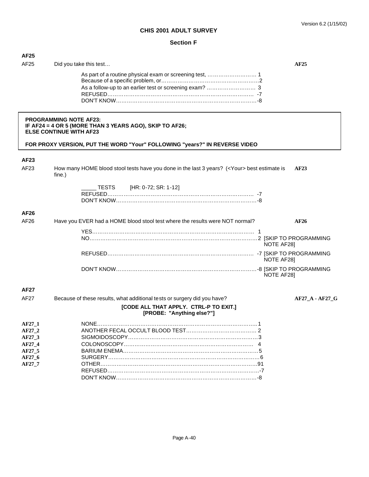| <b>AF25</b>      |                                                                                                                            |                 |
|------------------|----------------------------------------------------------------------------------------------------------------------------|-----------------|
| AF25             | Did you take this test                                                                                                     | AF25            |
|                  |                                                                                                                            |                 |
|                  |                                                                                                                            |                 |
|                  |                                                                                                                            |                 |
|                  |                                                                                                                            |                 |
|                  | <b>PROGRAMMING NOTE AF23:</b><br>IF AF24 = 4 OR 5 (MORE THAN 3 YEARS AGO), SKIP TO AF26;<br><b>ELSE CONTINUE WITH AF23</b> |                 |
|                  | FOR PROXY VERSION, PUT THE WORD "Your" FOLLOWING "years?" IN REVERSE VIDEO                                                 |                 |
| AF23             |                                                                                                                            |                 |
| AF23             | How many HOME blood stool tests have you done in the last 3 years? ( <your> best estimate is<br/>fine.)</your>             | AF23            |
|                  | __ TESTS [HR: 0-72; SR: 1-12]                                                                                              |                 |
|                  |                                                                                                                            |                 |
|                  |                                                                                                                            |                 |
| AF26             |                                                                                                                            |                 |
| AF26             | Have you EVER had a HOME blood stool test where the results were NOT normal?                                               | AF26            |
|                  |                                                                                                                            |                 |
|                  |                                                                                                                            | NOTE AF28]      |
|                  |                                                                                                                            | NOTE AF28]      |
|                  |                                                                                                                            | NOTE AF281      |
| AF27             |                                                                                                                            |                 |
| <b>AF27</b>      | Because of these results, what additional tests or surgery did you have?                                                   | AF27 A - AF27 G |
|                  | [CODE ALL THAT APPLY. CTRL-P TO EXIT.]<br>[PROBE: "Anything else?"]                                                        |                 |
| AF27_1           | <b>NONE</b>                                                                                                                | 1.              |
| AF27_2           |                                                                                                                            |                 |
| AF27 3<br>AF27_4 |                                                                                                                            |                 |
| AF27 5           |                                                                                                                            |                 |
| AF27_6           |                                                                                                                            |                 |
| AF27_7           |                                                                                                                            |                 |
|                  |                                                                                                                            |                 |
|                  |                                                                                                                            |                 |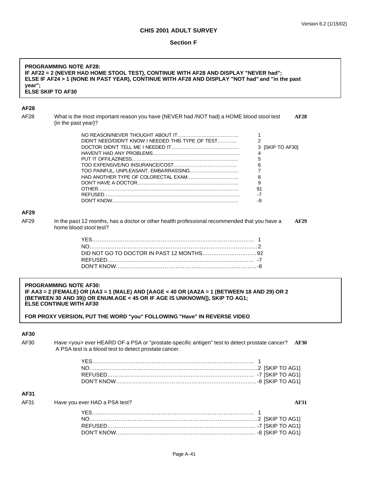| <b>PROGRAMMING NOTE AF28:</b><br>IF AF22 = 2 (NEVER HAD HOME STOOL TEST), CONTINUE WITH AF28 AND DISPLAY "NEVER had";<br>ELSE IF AF24 > 1 (NONE IN PAST YEAR), CONTINUE WITH AF28 AND DISPLAY "NOT had" and "in the past<br>year";<br><b>ELSE SKIP TO AF30</b> |                                                                                                                                                                                                                                                                                                                         |  |  |
|----------------------------------------------------------------------------------------------------------------------------------------------------------------------------------------------------------------------------------------------------------------|-------------------------------------------------------------------------------------------------------------------------------------------------------------------------------------------------------------------------------------------------------------------------------------------------------------------------|--|--|
| AF28                                                                                                                                                                                                                                                           |                                                                                                                                                                                                                                                                                                                         |  |  |
| AF28                                                                                                                                                                                                                                                           | What is the most important reason you have {NEVER had /NOT had} a HOME blood stool test<br>AF28<br>{in the past year}?                                                                                                                                                                                                  |  |  |
|                                                                                                                                                                                                                                                                | 1                                                                                                                                                                                                                                                                                                                       |  |  |
|                                                                                                                                                                                                                                                                | $\overline{2}$<br>DIDN'T NEED/DIDN'T KNOW I NEEDED THIS TYPE OF TEST                                                                                                                                                                                                                                                    |  |  |
|                                                                                                                                                                                                                                                                | 3 [SKIP TO AF30]                                                                                                                                                                                                                                                                                                        |  |  |
|                                                                                                                                                                                                                                                                | 4                                                                                                                                                                                                                                                                                                                       |  |  |
|                                                                                                                                                                                                                                                                | 5<br>6                                                                                                                                                                                                                                                                                                                  |  |  |
|                                                                                                                                                                                                                                                                | $\overline{7}$<br>TOO PAINFUL, UNPLEASANT, EMBARRASSING                                                                                                                                                                                                                                                                 |  |  |
|                                                                                                                                                                                                                                                                | 8                                                                                                                                                                                                                                                                                                                       |  |  |
|                                                                                                                                                                                                                                                                | 9                                                                                                                                                                                                                                                                                                                       |  |  |
|                                                                                                                                                                                                                                                                | 91                                                                                                                                                                                                                                                                                                                      |  |  |
|                                                                                                                                                                                                                                                                | $-7$<br>-8                                                                                                                                                                                                                                                                                                              |  |  |
|                                                                                                                                                                                                                                                                |                                                                                                                                                                                                                                                                                                                         |  |  |
| AF29                                                                                                                                                                                                                                                           |                                                                                                                                                                                                                                                                                                                         |  |  |
| AF29                                                                                                                                                                                                                                                           | In the past 12 months, has a doctor or other health professional recommended that you have a<br><b>AF29</b><br>home blood stool test?                                                                                                                                                                                   |  |  |
|                                                                                                                                                                                                                                                                |                                                                                                                                                                                                                                                                                                                         |  |  |
|                                                                                                                                                                                                                                                                |                                                                                                                                                                                                                                                                                                                         |  |  |
|                                                                                                                                                                                                                                                                |                                                                                                                                                                                                                                                                                                                         |  |  |
|                                                                                                                                                                                                                                                                |                                                                                                                                                                                                                                                                                                                         |  |  |
|                                                                                                                                                                                                                                                                |                                                                                                                                                                                                                                                                                                                         |  |  |
|                                                                                                                                                                                                                                                                |                                                                                                                                                                                                                                                                                                                         |  |  |
|                                                                                                                                                                                                                                                                | <b>PROGRAMMING NOTE AF30:</b><br>IF AA3 = 2 (FEMALE) OR (AA3 = 1 (MALE) AND [AAGE < 40 OR (AA2A = 1 (BETWEEN 18 AND 29) OR 2<br>(BETWEEN 30 AND 39)) OR ENUM.AGE < 45 OR IF AGE IS UNKNOWN]), SKIP TO AG1;<br><b>ELSE CONTINUE WITH AF30</b><br>FOR PROXY VERSION, PUT THE WORD "you" FOLLOWING "Have" IN REVERSE VIDEO |  |  |
| AF30                                                                                                                                                                                                                                                           |                                                                                                                                                                                                                                                                                                                         |  |  |
| AF30                                                                                                                                                                                                                                                           | Have <you> ever HEARD OF a PSA or "prostate-specific antigen" test to detect prostate cancer?<br/><b>AF30</b></you>                                                                                                                                                                                                     |  |  |
|                                                                                                                                                                                                                                                                | A PSA test is a blood test to detect prostate cancer.                                                                                                                                                                                                                                                                   |  |  |
|                                                                                                                                                                                                                                                                |                                                                                                                                                                                                                                                                                                                         |  |  |
|                                                                                                                                                                                                                                                                |                                                                                                                                                                                                                                                                                                                         |  |  |
|                                                                                                                                                                                                                                                                |                                                                                                                                                                                                                                                                                                                         |  |  |
|                                                                                                                                                                                                                                                                |                                                                                                                                                                                                                                                                                                                         |  |  |
|                                                                                                                                                                                                                                                                |                                                                                                                                                                                                                                                                                                                         |  |  |
| AF31                                                                                                                                                                                                                                                           |                                                                                                                                                                                                                                                                                                                         |  |  |
| AF31                                                                                                                                                                                                                                                           | Have you ever HAD a PSA test?<br><b>AF31</b>                                                                                                                                                                                                                                                                            |  |  |
|                                                                                                                                                                                                                                                                |                                                                                                                                                                                                                                                                                                                         |  |  |
|                                                                                                                                                                                                                                                                |                                                                                                                                                                                                                                                                                                                         |  |  |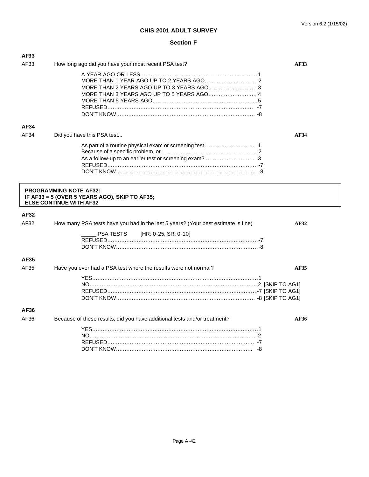| AF33                          |                                                                                   |             |
|-------------------------------|-----------------------------------------------------------------------------------|-------------|
| AF33                          | How long ago did you have your most recent PSA test?                              | <b>AF33</b> |
|                               |                                                                                   |             |
|                               |                                                                                   |             |
|                               |                                                                                   |             |
|                               | MORE THAN 3 YEARS AGO UP TO 5 YEARS AGO 4                                         |             |
|                               |                                                                                   |             |
|                               |                                                                                   |             |
|                               |                                                                                   |             |
| AF34                          |                                                                                   |             |
| AF34                          | Did you have this PSA test                                                        | <b>AF34</b> |
|                               |                                                                                   |             |
|                               |                                                                                   |             |
|                               |                                                                                   |             |
|                               |                                                                                   |             |
|                               |                                                                                   |             |
| <b>PROGRAMMING NOTE AF32:</b> | IF AF33 = 5 (OVER 5 YEARS AGO), SKIP TO AF35;<br><b>ELSE CONTINUE WITH AF32</b>   |             |
| AF32                          |                                                                                   |             |
| AF32                          | How many PSA tests have you had in the last 5 years? (Your best estimate is fine) | AF32        |
|                               | [HR: 0-25; SR: 0-10]<br>PSA TESTS                                                 |             |
|                               |                                                                                   |             |
|                               |                                                                                   |             |
| AF35                          |                                                                                   |             |
| AF35                          | Have you ever had a PSA test where the results were not normal?                   | <b>AF35</b> |
|                               |                                                                                   |             |
|                               |                                                                                   |             |
|                               |                                                                                   |             |
|                               |                                                                                   |             |
| AF36                          |                                                                                   |             |
| AF36                          | Because of these results, did you have additional tests and/or treatment?         | AF36        |
|                               |                                                                                   |             |
|                               |                                                                                   |             |
|                               |                                                                                   |             |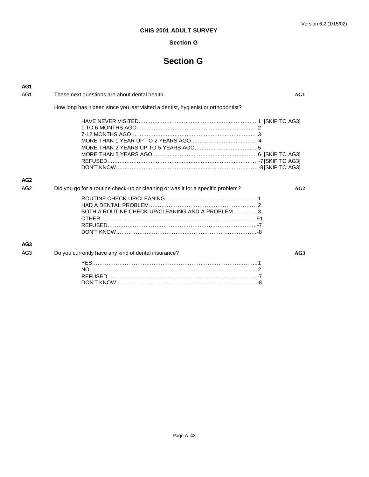# **Section G**

# **Section G**

| AG <sub>1</sub> |                                                                                        |  |
|-----------------|----------------------------------------------------------------------------------------|--|
| AG <sub>1</sub> | These next questions are about dental health.<br>AG1                                   |  |
|                 | How long has it been since you last visited a dentist, hygienist or orthodontist?      |  |
|                 |                                                                                        |  |
| AG <sub>2</sub> |                                                                                        |  |
| AG <sub>2</sub> | Did you go for a routine check-up or cleaning or was it for a specific problem?<br>AG2 |  |
|                 | BOTH A ROUTINE CHECK-UP/CLEANING AND A PROBLEM3                                        |  |
| AG <sub>3</sub> |                                                                                        |  |
| AG <sub>3</sub> | Do you currently have any kind of dental insurance?<br>AG3                             |  |
|                 |                                                                                        |  |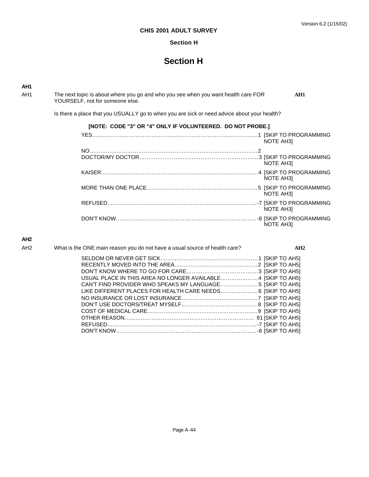### Version 6.2 (1/15/02)

# **CHIS 2001 ADULT SURVEY**

# **Section H**

# **Section H**

**AH1**

AH1 The next topic is about where you go and who you see when you want health care FOR AH1 YOURSELF, not for someone else.

Is there a place that you USUALLY go to when you are sick or need advice about your health?

| [NOTE: CODE "3" OR "4" ONLY IF VOLUNTEERED. DO NOT PROBE.] |                                              |
|------------------------------------------------------------|----------------------------------------------|
|                                                            | <b>NOTE AH31</b>                             |
|                                                            |                                              |
|                                                            | <b>NOTE AH31</b>                             |
|                                                            | <b>NOTE AH31</b>                             |
|                                                            | <b>NOTE AH31</b>                             |
|                                                            | .-7 [SKIP TO PROGRAMMING<br><b>NOTE AH31</b> |
|                                                            | NOTE AH3]                                    |

# **AH2**

| AH <sub>2</sub> | What is the ONE main reason you do not have a usual source of health care? | AH2 |
|-----------------|----------------------------------------------------------------------------|-----|
|                 |                                                                            |     |
|                 |                                                                            |     |
|                 |                                                                            |     |
|                 | USUAL PLACE IN THIS AREA NO LONGER AVAILABLE4 [SKIP TO AH5]                |     |
|                 | CAN'T FIND PROVIDER WHO SPEAKS MY LANGUAGE5 [SKIP TO AH5]                  |     |
|                 | LIKE DIFFERENT PLACES FOR HEALTH CARE NEEDS 6 [SKIP TO AH5]                |     |
|                 |                                                                            |     |
|                 |                                                                            |     |
|                 |                                                                            |     |
|                 |                                                                            |     |
|                 |                                                                            |     |
|                 |                                                                            |     |
|                 |                                                                            |     |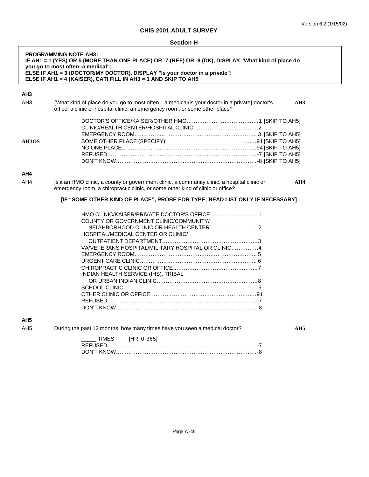|                 | <b>Section H</b>                                                                                                                                                                                                                                                                                                        |                 |
|-----------------|-------------------------------------------------------------------------------------------------------------------------------------------------------------------------------------------------------------------------------------------------------------------------------------------------------------------------|-----------------|
|                 | <b>PROGRAMMING NOTE AH3:</b><br>IF AH1 = 1 (YES) OR 5 (MORE THAN ONE PLACE) OR -7 (REF) OR -8 (DK), DISPLAY "What kind of place do<br>you go to most often--a medical";<br>ELSE IF AH1 = 3 (DOCTOR/MY DOCTOR), DISPLAY "Is your doctor in a private";<br>ELSE IF AH1 = 4 (KAISER), CATI FILL IN AH3 = 1 AND SKIP TO AH5 |                 |
| AH3             |                                                                                                                                                                                                                                                                                                                         |                 |
| AH <sub>3</sub> | {What kind of place do you go to most often—a medical/Is your doctor in a private} doctor's<br>office, a clinic or hospital clinic, an emergency room, or some other place?                                                                                                                                             | AH <sub>3</sub> |
|                 |                                                                                                                                                                                                                                                                                                                         |                 |
| AH3OS           | SOME OTHER PLACE (SPECIFY): __________________________91 [SKIP TO AH5]                                                                                                                                                                                                                                                  |                 |
|                 |                                                                                                                                                                                                                                                                                                                         |                 |
|                 |                                                                                                                                                                                                                                                                                                                         |                 |
|                 |                                                                                                                                                                                                                                                                                                                         |                 |
| AH4             |                                                                                                                                                                                                                                                                                                                         |                 |
| AH4             | Is it an HMO clinic, a county or government clinic, a community clinic, a hospital clinic or<br>emergency room, a chiropractic clinic, or some other kind of clinic or office?                                                                                                                                          | AH4             |
|                 | [IF "SOME OTHER KIND OF PLACE", PROBE FOR TYPE; READ LIST ONLY IF NECESSARY]                                                                                                                                                                                                                                            |                 |
|                 |                                                                                                                                                                                                                                                                                                                         |                 |
|                 |                                                                                                                                                                                                                                                                                                                         |                 |
|                 | COUNTY OR GOVERNMENT CLINIC/COMMUNITY/                                                                                                                                                                                                                                                                                  |                 |
|                 |                                                                                                                                                                                                                                                                                                                         |                 |
|                 | HOSPITAL/MEDICAL CENTER OR CLINIC/                                                                                                                                                                                                                                                                                      |                 |
|                 |                                                                                                                                                                                                                                                                                                                         |                 |
|                 | VA/VETERANS HOSPITAL/MILITARY HOSPITAL OR CLINIC4                                                                                                                                                                                                                                                                       |                 |
|                 |                                                                                                                                                                                                                                                                                                                         |                 |
|                 |                                                                                                                                                                                                                                                                                                                         |                 |
|                 |                                                                                                                                                                                                                                                                                                                         |                 |
|                 | INDIAN HEALTH SERVICE (IHS), TRIBAL                                                                                                                                                                                                                                                                                     |                 |
|                 |                                                                                                                                                                                                                                                                                                                         |                 |
|                 |                                                                                                                                                                                                                                                                                                                         |                 |
|                 |                                                                                                                                                                                                                                                                                                                         |                 |
|                 |                                                                                                                                                                                                                                                                                                                         |                 |
|                 |                                                                                                                                                                                                                                                                                                                         |                 |
| AH5             |                                                                                                                                                                                                                                                                                                                         |                 |
| AH <sub>5</sub> | During the past 12 months, how many times have you seen a medical doctor?                                                                                                                                                                                                                                               | AH <sub>5</sub> |
|                 | <b>TIMES</b><br>$[HR: 0-365]$                                                                                                                                                                                                                                                                                           |                 |
|                 |                                                                                                                                                                                                                                                                                                                         |                 |
|                 |                                                                                                                                                                                                                                                                                                                         |                 |
|                 |                                                                                                                                                                                                                                                                                                                         |                 |
|                 |                                                                                                                                                                                                                                                                                                                         |                 |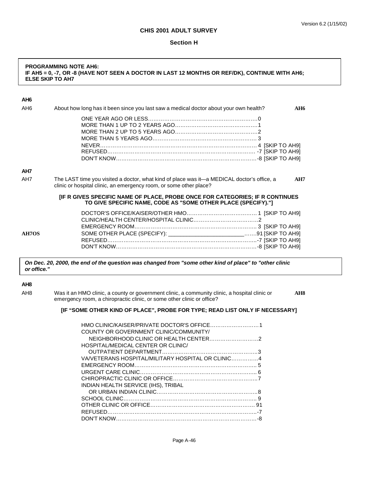#### **Section H**

# **PROGRAMMING NOTE AH6: IF AH5 = 0, -7, OR -8 (HAVE NOT SEEN A DOCTOR IN LAST 12 MONTHS OR REF/DK), CONTINUE WITH AH6; ELSE SKIP TO AH7**

|  | $\overline{\phantom{a}}$ |
|--|--------------------------|
|  |                          |

| AH <sub>6</sub> | About how long has it been since you last saw a medical doctor about your own health?<br><b>AH6</b>                                                                     |
|-----------------|-------------------------------------------------------------------------------------------------------------------------------------------------------------------------|
|                 |                                                                                                                                                                         |
| AH7             |                                                                                                                                                                         |
| AH7             | The LAST time you visited a doctor, what kind of place was it—a MEDICAL doctor's office, a<br>AH7<br>clinic or hospital clinic, an emergency room, or some other place? |
|                 | [IF R GIVES SPECIFIC NAME OF PLACE, PROBE ONCE FOR CATEGORIES; IF R CONTINUES<br>TO GIVE SPECIFIC NAME, CODE AS "SOME OTHER PLACE (SPECIFY)."]                          |
|                 |                                                                                                                                                                         |
| AH7OS           | SOME OTHER PLACE (SPECIFY): ___________________________91 [SKIP TO AH9]                                                                                                 |

*On Dec. 20, 2000, the end of the question was changed from "some other kind of place" to "other clinic or office."*

#### **AH8**

AH8 Was it an HMO clinic, a county or government clinic, a community clinic, a hospital clinic or **AH8** emergency room, a chiropractic clinic, or some other clinic or office?

### **[IF "SOME OTHER KIND OF PLACE", PROBE FOR TYPE; READ LIST ONLY IF NECESSARY]**

| COUNTY OR GOVERNMENT CLINIC/COMMUNITY/            |  |
|---------------------------------------------------|--|
|                                                   |  |
| HOSPITAL/MEDICAL CENTER OR CLINIC/                |  |
|                                                   |  |
| VA/VETERANS HOSPITAL/MILITARY HOSPITAL OR CLINIC4 |  |
|                                                   |  |
|                                                   |  |
|                                                   |  |
| INDIAN HEALTH SERVICE (IHS), TRIBAL               |  |
|                                                   |  |
|                                                   |  |
|                                                   |  |
|                                                   |  |
|                                                   |  |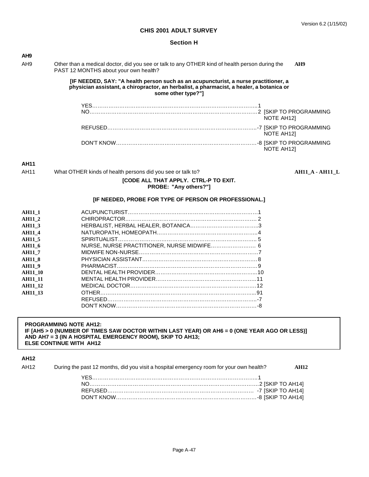AH11 What OTHER kinds of health persons did you see or talk to? **AH11\_A - AH11\_L**

### **CHIS 2001 ADULT SURVEY**

#### **Section H**

| AH <sub>9</sub> |                                                                                                                                         |                                                                                                                                                                                                       |
|-----------------|-----------------------------------------------------------------------------------------------------------------------------------------|-------------------------------------------------------------------------------------------------------------------------------------------------------------------------------------------------------|
| AH <sub>9</sub> | Other than a medical doctor, did you see or talk to any OTHER kind of health person during the<br>PAST 12 MONTHS about your own health? | AH9                                                                                                                                                                                                   |
|                 |                                                                                                                                         | [IF NEEDED, SAY: "A health person such as an acupuncturist, a nurse practitioner, a<br>physician assistant, a chiropractor, an herbalist, a pharmacist, a healer, a botanica or<br>some other type?"] |
|                 |                                                                                                                                         |                                                                                                                                                                                                       |
|                 |                                                                                                                                         | NOTE AH121                                                                                                                                                                                            |
|                 |                                                                                                                                         | NOTE AH121                                                                                                                                                                                            |
|                 |                                                                                                                                         | <b>NOTE AH121</b>                                                                                                                                                                                     |

# **AH11**

| AH11<br>What OTHER kinds of health persons did you see or talk to? |
|--------------------------------------------------------------------|
|--------------------------------------------------------------------|

# **[CODE ALL THAT APPLY. CTRL-P TO EXIT. PROBE: "Any others?"]**

# **[IF NEEDED, PROBE FOR TYPE OF PERSON OR PROFESSIONAL.]**

| <b>AH11 1</b>  |                                            |  |
|----------------|--------------------------------------------|--|
| <b>AH11 2</b>  |                                            |  |
| <b>AH11 3</b>  |                                            |  |
|                |                                            |  |
| <b>AH11 4</b>  |                                            |  |
| <b>AH11 5</b>  |                                            |  |
| <b>AH11 6</b>  | NURSE, NURSE PRACTITIONER, NURSE MIDWIFE 6 |  |
| <b>AH11 7</b>  |                                            |  |
| <b>AH11 8</b>  |                                            |  |
| <b>AH11 9</b>  |                                            |  |
| <b>AH11 10</b> |                                            |  |
| <b>AH11 11</b> |                                            |  |
| <b>AH11 12</b> |                                            |  |
| <b>AH11 13</b> |                                            |  |
|                |                                            |  |
|                |                                            |  |
|                |                                            |  |

# **PROGRAMMING NOTE AH12: IF [AH5 > 0 (NUMBER OF TIMES SAW DOCTOR WITHIN LAST YEAR) OR AH6 = 0 (ONE YEAR AGO OR LESS)] AND AH7 = 3 (IN A HOSPITAL EMERGENCY ROOM), SKIP TO AH13; ELSE CONTINUE WITH AH12**

# **AH12**

| AH <sub>12</sub> | During the past 12 months, did you visit a hospital emergency room for your own health? | AH12 |
|------------------|-----------------------------------------------------------------------------------------|------|
|                  |                                                                                         |      |
|                  |                                                                                         |      |
|                  |                                                                                         |      |
|                  |                                                                                         |      |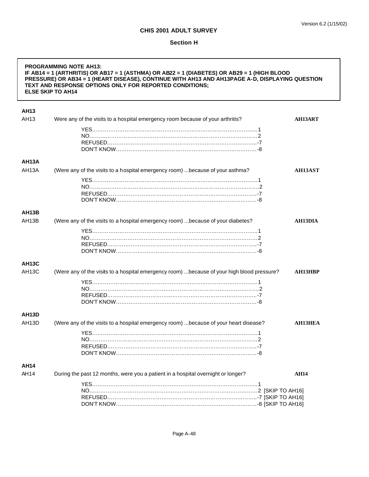| <b>PROGRAMMING NOTE AH13:</b><br>IF AB14 = 1 (ARTHRITIS) OR AB17 = 1 (ASTHMA) OR AB22 = 1 (DIABETES) OR AB29 = 1 (HIGH BLOOD<br>PRESSURE) OR AB34 = 1 (HEART DISEASE), CONTINUE WITH AH13 AND AH13PAGE A-D, DISPLAYING QUESTION<br>TEXT AND RESPONSE OPTIONS ONLY FOR REPORTED CONDITIONS;<br><b>ELSE SKIP TO AH14</b> |                                                                                            |                |
|------------------------------------------------------------------------------------------------------------------------------------------------------------------------------------------------------------------------------------------------------------------------------------------------------------------------|--------------------------------------------------------------------------------------------|----------------|
| <b>AH13</b>                                                                                                                                                                                                                                                                                                            |                                                                                            |                |
| AH13                                                                                                                                                                                                                                                                                                                   | Were any of the visits to a hospital emergency room because of your arthritis?             | <b>AH13ART</b> |
|                                                                                                                                                                                                                                                                                                                        |                                                                                            |                |
|                                                                                                                                                                                                                                                                                                                        |                                                                                            |                |
|                                                                                                                                                                                                                                                                                                                        |                                                                                            |                |
|                                                                                                                                                                                                                                                                                                                        |                                                                                            |                |
| <b>AH13A</b>                                                                                                                                                                                                                                                                                                           |                                                                                            |                |
| AH13A                                                                                                                                                                                                                                                                                                                  | (Were any of the visits to a hospital emergency room)  because of your asthma?             | <b>AH13AST</b> |
|                                                                                                                                                                                                                                                                                                                        |                                                                                            |                |
|                                                                                                                                                                                                                                                                                                                        |                                                                                            |                |
|                                                                                                                                                                                                                                                                                                                        |                                                                                            |                |
|                                                                                                                                                                                                                                                                                                                        |                                                                                            |                |
| <b>AH13B</b>                                                                                                                                                                                                                                                                                                           |                                                                                            |                |
| AH13B                                                                                                                                                                                                                                                                                                                  | (Were any of the visits to a hospital emergency room)  because of your diabetes?           | AH13DIA        |
|                                                                                                                                                                                                                                                                                                                        |                                                                                            |                |
|                                                                                                                                                                                                                                                                                                                        |                                                                                            |                |
|                                                                                                                                                                                                                                                                                                                        |                                                                                            |                |
|                                                                                                                                                                                                                                                                                                                        |                                                                                            |                |
| <b>AH13C</b>                                                                                                                                                                                                                                                                                                           |                                                                                            |                |
| <b>AH13C</b>                                                                                                                                                                                                                                                                                                           | (Were any of the visits to a hospital emergency room) because of your high blood pressure? | <b>AH13HBP</b> |
|                                                                                                                                                                                                                                                                                                                        |                                                                                            |                |
|                                                                                                                                                                                                                                                                                                                        |                                                                                            |                |
|                                                                                                                                                                                                                                                                                                                        |                                                                                            |                |
|                                                                                                                                                                                                                                                                                                                        |                                                                                            |                |
| <b>AH13D</b>                                                                                                                                                                                                                                                                                                           |                                                                                            |                |
| AH13D                                                                                                                                                                                                                                                                                                                  | (Were any of the visits to a hospital emergency room)  because of your heart disease?      | <b>AH13HEA</b> |
|                                                                                                                                                                                                                                                                                                                        |                                                                                            |                |
|                                                                                                                                                                                                                                                                                                                        |                                                                                            |                |
|                                                                                                                                                                                                                                                                                                                        |                                                                                            |                |
|                                                                                                                                                                                                                                                                                                                        |                                                                                            |                |
| <b>AH14</b>                                                                                                                                                                                                                                                                                                            |                                                                                            |                |
| AH14                                                                                                                                                                                                                                                                                                                   | During the past 12 months, were you a patient in a hospital overnight or longer?           | <b>AH14</b>    |
|                                                                                                                                                                                                                                                                                                                        |                                                                                            |                |
|                                                                                                                                                                                                                                                                                                                        |                                                                                            |                |
|                                                                                                                                                                                                                                                                                                                        |                                                                                            |                |
|                                                                                                                                                                                                                                                                                                                        |                                                                                            |                |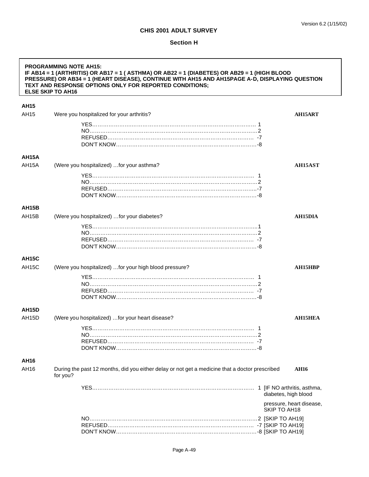|                    | <b>PROGRAMMING NOTE AH15:</b><br>IF AB14 = 1 (ARTHRITIS) OR AB17 = 1 (ASTHMA) OR AB22 = 1 (DIABETES) OR AB29 = 1 (HIGH BLOOD<br>PRESSURE) OR AB34 = 1 (HEART DISEASE), CONTINUE WITH AH15 AND AH15PAGE A-D, DISPLAYING QUESTION<br>TEXT AND RESPONSE OPTIONS ONLY FOR REPORTED CONDITIONS;<br><b>ELSE SKIP TO AH16</b> |                                          |
|--------------------|------------------------------------------------------------------------------------------------------------------------------------------------------------------------------------------------------------------------------------------------------------------------------------------------------------------------|------------------------------------------|
| <b>AH15</b>        |                                                                                                                                                                                                                                                                                                                        |                                          |
| AH15               | Were you hospitalized for your arthritis?                                                                                                                                                                                                                                                                              | AH15ART                                  |
|                    |                                                                                                                                                                                                                                                                                                                        |                                          |
| AH15A              |                                                                                                                                                                                                                                                                                                                        |                                          |
| AH15A              | (Were you hospitalized) for your asthma?                                                                                                                                                                                                                                                                               | AH15AST                                  |
| <b>AH15B</b>       |                                                                                                                                                                                                                                                                                                                        |                                          |
| AH <sub>15</sub> B | (Were you hospitalized) for your diabetes?                                                                                                                                                                                                                                                                             | <b>AH15DIA</b>                           |
| <b>AH15C</b>       |                                                                                                                                                                                                                                                                                                                        |                                          |
| AH <sub>15</sub> C | (Were you hospitalized)  for your high blood pressure?                                                                                                                                                                                                                                                                 | AH15HBP                                  |
| <b>AH15D</b>       |                                                                                                                                                                                                                                                                                                                        |                                          |
| AH <sub>15</sub> D | (Were you hospitalized) for your heart disease?                                                                                                                                                                                                                                                                        | <b>AH15HEA</b>                           |
| AH16               |                                                                                                                                                                                                                                                                                                                        |                                          |
| AH16               | During the past 12 months, did you either delay or not get a medicine that a doctor prescribed<br>for you?                                                                                                                                                                                                             | <b>AH16</b>                              |
|                    |                                                                                                                                                                                                                                                                                                                        | diabetes, high blood                     |
|                    |                                                                                                                                                                                                                                                                                                                        | pressure, heart disease,<br>SKIP TO AH18 |
|                    |                                                                                                                                                                                                                                                                                                                        |                                          |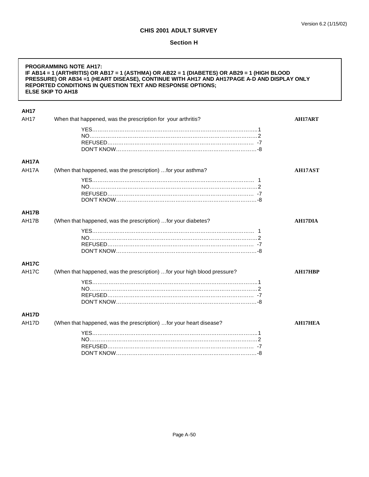| <b>PROGRAMMING NOTE AH17:</b><br>IF AB14 = 1 (ARTHRITIS) OR AB17 = 1 (ASTHMA) OR AB22 = 1 (DIABETES) OR AB29 = 1 (HIGH BLOOD<br>PRESSURE) OR AB34 =1 (HEART DISEASE), CONTINUE WITH AH17 AND AH17PAGE A-D AND DISPLAY ONLY<br>REPORTED CONDITIONS IN QUESTION TEXT AND RESPONSE OPTIONS;<br><b>ELSE SKIP TO AH18</b> |                                                                           |                |
|----------------------------------------------------------------------------------------------------------------------------------------------------------------------------------------------------------------------------------------------------------------------------------------------------------------------|---------------------------------------------------------------------------|----------------|
| <b>AH17</b>                                                                                                                                                                                                                                                                                                          |                                                                           |                |
| <b>AH17</b>                                                                                                                                                                                                                                                                                                          | When that happened, was the prescription for your arthritis?              | <b>AH17ART</b> |
|                                                                                                                                                                                                                                                                                                                      |                                                                           |                |
|                                                                                                                                                                                                                                                                                                                      |                                                                           |                |
|                                                                                                                                                                                                                                                                                                                      |                                                                           |                |
|                                                                                                                                                                                                                                                                                                                      |                                                                           |                |
| AH17A                                                                                                                                                                                                                                                                                                                |                                                                           |                |
| AH17A                                                                                                                                                                                                                                                                                                                | (When that happened, was the prescription)  for your asthma?              | <b>AH17AST</b> |
|                                                                                                                                                                                                                                                                                                                      |                                                                           |                |
|                                                                                                                                                                                                                                                                                                                      |                                                                           |                |
|                                                                                                                                                                                                                                                                                                                      |                                                                           |                |
|                                                                                                                                                                                                                                                                                                                      |                                                                           |                |
| <b>AH17B</b>                                                                                                                                                                                                                                                                                                         |                                                                           |                |
| AH17B                                                                                                                                                                                                                                                                                                                | (When that happened, was the prescription)  for your diabetes?            | <b>AH17DIA</b> |
|                                                                                                                                                                                                                                                                                                                      |                                                                           |                |
|                                                                                                                                                                                                                                                                                                                      |                                                                           |                |
|                                                                                                                                                                                                                                                                                                                      |                                                                           |                |
|                                                                                                                                                                                                                                                                                                                      |                                                                           |                |
| AH <sub>17</sub> C                                                                                                                                                                                                                                                                                                   |                                                                           |                |
| <b>AH17C</b>                                                                                                                                                                                                                                                                                                         | (When that happened, was the prescription)  for your high blood pressure? | <b>AH17HBP</b> |
|                                                                                                                                                                                                                                                                                                                      |                                                                           |                |
|                                                                                                                                                                                                                                                                                                                      |                                                                           |                |
|                                                                                                                                                                                                                                                                                                                      |                                                                           |                |
|                                                                                                                                                                                                                                                                                                                      |                                                                           |                |
| <b>AH17D</b>                                                                                                                                                                                                                                                                                                         |                                                                           |                |
| <b>AH17D</b>                                                                                                                                                                                                                                                                                                         | (When that happened, was the prescription)  for your heart disease?       | <b>AH17HEA</b> |
|                                                                                                                                                                                                                                                                                                                      |                                                                           |                |
|                                                                                                                                                                                                                                                                                                                      |                                                                           |                |
|                                                                                                                                                                                                                                                                                                                      |                                                                           |                |
|                                                                                                                                                                                                                                                                                                                      |                                                                           |                |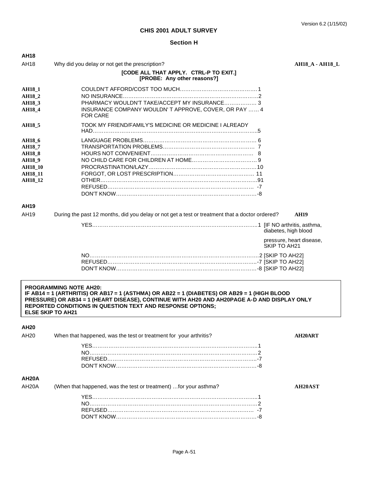### **Section H**

| <b>AH18</b>                                                                                                           |                                                                                                                                                                                                                                                                                                                       |                                          |
|-----------------------------------------------------------------------------------------------------------------------|-----------------------------------------------------------------------------------------------------------------------------------------------------------------------------------------------------------------------------------------------------------------------------------------------------------------------|------------------------------------------|
| AH18                                                                                                                  | Why did you delay or not get the prescription?                                                                                                                                                                                                                                                                        | <b>AH18_A - AH18_L</b>                   |
|                                                                                                                       | [CODE ALL THAT APPLY. CTRL-P TO EXIT.]<br>[PROBE: Any other reasons?]                                                                                                                                                                                                                                                 |                                          |
| <b>AH18 1</b><br><b>AH18 2</b><br><b>AH18_3</b><br><b>AH18_4</b>                                                      | PHARMACY WOULDN'T TAKE/ACCEPT MY INSURANCE 3<br>INSURANCE COMPANY WOULDN'T APPROVE, COVER, OR PAY  4<br><b>FOR CARE</b>                                                                                                                                                                                               |                                          |
| <b>AH18_5</b>                                                                                                         | TOOK MY FRIEND/FAMILY'S MEDICINE OR MEDICINE I ALREADY                                                                                                                                                                                                                                                                |                                          |
| <b>AH18_6</b><br><b>AH187</b><br><b>AH18_8</b><br><b>AH18_9</b><br><b>AH18_10</b><br><b>AH18 11</b><br><b>AH18 12</b> |                                                                                                                                                                                                                                                                                                                       |                                          |
| AH19                                                                                                                  |                                                                                                                                                                                                                                                                                                                       |                                          |
| AH19                                                                                                                  | During the past 12 months, did you delay or not get a test or treatment that a doctor ordered?                                                                                                                                                                                                                        | <b>AH19</b>                              |
|                                                                                                                       |                                                                                                                                                                                                                                                                                                                       | diabetes, high blood                     |
|                                                                                                                       |                                                                                                                                                                                                                                                                                                                       | pressure, heart disease,<br>SKIP TO AH21 |
|                                                                                                                       |                                                                                                                                                                                                                                                                                                                       |                                          |
|                                                                                                                       | <b>PROGRAMMING NOTE AH20:</b><br>IF AB14 = 1 (ARTHRITIS) OR AB17 = 1 (ASTHMA) OR AB22 = 1 (DIABETES) OR AB29 = 1 (HIGH BLOOD<br>PRESSURE) OR AB34 = 1 (HEART DISEASE), CONTINUE WITH AH20 AND AH20PAGE A-D AND DISPLAY ONLY<br>REPORTED CONDITIONS IN QUESTION TEXT AND RESPONSE OPTIONS;<br><b>ELSE SKIP TO AH21</b> |                                          |
| <b>AH20</b>                                                                                                           |                                                                                                                                                                                                                                                                                                                       |                                          |
| AH20                                                                                                                  | When that happened, was the test or treatment for your arthritis?                                                                                                                                                                                                                                                     | AH20ART                                  |
| AH <sub>20</sub> A                                                                                                    |                                                                                                                                                                                                                                                                                                                       |                                          |
| AH <sub>20</sub> A                                                                                                    | (When that happened, was the test or treatment)  for your asthma?                                                                                                                                                                                                                                                     | AH20AST                                  |
|                                                                                                                       |                                                                                                                                                                                                                                                                                                                       |                                          |

REFUSED……………………………………………………………………… -7 DON'T KNOW……………………………………………………………………-8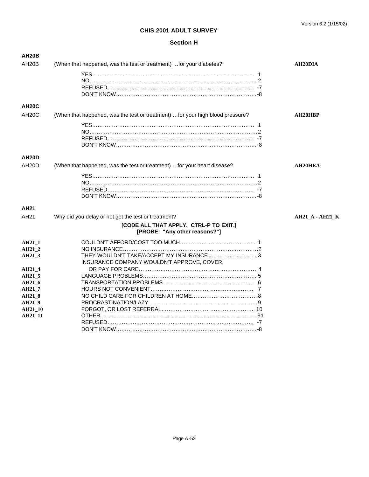| <b>AH20B</b>       |                                                                                |                        |
|--------------------|--------------------------------------------------------------------------------|------------------------|
| AH <sub>20</sub> B | (When that happened, was the test or treatment)  for your diabetes?            | <b>AH20DIA</b>         |
|                    |                                                                                |                        |
|                    |                                                                                |                        |
|                    |                                                                                |                        |
|                    |                                                                                |                        |
| <b>AH20C</b>       |                                                                                |                        |
| AH <sub>20</sub> C | (When that happened, was the test or treatment)  for your high blood pressure? | <b>AH20HBP</b>         |
|                    |                                                                                |                        |
|                    |                                                                                |                        |
|                    |                                                                                |                        |
|                    |                                                                                |                        |
| <b>AH20D</b>       |                                                                                |                        |
| AH <sub>20</sub> D | (When that happened, was the test or treatment)  for your heart disease?       | <b>AH20HEA</b>         |
|                    |                                                                                |                        |
|                    |                                                                                |                        |
|                    |                                                                                |                        |
|                    |                                                                                |                        |
|                    |                                                                                |                        |
| AH <sub>21</sub>   |                                                                                |                        |
| AH <sub>21</sub>   | Why did you delay or not get the test or treatment?                            | <b>AH21_A - AH21_K</b> |
|                    | [CODE ALL THAT APPLY. CTRL-P TO EXIT.]<br>[PROBE: "Any other reasons?"]        |                        |
| <b>AH21 1</b>      |                                                                                |                        |
| AH21 2             |                                                                                |                        |
| AH21_3             | THEY WOULDN'T TAKE/ACCEPT MY INSURANCE 3                                       |                        |
|                    | INSURANCE COMPANY WOULDN'T APPROVE, COVER,                                     |                        |
| AH21_4             |                                                                                |                        |
| AH21 5             |                                                                                |                        |
| AH21 6             |                                                                                |                        |
| AH21 7             |                                                                                |                        |
| <b>AH21 8</b>      |                                                                                |                        |
| AH21 9             |                                                                                |                        |
| <b>AH21 10</b>     |                                                                                |                        |
| <b>AH21_11</b>     |                                                                                |                        |
|                    |                                                                                |                        |
|                    |                                                                                |                        |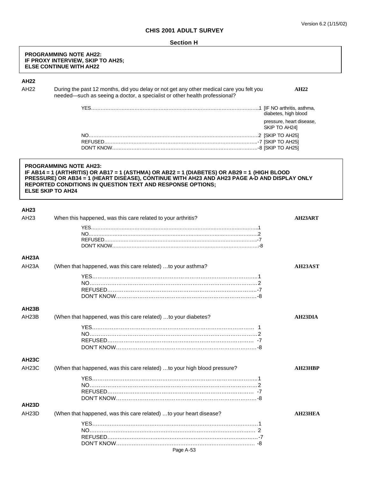#### **PROGRAMMING NOTE AH22: IF PROXY INTERVIEW, SKIP TO AH25; ELSE CONTINUE WITH AH22**

# **AH22**

AH22 During the past 12 months, did you delay or not get any other medical care you felt you **AH22** needed—such as seeing a doctor, a specialist or other health professional?

| diabetes, high blood                      |
|-------------------------------------------|
| pressure, heart disease,<br>SKIP TO AH24] |
|                                           |
|                                           |
|                                           |

# **PROGRAMMING NOTE AH23: IF AB14 = 1 (ARTHRITIS) OR AB17 = 1 (ASTHMA) OR AB22 = 1 (DIABETES) OR AB29 = 1 (HIGH BLOOD PRESSURE) OR AB34 = 1 (HEART DISEASE), CONTINUE WITH AH23 AND AH23 PAGE A-D AND DISPLAY ONLY REPORTED CONDITIONS IN QUESTION TEXT AND RESPONSE OPTIONS; ELSE SKIP TO AH24**

| <b>AH23</b>        |                                                                          |                      |
|--------------------|--------------------------------------------------------------------------|----------------------|
| AH23               | When this happened, was this care related to your arthritis?             | <b>AH23ART</b>       |
|                    |                                                                          |                      |
|                    |                                                                          |                      |
|                    |                                                                          |                      |
|                    |                                                                          |                      |
| AH <sub>23</sub> A |                                                                          |                      |
| AH <sub>23</sub> A | (When that happened, was this care related) to your asthma?              | AH23AST              |
|                    |                                                                          |                      |
|                    |                                                                          |                      |
|                    |                                                                          |                      |
|                    |                                                                          |                      |
| <b>AH23B</b>       |                                                                          |                      |
| AH <sub>23</sub> B | (When that happened, was this care related)  to your diabetes?           | AH <sub>23</sub> DIA |
|                    |                                                                          |                      |
|                    |                                                                          |                      |
|                    |                                                                          |                      |
|                    |                                                                          |                      |
| <b>AH23C</b>       |                                                                          |                      |
| <b>AH23C</b>       | (When that happened, was this care related) to your high blood pressure? | AH23HBP              |
|                    |                                                                          |                      |
|                    |                                                                          |                      |
|                    |                                                                          |                      |
|                    |                                                                          |                      |
| <b>AH23D</b>       |                                                                          |                      |
| AH <sub>23</sub> D | (When that happened, was this care related)  to your heart disease?      | <b>AH23HEA</b>       |
|                    |                                                                          |                      |
|                    |                                                                          |                      |
|                    |                                                                          |                      |
|                    | Page A-53                                                                |                      |
|                    |                                                                          |                      |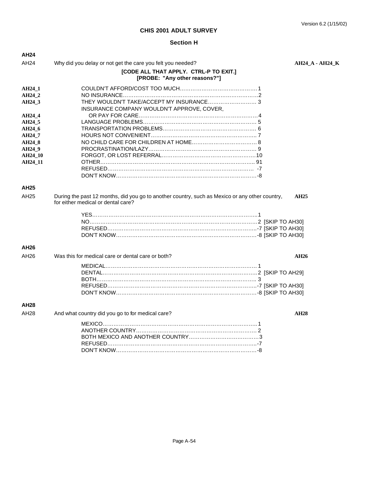# **Section H**

| AH <sub>24</sub> |                                                                                                                                      |                        |  |
|------------------|--------------------------------------------------------------------------------------------------------------------------------------|------------------------|--|
| AH <sub>24</sub> | Why did you delay or not get the care you felt you needed?                                                                           | <b>AH24_A - AH24_K</b> |  |
|                  | [CODE ALL THAT APPLY. CTRL-P TO EXIT.]<br>[PROBE: "Any other reasons?"]                                                              |                        |  |
| AH24 1           |                                                                                                                                      |                        |  |
| AH24 2           |                                                                                                                                      |                        |  |
| AH24 3           | THEY WOULDN'T TAKE/ACCEPT MY INSURANCE 3<br>INSURANCE COMPANY WOULDN'T APPROVE, COVER,                                               |                        |  |
| AH24_4           |                                                                                                                                      |                        |  |
| AH24 5           |                                                                                                                                      |                        |  |
| AH24_6           |                                                                                                                                      |                        |  |
| AH24 7           |                                                                                                                                      |                        |  |
| AH24 8           |                                                                                                                                      |                        |  |
| AH24 9           |                                                                                                                                      |                        |  |
| <b>AH24 10</b>   |                                                                                                                                      |                        |  |
| AH24 11          |                                                                                                                                      |                        |  |
|                  |                                                                                                                                      |                        |  |
|                  |                                                                                                                                      |                        |  |
| AH25             |                                                                                                                                      |                        |  |
| AH25             | During the past 12 months, did you go to another country, such as Mexico or any other country,<br>for either medical or dental care? | <b>AH25</b>            |  |
|                  |                                                                                                                                      |                        |  |
|                  |                                                                                                                                      |                        |  |
|                  |                                                                                                                                      |                        |  |
|                  |                                                                                                                                      |                        |  |
| AH26             |                                                                                                                                      |                        |  |
| AH26             | Was this for medical care or dental care or both?                                                                                    | AH26                   |  |
|                  |                                                                                                                                      |                        |  |
|                  |                                                                                                                                      |                        |  |
|                  |                                                                                                                                      |                        |  |
|                  |                                                                                                                                      |                        |  |
|                  |                                                                                                                                      |                        |  |
| AH28             |                                                                                                                                      |                        |  |
| AH28             | And what country did you go to for medical care?                                                                                     | <b>AH28</b>            |  |
|                  |                                                                                                                                      |                        |  |
|                  |                                                                                                                                      |                        |  |
|                  |                                                                                                                                      |                        |  |
|                  |                                                                                                                                      |                        |  |
|                  |                                                                                                                                      |                        |  |

DON'T KNOW……………………………………………………………………-8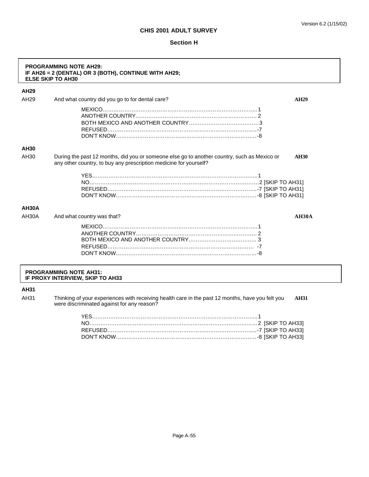#### **Section H**

| AH <sub>29</sub> |                                                                                                                                                                  |              |
|------------------|------------------------------------------------------------------------------------------------------------------------------------------------------------------|--------------|
| AH <sub>29</sub> | And what country did you go to for dental care?                                                                                                                  | <b>AH29</b>  |
|                  |                                                                                                                                                                  |              |
|                  |                                                                                                                                                                  |              |
|                  |                                                                                                                                                                  |              |
|                  |                                                                                                                                                                  |              |
|                  |                                                                                                                                                                  |              |
| <b>AH30</b>      |                                                                                                                                                                  |              |
| AH30             | During the past 12 months, did you or someone else go to another country, such as Mexico or<br>any other country, to buy any prescription medicine for yourself? | <b>AH30</b>  |
|                  |                                                                                                                                                                  |              |
|                  |                                                                                                                                                                  |              |
|                  |                                                                                                                                                                  |              |
|                  |                                                                                                                                                                  |              |
| AH30A            |                                                                                                                                                                  |              |
| AH30A            | And what country was that?                                                                                                                                       | <b>AH30A</b> |
|                  |                                                                                                                                                                  |              |
|                  |                                                                                                                                                                  |              |
|                  |                                                                                                                                                                  |              |
|                  |                                                                                                                                                                  |              |
|                  |                                                                                                                                                                  |              |

# **AH31**

AH31 Thinking of your experiences with receiving health care in the past 12 months, have you felt you **AH31** were discriminated against for any reason?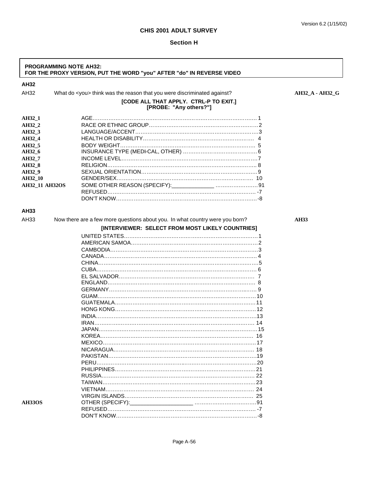٦

# **CHIS 2001 ADULT SURVEY**

 $\Gamma$ 

| <b>PROGRAMMING NOTE AH32:</b><br>FOR THE PROXY VERSION, PUT THE WORD "you" AFTER "do" IN REVERSE VIDEO |                                                                               |                 |  |  |
|--------------------------------------------------------------------------------------------------------|-------------------------------------------------------------------------------|-----------------|--|--|
| AH32                                                                                                   |                                                                               |                 |  |  |
| AH32                                                                                                   | What do <you> think was the reason that you were discriminated against?</you> | AH32 A - AH32 G |  |  |
|                                                                                                        | [CODE ALL THAT APPLY. CTRL-P TO EXIT.]<br>[PROBE: "Any others?"]              |                 |  |  |
| AH32_1                                                                                                 |                                                                               |                 |  |  |
| AH32_2                                                                                                 |                                                                               |                 |  |  |
| AH32_3                                                                                                 |                                                                               |                 |  |  |
| AH32 4                                                                                                 |                                                                               |                 |  |  |
| AH32 5                                                                                                 |                                                                               |                 |  |  |
| AH32_6                                                                                                 |                                                                               |                 |  |  |
| AH32_7                                                                                                 |                                                                               |                 |  |  |
| AH32_8                                                                                                 |                                                                               |                 |  |  |
| AH32_9                                                                                                 |                                                                               |                 |  |  |
| AH32_10                                                                                                |                                                                               |                 |  |  |
| AH32_11 AH32OS                                                                                         |                                                                               |                 |  |  |
|                                                                                                        |                                                                               |                 |  |  |
|                                                                                                        |                                                                               |                 |  |  |
| AH33                                                                                                   |                                                                               |                 |  |  |
| AH33                                                                                                   | Now there are a few more questions about you. In what country were you born?  | <b>AH33</b>     |  |  |
|                                                                                                        | [INTERVIEWER: SELECT FROM MOST LIKELY COUNTRIES]                              |                 |  |  |
|                                                                                                        |                                                                               |                 |  |  |
|                                                                                                        |                                                                               |                 |  |  |
|                                                                                                        |                                                                               |                 |  |  |
|                                                                                                        |                                                                               |                 |  |  |
|                                                                                                        |                                                                               |                 |  |  |
|                                                                                                        |                                                                               |                 |  |  |
|                                                                                                        |                                                                               |                 |  |  |
|                                                                                                        |                                                                               |                 |  |  |
|                                                                                                        |                                                                               |                 |  |  |
|                                                                                                        |                                                                               |                 |  |  |
|                                                                                                        |                                                                               |                 |  |  |
|                                                                                                        |                                                                               |                 |  |  |
|                                                                                                        |                                                                               |                 |  |  |
|                                                                                                        |                                                                               |                 |  |  |
|                                                                                                        |                                                                               |                 |  |  |
|                                                                                                        |                                                                               |                 |  |  |
|                                                                                                        |                                                                               |                 |  |  |
|                                                                                                        |                                                                               |                 |  |  |
|                                                                                                        |                                                                               |                 |  |  |
|                                                                                                        |                                                                               |                 |  |  |
|                                                                                                        |                                                                               |                 |  |  |
|                                                                                                        |                                                                               |                 |  |  |
|                                                                                                        |                                                                               |                 |  |  |
|                                                                                                        |                                                                               |                 |  |  |
|                                                                                                        |                                                                               |                 |  |  |
| <b>AH33OS</b>                                                                                          |                                                                               |                 |  |  |
|                                                                                                        |                                                                               |                 |  |  |
|                                                                                                        |                                                                               |                 |  |  |
|                                                                                                        |                                                                               |                 |  |  |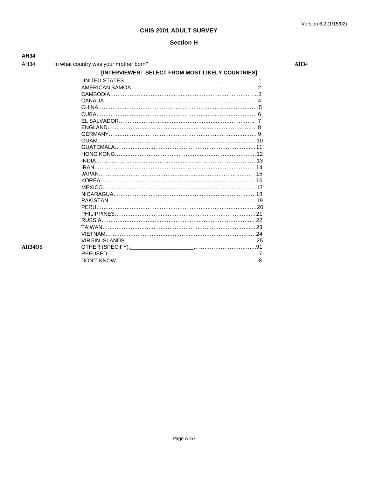**AH34** 

| AH34          |                                                  |
|---------------|--------------------------------------------------|
| AH34          | In what country was your mother born?            |
|               | [INTERVIEWER: SELECT FROM MOST LIKELY COUNTRIES] |
|               |                                                  |
|               |                                                  |
|               |                                                  |
|               |                                                  |
|               |                                                  |
|               | CUBA.                                            |
|               |                                                  |
|               |                                                  |
|               |                                                  |
|               |                                                  |
|               |                                                  |
|               |                                                  |
|               |                                                  |
|               | IRAN.                                            |
|               | 15                                               |
|               |                                                  |
|               |                                                  |
|               |                                                  |
|               |                                                  |
|               | <b>PERU</b>                                      |
|               |                                                  |
|               | RUSSIA                                           |
|               | TAIWAN.                                          |
|               | <b>VIFTNAM.</b>                                  |
|               |                                                  |
| <b>AH34OS</b> |                                                  |
|               |                                                  |
|               |                                                  |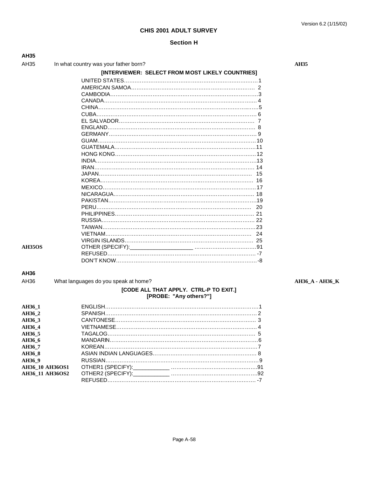#### Version 6.2 (1/15/02)

# **CHIS 2001 ADULT SURVEY**

# **Section H**

| AH35            |                                                  |             |
|-----------------|--------------------------------------------------|-------------|
| AH35            | In what country was your father born?            | <b>AH35</b> |
|                 | [INTERVIEWER: SELECT FROM MOST LIKELY COUNTRIES] |             |
|                 |                                                  |             |
|                 |                                                  |             |
|                 |                                                  |             |
|                 |                                                  |             |
|                 |                                                  |             |
|                 |                                                  |             |
|                 |                                                  |             |
|                 |                                                  |             |
|                 |                                                  |             |
|                 |                                                  |             |
|                 |                                                  |             |
|                 |                                                  |             |
|                 |                                                  |             |
|                 |                                                  |             |
|                 |                                                  |             |
|                 |                                                  |             |
|                 |                                                  |             |
|                 |                                                  |             |
|                 |                                                  |             |
|                 |                                                  |             |
|                 |                                                  |             |
|                 |                                                  |             |
|                 |                                                  |             |
|                 | 24                                               |             |
|                 |                                                  |             |
| <b>AH35OS</b>   |                                                  |             |
|                 |                                                  |             |
|                 |                                                  |             |
| AH36            |                                                  |             |
| AH36            | What languages do you speak at home?             | <b>AH36</b> |
|                 | [CODE ALL THAT APPLY. CTRL-P TO EXIT.]           |             |
|                 | [PROBE: "Any others?"]                           |             |
| AH36_1          |                                                  |             |
| AH36_2          |                                                  |             |
| AH36_3          |                                                  |             |
| AH36_4          |                                                  |             |
| AH36_5          |                                                  |             |
| AH36_6          |                                                  |             |
| AH36_7          |                                                  |             |
| AH36_8          |                                                  |             |
| AH36_9          |                                                  |             |
| AH36_10 AH36OS1 |                                                  |             |
| AH36_11 AH36OS2 |                                                  |             |

AH36 What languages do you speak at home? **AH36\_A - AH36\_K**

REFUSED…….…….…….…….…….…….…….…….…….…….…….……. -7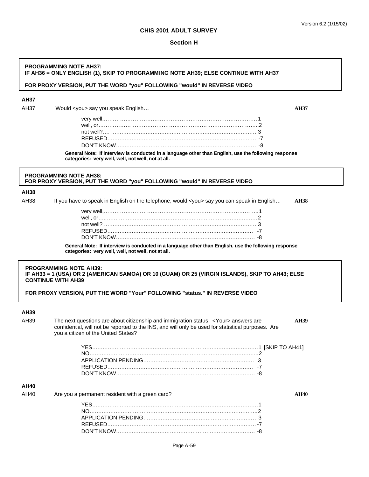#### **Section H**

#### **PROGRAMMING NOTE AH37: IF AH36 = ONLY ENGLISH (1), SKIP TO PROGRAMMING NOTE AH39; ELSE CONTINUE WITH AH37**

### **FOR PROXY VERSION, PUT THE WORD "you" FOLLOWING "would" IN REVERSE VIDEO**

# **AH37**

AH37 Would <you> say you speak English… **AH37**

| General Note: If interview is conducted in a language other than English, use the following response<br>categories: very well, well, not well, not at all. |  |
|------------------------------------------------------------------------------------------------------------------------------------------------------------|--|
|                                                                                                                                                            |  |
|                                                                                                                                                            |  |
|                                                                                                                                                            |  |
|                                                                                                                                                            |  |
|                                                                                                                                                            |  |

### **PROGRAMMING NOTE AH38: FOR PROXY VERSION, PUT THE WORD "you" FOLLOWING "would" IN REVERSE VIDEO**

#### **AH38**

AH38 If you have to speak in English on the telephone, would <you> say you can speak in English… **AH38**

| and the state of the state of the state of the state of the state of the state of the state of the state of th |  |
|----------------------------------------------------------------------------------------------------------------|--|

**General Note: If interview is conducted in a language other than English, use the following response categories: very well, well, not well, not at all.**

#### **PROGRAMMING NOTE AH39: IF AH33 = 1 (USA) OR 2 (AMERICAN SAMOA) OR 10 (GUAM) OR 25 (VIRGIN ISLANDS), SKIP TO AH43; ELSE CONTINUE WITH AH39**

**FOR PROXY VERSION, PUT THE WORD "Your" FOLLOWING "status." IN REVERSE VIDEO**

# **AH39**

AH39 The next questions are about citizenship and immigration status. <Your> answers are **AH39** confidential, will not be reported to the INS, and will only be used for statistical purposes. Are you a citizen of the United States? YES….….….….….….….….….….….….….….….….….….….….….….….….1 [SKIP TO AH41] NO….….….….….….….….….….….….….….….….….….….….….….….…...2 APPLICATION PENDING….….….….….….….….….….….….….….….…. 3 REFUSED….….….….….….….….….….….….….….….….….….….….…. -7 DON'T KNOW….….….….….….….….….….….….….….….….….….….…. -8

# **AH40**

AH40 Are you a permanent resident with a green card? AH40 AH40

YES….….….….….….….….….….….….….….….….….….….….….….….….1 NO….….….….….….….….….….….….….….….….….….….….….….….…..2 APPLICATION PENDING….….….….….….….….….….….….….….….……3 REFUSED….….….….….….….….….….….….….….….….….….….….……-7 DON'T KNOW….….….….….….….….….….….….….….….….….….….…. -8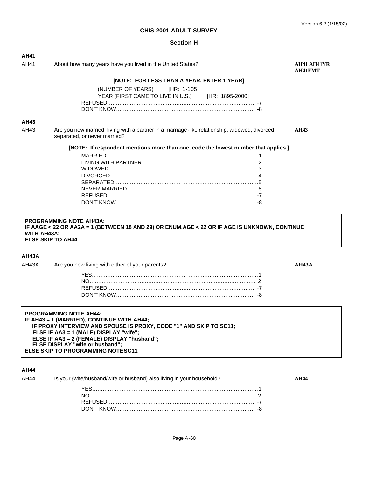| <b>AH41</b><br>AH41 | About how many years have you lived in the United States?                                                                      | AH41 AH41YR<br>AH41FMT |
|---------------------|--------------------------------------------------------------------------------------------------------------------------------|------------------------|
|                     | [NOTE: FOR LESS THAN A YEAR, ENTER 1 YEAR]                                                                                     |                        |
|                     | (NUMBER OF YEARS) [HR: 1-105]<br>YEAR (FIRST CAME TO LIVE IN U.S.)<br>[HR: 1895-2000]                                          |                        |
|                     |                                                                                                                                |                        |
| <b>AH43</b>         |                                                                                                                                |                        |
| AH43                | Are you now married, living with a partner in a marriage-like relationship, widowed, divorced,<br>separated, or never married? | <b>AH43</b>            |
|                     | [NOTE: If respondent mentions more than one, code the lowest number that applies.]                                             |                        |
|                     |                                                                                                                                |                        |
|                     |                                                                                                                                |                        |
|                     |                                                                                                                                |                        |
|                     |                                                                                                                                |                        |
|                     |                                                                                                                                |                        |
|                     |                                                                                                                                |                        |
|                     |                                                                                                                                |                        |
|                     |                                                                                                                                |                        |
| <b>WITH AH43A:</b>  | <b>PROGRAMMING NOTE AH43A:</b><br>IF AAGE < 22 OR AA2A = 1 (BETWEEN 18 AND 29) OR ENUM.AGE < 22 OR IF AGE IS UNKNOWN, CONTINUE |                        |
|                     | <b>ELSE SKIP TO AH44</b>                                                                                                       |                        |
|                     |                                                                                                                                |                        |
|                     | Are you now living with either of your parents?                                                                                | AH43A                  |
|                     |                                                                                                                                |                        |
|                     |                                                                                                                                |                        |
|                     |                                                                                                                                |                        |
| AH43A<br>AH43A      |                                                                                                                                |                        |

| .    |                                                                       |       |
|------|-----------------------------------------------------------------------|-------|
| AH44 | Is your {wife/husband/wife or husband} also living in your household? | MI 44 |
|      |                                                                       |       |
|      |                                                                       |       |
|      |                                                                       |       |
|      |                                                                       |       |
|      |                                                                       |       |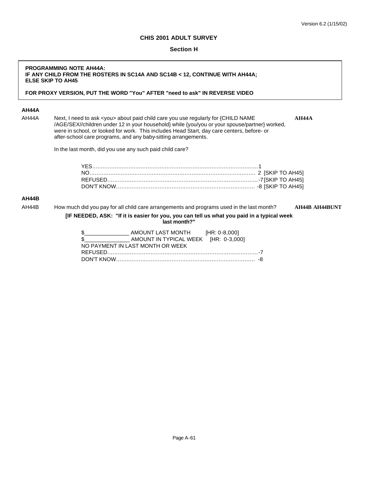# **Section H**

# **PROGRAMMING NOTE AH44A: IF ANY CHILD FROM THE ROSTERS IN SC14A AND SC14B < 12, CONTINUE WITH AH44A; ELSE SKIP TO AH45**

### **FOR PROXY VERSION, PUT THE WORD "You" AFTER "need to ask" IN REVERSE VIDEO**

# **AH44A**

AH44A Next, I need to ask <you> about paid child care you use regularly for {CHILD NAME **AH44A** /AGE/SEX//children under 12 in your household} while {you/you or your spouse/partner} worked, were in school, or looked for work. This includes Head Start, day care centers, before- or after-school care programs, and any baby-sitting arrangements.

In the last month, did you use any such paid child care?

#### **AH44B**

AH44B How much did you pay for all child care arrangements and programs used in the last month? **AH44B AH44BUNT**

**[IF NEEDED, ASK: "If it is easier for you, you can tell us what you paid in a typical week last month?"**

| \$            | AMOUNT LAST MONTH [HR: 0-8,000]      |  |
|---------------|--------------------------------------|--|
| $\mathcal{S}$ | AMOUNT IN TYPICAL WEEK [HR: 0-3,000] |  |
|               | NO PAYMENT IN LAST MONTH OR WEEK     |  |
|               |                                      |  |
|               |                                      |  |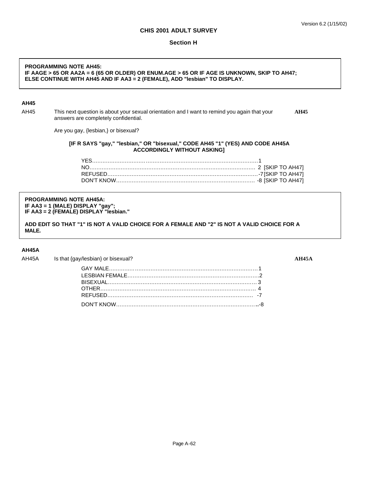#### **Section H**

### **PROGRAMMING NOTE AH45: IF AAGE > 65 OR AA2A = 6 (65 OR OLDER) OR ENUM.AGE > 65 OR IF AGE IS UNKNOWN, SKIP TO AH47; ELSE CONTINUE WITH AH45 AND IF AA3 = 2 (FEMALE), ADD "lesbian" TO DISPLAY.**

### **AH45**

AH45 This next question is about your sexual orientation and I want to remind you again that your **AH45** answers are completely confidential.

Are you gay, {lesbian,} or bisexual?

#### **[IF R SAYS "gay," "lesbian," OR "bisexual," CODE AH45 "1" (YES) AND CODE AH45A ACCORDINGLY WITHOUT ASKING]**

#### **PROGRAMMING NOTE AH45A: IF AA3 = 1 (MALE) DISPLAY "gay"; IF AA3 = 2 (FEMALE) DISPLAY "lesbian."**

**ADD EDIT SO THAT "1" IS NOT A VALID CHOICE FOR A FEMALE AND "2" IS NOT A VALID CHOICE FOR A MALE.**

### **AH45A**

AH45A Is that {gay/lesbian} or bisexual? **AH45A**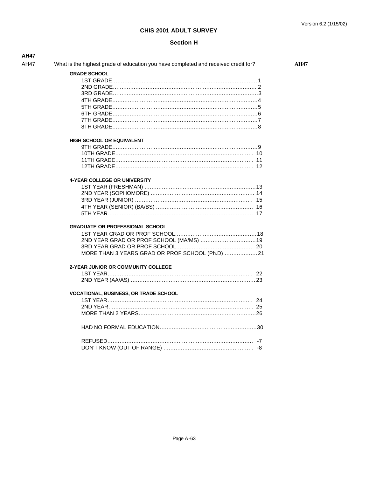| <b>AH47</b> |                                                                                    |             |
|-------------|------------------------------------------------------------------------------------|-------------|
| AH47        | What is the highest grade of education you have completed and received credit for? | <b>AH47</b> |
|             | <b>GRADE SCHOOL</b>                                                                |             |
|             |                                                                                    |             |
|             |                                                                                    |             |
|             |                                                                                    |             |
|             |                                                                                    |             |
|             |                                                                                    |             |
|             |                                                                                    |             |
|             |                                                                                    |             |
|             |                                                                                    |             |
|             |                                                                                    |             |
|             | <b>HIGH SCHOOL OR EQUIVALENT</b>                                                   |             |
|             |                                                                                    |             |
|             |                                                                                    |             |
|             |                                                                                    |             |
|             |                                                                                    |             |
|             |                                                                                    |             |
|             | 4-YEAR COLLEGE OR UNIVERSITY                                                       |             |
|             |                                                                                    |             |
|             |                                                                                    |             |
|             |                                                                                    |             |
|             |                                                                                    |             |
|             |                                                                                    |             |
|             |                                                                                    |             |
|             | <b>GRADUATE OR PROFESSIONAL SCHOOL</b>                                             |             |
|             |                                                                                    |             |
|             |                                                                                    |             |
|             |                                                                                    |             |
|             | MORE THAN 3 YEARS GRAD OR PROF SCHOOL (Ph.D) 21                                    |             |
|             |                                                                                    |             |
|             | 2-YEAR JUNIOR OR COMMUNITY COLLEGE                                                 |             |
|             |                                                                                    |             |
|             |                                                                                    |             |
|             | <b>VOCATIONAL, BUSINESS, OR TRADE SCHOOL</b>                                       |             |
|             |                                                                                    |             |
|             |                                                                                    |             |
|             |                                                                                    |             |
|             |                                                                                    |             |
|             |                                                                                    |             |
|             |                                                                                    |             |
|             |                                                                                    |             |
|             |                                                                                    |             |
|             |                                                                                    |             |
|             |                                                                                    |             |
|             |                                                                                    |             |
|             |                                                                                    |             |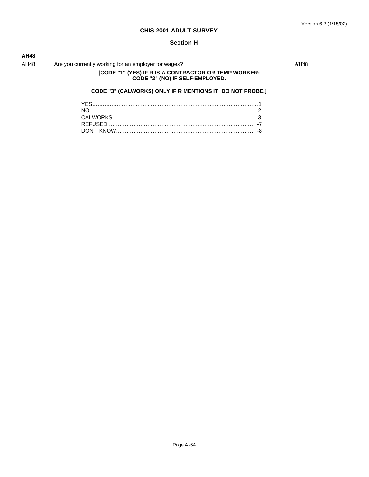### **Section H**

# **AH48**

AH48 Are you currently working for an employer for wages? AH48

# **[CODE "1" (YES) IF R IS A CONTRACTOR OR TEMP WORKER; CODE "2" (NO) IF SELF-EMPLOYED.**

# **CODE "3" (CALWORKS) ONLY IF R MENTIONS IT; DO NOT PROBE.]**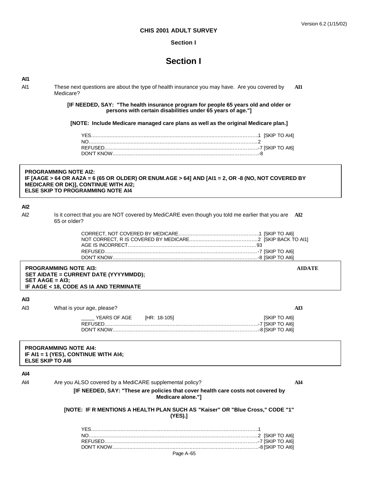## **Section I**

# **Section I**

# **AI1**

AI1 These next questions are about the type of health insurance you may have. Are you covered by **AI1** Medicare?

> **[IF NEEDED, SAY: "The health insurance program for people 65 years old and older or persons with certain disabilities under 65 years of age."]**

**[NOTE: Include Medicare managed care plans as well as the original Medicare plan.]**

### **PROGRAMMING NOTE AI2: IF [AAGE > 64 OR AA2A = 6 (65 OR OLDER) OR ENUM.AGE > 64] AND [AI1 = 2, OR -8 (NO, NOT COVERED BY MEDICARE OR DK)], CONTINUE WITH AI2; ELSE SKIP TO PROGRAMMING NOTE AI4**

# **AI2**

Al2 Is it correct that you are NOT covered by MediCARE even though you told me earlier that you are **AI2** 65 or older?

#### **PROGRAMMING NOTE AI3: AIDATE SET AIDATE = CURRENT DATE (YYYYMMDD); SET AAGE = AI3; IF AAGE < 18, CODE AS IA AND TERMINATE**

# **AI3**

| Al3 | What is your age, please? |  |               |
|-----|---------------------------|--|---------------|
|     | YEARS OF AGE THR: 18-1051 |  | [SKIP TO AI6] |
|     |                           |  |               |
|     |                           |  |               |

#### **PROGRAMMING NOTE AI4: IF AI1 = 1 (YES), CONTINUE WITH AI4; ELSE SKIP TO AI6**

# **AI4**

AI4 Are you ALSO covered by a MediCARE supplemental policy? **AI4**

**[IF NEEDED, SAY: "These are policies that cover health care costs not covered by Medicare alone."]**

**[NOTE: IF R MENTIONS A HEALTH PLAN SUCH AS "Kaiser" OR "Blue Cross," CODE "1" (YES).]**

Page A-65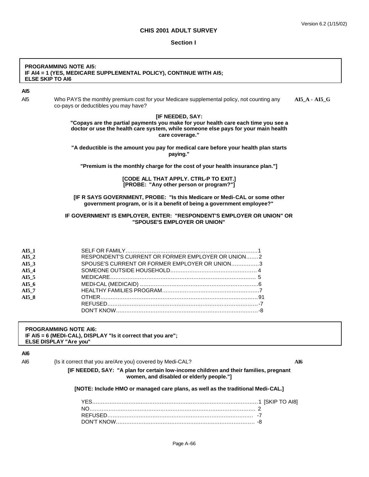#### **Section I**

#### **PROGRAMMING NOTE AI5: IF AI4 = 1 (YES, MEDICARE SUPPLEMENTAL POLICY), CONTINUE WITH AI5; ELSE SKIP TO AI6**

# **AI5**

AI5 Who PAYS the monthly premium cost for your Medicare supplemental policy, not counting any **AI5\_A - AI5\_G** co-pays or deductibles you may have?

### **[IF NEEDED, SAY:**

**"Copays are the partial payments you make for your health care each time you see a doctor or use the health care system, while someone else pays for your main health care coverage."**

**"A deductible is the amount you pay for medical care before your health plan starts paying."**

**"Premium is the monthly charge for the cost of your health insurance plan."]**

**[CODE ALL THAT APPLY. CTRL-P TO EXIT.] [PROBE: "Any other person or program?"]**

#### **[IF R SAYS GOVERNMENT, PROBE: "Is this Medicare or Medi-CAL or some other government program, or is it a benefit of being a government employee?"**

### **IF GOVERNMENT IS EMPLOYER, ENTER: "RESPONDENT'S EMPLOYER OR UNION" OR "SPOUSE'S EMPLOYER OR UNION"**

| AI5 1 |                                                   |  |
|-------|---------------------------------------------------|--|
| AI5 2 | RESPONDENT'S CURRENT OR FORMER EMPLOYER OR UNION2 |  |
| AI53  | SPOUSE'S CURRENT OR FORMER EMPLOYER OR UNION3     |  |
| AI5 4 |                                                   |  |
| AI5 5 |                                                   |  |
| AI56  |                                                   |  |
| AI5 7 |                                                   |  |
| AI5 8 |                                                   |  |
|       |                                                   |  |
|       |                                                   |  |

### **PROGRAMMING NOTE AI6: IF AI5 = 6 (MEDI-CAL), DISPLAY "Is it correct that you are"; ELSE DISPLAY "Are you"**

#### **AI6**

#### AI6  $\left\{\right\}$  is it correct that you are/Are you} covered by Medi-CAL?

**[IF NEEDED, SAY: "A plan for certain low-income children and their families, pregnant women, and disabled or elderly people."]**

#### **[NOTE: Include HMO or managed care plans, as well as the traditional Medi-CAL.]**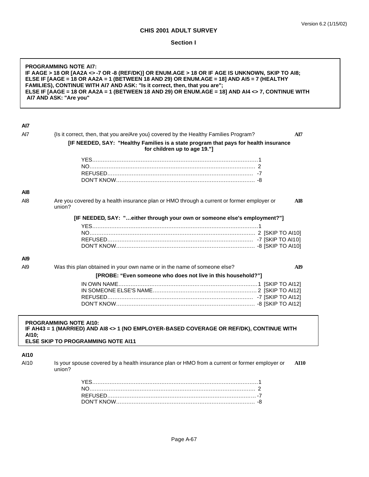r

# **Section I**

| <b>PROGRAMMING NOTE AI7:</b><br>IF AAGE > 18 OR [AA2A <>-7 OR -8 (REF/DK)] OR ENUM.AGE > 18 OR IF AGE IS UNKNOWN, SKIP TO AI8;<br>ELSE IF [AAGE = 18 OR AA2A = 1 (BETWEEN 18 AND 29) OR ENUM.AGE = 18] AND AI5 = 7 (HEALTHY<br>FAMILIES), CONTINUE WITH AI7 AND ASK: "Is it correct, then, that you are";<br>ELSE IF [AAGE = 18 OR AA2A = 1 (BETWEEN 18 AND 29) OR ENUM.AGE = 18] AND AI4 <> 7, CONTINUE WITH<br>AI7 AND ASK: "Are you" |                                                                                                                           |  |
|-----------------------------------------------------------------------------------------------------------------------------------------------------------------------------------------------------------------------------------------------------------------------------------------------------------------------------------------------------------------------------------------------------------------------------------------|---------------------------------------------------------------------------------------------------------------------------|--|
| Al7                                                                                                                                                                                                                                                                                                                                                                                                                                     |                                                                                                                           |  |
| Al7                                                                                                                                                                                                                                                                                                                                                                                                                                     | {Is it correct, then, that you are/Are you} covered by the Healthy Families Program?<br>AI7                               |  |
|                                                                                                                                                                                                                                                                                                                                                                                                                                         | [IF NEEDED, SAY: "Healthy Families is a state program that pays for health insurance<br>for children up to age 19."]      |  |
|                                                                                                                                                                                                                                                                                                                                                                                                                                         |                                                                                                                           |  |
|                                                                                                                                                                                                                                                                                                                                                                                                                                         |                                                                                                                           |  |
|                                                                                                                                                                                                                                                                                                                                                                                                                                         |                                                                                                                           |  |
|                                                                                                                                                                                                                                                                                                                                                                                                                                         |                                                                                                                           |  |
| AI8                                                                                                                                                                                                                                                                                                                                                                                                                                     |                                                                                                                           |  |
| Al8                                                                                                                                                                                                                                                                                                                                                                                                                                     | Are you covered by a health insurance plan or HMO through a current or former employer or<br>AI8<br>union?                |  |
|                                                                                                                                                                                                                                                                                                                                                                                                                                         | [IF NEEDED, SAY: "either through your own or someone else's employment?"]                                                 |  |
|                                                                                                                                                                                                                                                                                                                                                                                                                                         |                                                                                                                           |  |
|                                                                                                                                                                                                                                                                                                                                                                                                                                         |                                                                                                                           |  |
|                                                                                                                                                                                                                                                                                                                                                                                                                                         |                                                                                                                           |  |
|                                                                                                                                                                                                                                                                                                                                                                                                                                         |                                                                                                                           |  |
| Al9                                                                                                                                                                                                                                                                                                                                                                                                                                     |                                                                                                                           |  |
| A <sub>19</sub>                                                                                                                                                                                                                                                                                                                                                                                                                         | Was this plan obtained in your own name or in the name of someone else?<br>AI9                                            |  |
|                                                                                                                                                                                                                                                                                                                                                                                                                                         | [PROBE: "Even someone who does not live in this household?"]                                                              |  |
|                                                                                                                                                                                                                                                                                                                                                                                                                                         |                                                                                                                           |  |
|                                                                                                                                                                                                                                                                                                                                                                                                                                         |                                                                                                                           |  |
|                                                                                                                                                                                                                                                                                                                                                                                                                                         |                                                                                                                           |  |
| AI10;                                                                                                                                                                                                                                                                                                                                                                                                                                   | <b>PROGRAMMING NOTE AI10:</b><br>IF AH43 = 1 (MARRIED) AND AI8 <> 1 (NO EMPLOYER-BASED COVERAGE OR REF/DK), CONTINUE WITH |  |
|                                                                                                                                                                                                                                                                                                                                                                                                                                         | ELSE SKIP TO PROGRAMMING NOTE AI11                                                                                        |  |
| <b>AI10</b>                                                                                                                                                                                                                                                                                                                                                                                                                             |                                                                                                                           |  |
| AI10                                                                                                                                                                                                                                                                                                                                                                                                                                    | Is your spouse covered by a health insurance plan or HMO from a current or former employer or<br><b>AI10</b><br>union?    |  |
|                                                                                                                                                                                                                                                                                                                                                                                                                                         |                                                                                                                           |  |
|                                                                                                                                                                                                                                                                                                                                                                                                                                         |                                                                                                                           |  |
|                                                                                                                                                                                                                                                                                                                                                                                                                                         |                                                                                                                           |  |
|                                                                                                                                                                                                                                                                                                                                                                                                                                         |                                                                                                                           |  |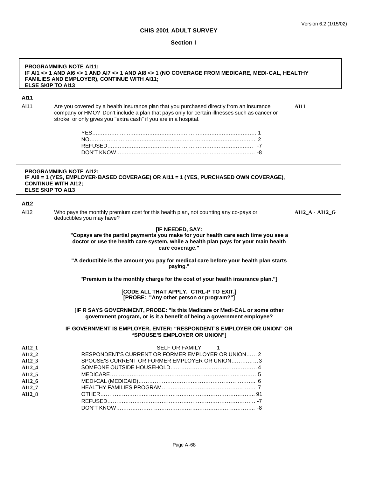#### **Section I**

# **PROGRAMMING NOTE AI11: IF AI1 <> 1 AND AI6 <> 1 AND AI7 <> 1 AND AI8 <> 1 (NO COVERAGE FROM MEDICARE, MEDI-CAL, HEALTHY FAMILIES AND EMPLOYER), CONTINUE WITH AI11; ELSE SKIP TO AI13**

#### **AI11**

AI11 Are you covered by a health insurance plan that you purchased directly from an insurance **AI11** company or HMO? Don't include a plan that pays only for certain illnesses such as cancer or stroke, or only gives you "extra cash" if you are in a hospital.

## **PROGRAMMING NOTE AI12: IF AI8 = 1 (YES, EMPLOYER-BASED COVERAGE) OR AI11 = 1 (YES, PURCHASED OWN COVERAGE), CONTINUE WITH AI12; ELSE SKIP TO AI13**

#### **AI12**

AI12 Who pays the monthly premium cost for this health plan, not counting any co-pays or **AI12\_A - AI12\_G** deductibles you may have?

### **[IF NEEDED, SAY:**

**"Copays are the partial payments you make for your health care each time you see a doctor or use the health care system, while a health plan pays for your main health care coverage."**

**"A deductible is the amount you pay for medical care before your health plan starts paying."**

**"Premium is the monthly charge for the cost of your health insurance plan."]**

**[CODE ALL THAT APPLY. CTRL-P TO EXIT.] [PROBE: "Any other person or program?"]**

**[IF R SAYS GOVERNMENT, PROBE: "Is this Medicare or Medi-CAL or some other government program, or is it a benefit of being a government employee?**

#### **IF GOVERNMENT IS EMPLOYER, ENTER: "RESPONDENT'S EMPLOYER OR UNION" OR "SPOUSE'S EMPLOYER OR UNION"]**

| AI12 1 | SELF OR FAMILY 1                                   |
|--------|----------------------------------------------------|
| AI12 2 | RESPONDENT'S CURRENT OR FORMER EMPLOYER OR UNION 2 |
| AI12 3 | SPOUSE'S CURRENT OR FORMER EMPLOYER OR UNION3      |
| AI12 4 |                                                    |
| AI12 5 |                                                    |
| AI12 6 |                                                    |
| AI12 7 |                                                    |
| AI12 8 |                                                    |
|        |                                                    |
|        |                                                    |
|        |                                                    |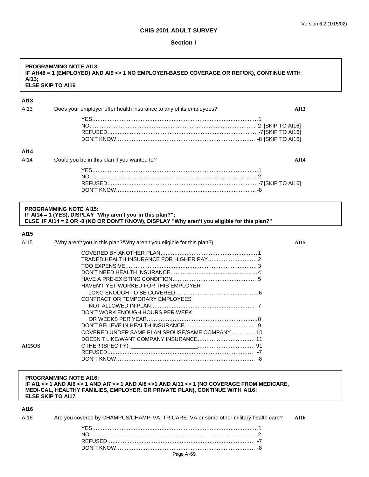#### **Section I**

## **PROGRAMMING NOTE AI13: IF AH48 = 1 (EMPLOYED) AND AI9 <> 1 NO EMPLOYER-BASED COVERAGE OR REF/DK), CONTINUE WITH AI13; ELSE SKIP TO AI16 AI13**

| AI13 | Does your employer offer health insurance to any of its employees?                                                                                        | <b>AI13</b> |
|------|-----------------------------------------------------------------------------------------------------------------------------------------------------------|-------------|
|      |                                                                                                                                                           |             |
|      |                                                                                                                                                           |             |
|      |                                                                                                                                                           |             |
|      |                                                                                                                                                           |             |
| AI14 |                                                                                                                                                           |             |
| AI14 | Could you be in this plan if you wanted to?                                                                                                               | <b>AI14</b> |
|      |                                                                                                                                                           |             |
|      |                                                                                                                                                           |             |
|      |                                                                                                                                                           |             |
|      |                                                                                                                                                           |             |
|      | <b>PROGRAMMING NOTE AI15:</b>                                                                                                                             |             |
|      |                                                                                                                                                           |             |
|      | IF Al14 = 1 (YES), DISPLAY "Why aren't you in this plan?";<br>ELSE IF AI14 = 2 OR -8 (NO OR DON'T KNOW), DISPLAY "Why aren't you eligible for this plan?" |             |
|      |                                                                                                                                                           |             |
| AI15 |                                                                                                                                                           |             |
| AI15 |                                                                                                                                                           |             |
|      | {Why aren't you in this plan?/Why aren't you eligible for this plan?}                                                                                     | <b>AI15</b> |
|      |                                                                                                                                                           |             |
|      | TRADED HEALTH INSURANCE FOR HIGHER PAY 2                                                                                                                  |             |
|      |                                                                                                                                                           |             |
|      |                                                                                                                                                           |             |
|      |                                                                                                                                                           |             |
|      | HAVEN'T YET WORKED FOR THIS EMPLOYER                                                                                                                      |             |
|      |                                                                                                                                                           |             |
|      | CONTRACT OR TEMPORARY EMPLOYEES                                                                                                                           |             |
|      |                                                                                                                                                           |             |
|      |                                                                                                                                                           |             |
|      | DON'T WORK ENOUGH HOURS PER WEEK                                                                                                                          |             |
|      |                                                                                                                                                           |             |

**AI15OS** OTHER (SPECIFY): \_\_\_\_\_\_\_\_\_\_\_\_\_\_\_\_\_\_\_\_\_\_….….….….….….….…. 91

**PROGRAMMING NOTE AI16: IF AI1 <> 1 AND AI6 <> 1 AND AI7 <> 1 AND AI8 <>1 AND AI11 <> 1 (NO COVERAGE FROM MEDICARE, MEDI-CAL, HEALTHY FAMILIES, EMPLOYER, OR PRIVATE PLAN), CONTINUE WITH AI16; ELSE SKIP TO AI17**

DOESN'T LIKE/WANT COMPANY INSURANCE….….….….….….….…. 11

REFUSED….….….….….….….….….….….….….….….….….….….….…. -7 DON'T KNOW….….….….….….….….….….….….….….….….….….….…. -8

## **AI16**

|  | Are you covered by CHAMPUS/CHAMP-VA, TRICARE, VA or some other military health care? AI16 |  |
|--|-------------------------------------------------------------------------------------------|--|
|  |                                                                                           |  |
|  |                                                                                           |  |
|  |                                                                                           |  |
|  |                                                                                           |  |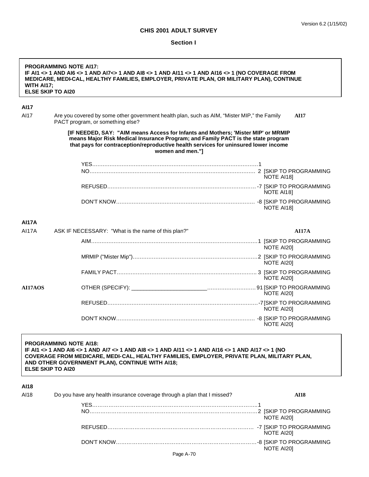٦

## **CHIS 2001 ADULT SURVEY**

#### **Section I**

| WITH AI17;   | <b>PROGRAMMING NOTE AI17:</b><br>IF AI1 <> 1 AND AI6 <> 1 AND AI7<> 1 AND AI8 <> 1 AND AI11 <> 1 AND AI16 <> 1 (NO COVERAGE FROM<br>MEDICARE, MEDI-CAL, HEALTHY FAMILIES, EMPLOYER, PRIVATE PLAN, OR MILITARY PLAN), CONTINUE<br><b>ELSE SKIP TO AI20</b>                                                      |             |
|--------------|----------------------------------------------------------------------------------------------------------------------------------------------------------------------------------------------------------------------------------------------------------------------------------------------------------------|-------------|
| <b>AI17</b>  |                                                                                                                                                                                                                                                                                                                |             |
| AI17         | Are you covered by some other government health plan, such as AIM, "Mister MIP," the Family<br>PACT program, or something else?                                                                                                                                                                                | <b>AI17</b> |
|              | [IF NEEDED, SAY: "AIM means Access for Infants and Mothers; 'Mister MIP' or MRMIP<br>means Major Risk Medical Insurance Program; and Family PACT is the state program<br>that pays for contraception/reproductive health services for uninsured lower income<br>women and men."]                               |             |
|              |                                                                                                                                                                                                                                                                                                                |             |
|              |                                                                                                                                                                                                                                                                                                                | NOTE AI18]  |
|              |                                                                                                                                                                                                                                                                                                                | NOTE AI18]  |
|              |                                                                                                                                                                                                                                                                                                                | NOTE AI181  |
| <b>AI17A</b> |                                                                                                                                                                                                                                                                                                                |             |
| <b>AI17A</b> | ASK IF NECESSARY: "What is the name of this plan?"                                                                                                                                                                                                                                                             | AI17A       |
|              |                                                                                                                                                                                                                                                                                                                | NOTE AI201  |
|              |                                                                                                                                                                                                                                                                                                                | NOTE AI201  |
|              |                                                                                                                                                                                                                                                                                                                | NOTE AI20]  |
| AI17AOS      |                                                                                                                                                                                                                                                                                                                | NOTE AI20]  |
|              |                                                                                                                                                                                                                                                                                                                | NOTE AI20]  |
|              |                                                                                                                                                                                                                                                                                                                | NOTE AI201  |
|              | <b>PROGRAMMING NOTE AI18:</b><br>IF AI1 <> 1 AND AI6 <> 1 AND AI7 <> 1 AND AI8 <> 1 AND AI11 <> 1 AND AI16 <> 1 AND AI17 <> 1 (NO<br>COVERAGE FROM MEDICARE, MEDI-CAL, HEALTHY FAMILIES, EMPLOYER, PRIVATE PLAN, MILITARY PLAN,<br>AND OTHER GOVERNMENT PLAN), CONTINUE WITH AI18;<br><b>ELSE SKIP TO AI20</b> |             |
| AI18         |                                                                                                                                                                                                                                                                                                                |             |
| AI18         | Do you have any health insurance coverage through a plan that I missed?                                                                                                                                                                                                                                        | <b>AI18</b> |
|              |                                                                                                                                                                                                                                                                                                                | NOTE AI20]  |
|              |                                                                                                                                                                                                                                                                                                                | NOTE AI20]  |
|              |                                                                                                                                                                                                                                                                                                                | NOTE AI20]  |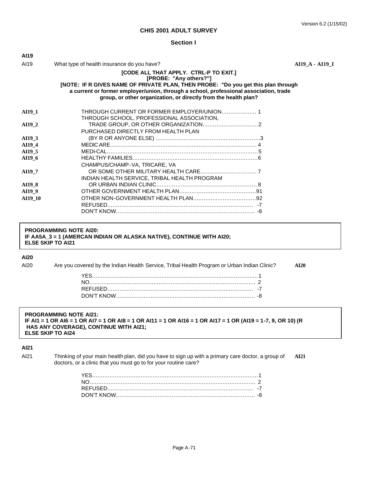#### **Section I**

| AI I J        |                                                                                                                                                                                                                                                                                                                   |                 |
|---------------|-------------------------------------------------------------------------------------------------------------------------------------------------------------------------------------------------------------------------------------------------------------------------------------------------------------------|-----------------|
| AI19          | What type of health insurance do you have?                                                                                                                                                                                                                                                                        | AI19 A - AI19 I |
|               | [CODE ALL THAT APPLY. CTRL-P TO EXIT.]<br>[PROBE: "Any others?"]<br>[NOTE: IF R GIVES NAME OF PRIVATE PLAN, THEN PROBE: "Do you get this plan through<br>a current or former employer/union, through a school, professional association, trade<br>group, or other organization, or directly from the health plan? |                 |
| <b>AI19 1</b> | THROUGH CURRENT OR FORMER EMPLOYER/UNION 1<br>THROUGH SCHOOL, PROFESSIONAL ASSOCIATION,                                                                                                                                                                                                                           |                 |
| AI19 2        | PURCHASED DIRECTLY FROM HEALTH PLAN                                                                                                                                                                                                                                                                               |                 |
| AI19 3        |                                                                                                                                                                                                                                                                                                                   |                 |
| AI19 4        |                                                                                                                                                                                                                                                                                                                   |                 |
| AI19 5        |                                                                                                                                                                                                                                                                                                                   |                 |
| AI19 6        | CHAMPUS/CHAMP-VA, TRICARE, VA                                                                                                                                                                                                                                                                                     |                 |
| AI19 7        | INDIAN HEALTH SERVICE, TRIBAL HEALTH PROGRAM                                                                                                                                                                                                                                                                      |                 |
| AI19 8        |                                                                                                                                                                                                                                                                                                                   |                 |
| AI19 9        |                                                                                                                                                                                                                                                                                                                   |                 |
| AI19 10       |                                                                                                                                                                                                                                                                                                                   |                 |
|               |                                                                                                                                                                                                                                                                                                                   |                 |

#### **PROGRAMMING NOTE AI20: IF AA5A\_3 = 1 (AMERCAN INDIAN OR ALASKA NATIVE), CONTINUE WITH AI20; ELSE SKIP TO AI21**

#### **AI20**

**AI19**

AI20 Are you covered by the Indian Health Service, Tribal Health Program or Urban Indian Clinic? **AI20**

### **PROGRAMMING NOTE AI21: IF AI1 = 1 OR AI6 = 1 OR AI7 = 1 OR AI8 = 1 OR AI11 = 1 OR AI16 = 1 OR AI17 = 1 OR (AI19 = 1-7, 9, OR 10) (R HAS ANY COVERAGE), CONTINUE WITH AI21; ELSE SKIP TO AI24**

## **AI21**

AI21 Thinking of your main health plan, did you have to sign up with a primary care doctor, a group of **AI21** doctors, or a clinic that you must go to for your routine care?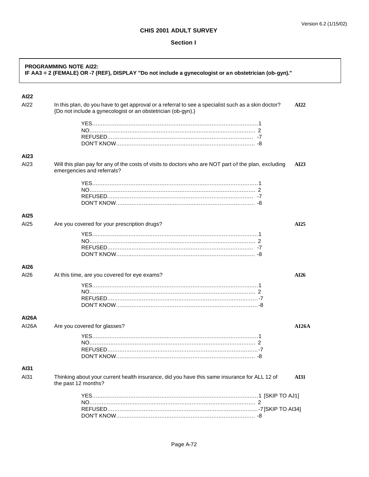#### **Section I**

| <b>PROGRAMMING NOTE AI22:</b><br>IF AA3 = 2 (FEMALE) OR -7 (REF), DISPLAY "Do not include a gynecologist or an obstetrician (ob-gyn)." |                                                                                                                                                                    |             |
|----------------------------------------------------------------------------------------------------------------------------------------|--------------------------------------------------------------------------------------------------------------------------------------------------------------------|-------------|
| <b>Al22</b>                                                                                                                            |                                                                                                                                                                    |             |
| AI22                                                                                                                                   | In this plan, do you have to get approval or a referral to see a specialist such as a skin doctor?<br>{Do not include a gynecologist or an obstetrician (ob-gyn).} | AI22        |
|                                                                                                                                        |                                                                                                                                                                    |             |
|                                                                                                                                        |                                                                                                                                                                    |             |
|                                                                                                                                        |                                                                                                                                                                    |             |
|                                                                                                                                        |                                                                                                                                                                    |             |
| AI23                                                                                                                                   |                                                                                                                                                                    |             |
| AI23                                                                                                                                   | Will this plan pay for any of the costs of visits to doctors who are NOT part of the plan, excluding<br>emergencies and referrals?                                 | AI23        |
|                                                                                                                                        |                                                                                                                                                                    |             |
|                                                                                                                                        |                                                                                                                                                                    |             |
|                                                                                                                                        |                                                                                                                                                                    |             |
|                                                                                                                                        |                                                                                                                                                                    |             |
| AI25                                                                                                                                   |                                                                                                                                                                    |             |
| AI25                                                                                                                                   | Are you covered for your prescription drugs?                                                                                                                       | AI25        |
|                                                                                                                                        |                                                                                                                                                                    |             |
|                                                                                                                                        |                                                                                                                                                                    |             |
|                                                                                                                                        |                                                                                                                                                                    |             |
|                                                                                                                                        |                                                                                                                                                                    |             |
| AI26                                                                                                                                   |                                                                                                                                                                    |             |
| AI26                                                                                                                                   | At this time, are you covered for eye exams?                                                                                                                       | AI26        |
|                                                                                                                                        |                                                                                                                                                                    |             |
|                                                                                                                                        |                                                                                                                                                                    |             |
|                                                                                                                                        |                                                                                                                                                                    |             |
|                                                                                                                                        |                                                                                                                                                                    |             |
| AI26A                                                                                                                                  |                                                                                                                                                                    |             |
| AI26A                                                                                                                                  | Are you covered for glasses?                                                                                                                                       | AI26A       |
|                                                                                                                                        |                                                                                                                                                                    |             |
|                                                                                                                                        |                                                                                                                                                                    |             |
|                                                                                                                                        |                                                                                                                                                                    |             |
|                                                                                                                                        |                                                                                                                                                                    |             |
| AI31                                                                                                                                   |                                                                                                                                                                    |             |
| AI31                                                                                                                                   | Thinking about your current health insurance, did you have this same insurance for ALL 12 of<br>the past 12 months?                                                | <b>AI31</b> |
|                                                                                                                                        |                                                                                                                                                                    |             |
|                                                                                                                                        |                                                                                                                                                                    |             |
|                                                                                                                                        |                                                                                                                                                                    |             |
|                                                                                                                                        |                                                                                                                                                                    |             |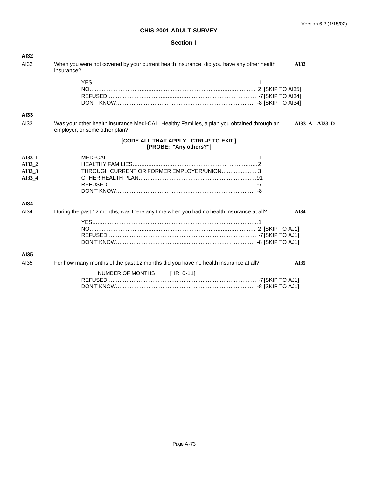## **Section I**

| <b>AI32</b> |                                                                                                                                                |
|-------------|------------------------------------------------------------------------------------------------------------------------------------------------|
| AI32        | When you were not covered by your current health insurance, did you have any other health<br>AI32<br>insurance?                                |
|             |                                                                                                                                                |
|             |                                                                                                                                                |
|             |                                                                                                                                                |
|             |                                                                                                                                                |
| AI33        |                                                                                                                                                |
| AI33        | Was your other health insurance Medi-CAL, Healthy Families, a plan you obtained through an<br>AI33_A - AI33_D<br>employer, or some other plan? |
|             | [CODE ALL THAT APPLY. CTRL-P TO EXIT.]<br>[PROBE: "Any others?"]                                                                               |
| AI33_1      |                                                                                                                                                |
| AI33 2      |                                                                                                                                                |
| AI33 3      | THROUGH CURRENT OR FORMER EMPLOYER/UNION 3                                                                                                     |
| AI33 4      |                                                                                                                                                |
|             |                                                                                                                                                |
|             |                                                                                                                                                |
| AI34        |                                                                                                                                                |
| AI34        | During the past 12 months, was there any time when you had no health insurance at all?<br>AI34                                                 |
|             |                                                                                                                                                |
|             |                                                                                                                                                |
|             |                                                                                                                                                |
|             |                                                                                                                                                |
| AI35        |                                                                                                                                                |
| AI35        | For how many months of the past 12 months did you have no health insurance at all?<br>AI35                                                     |
|             | NUMBER OF MONTHS<br>$[HR: 0-11]$                                                                                                               |
|             |                                                                                                                                                |
|             |                                                                                                                                                |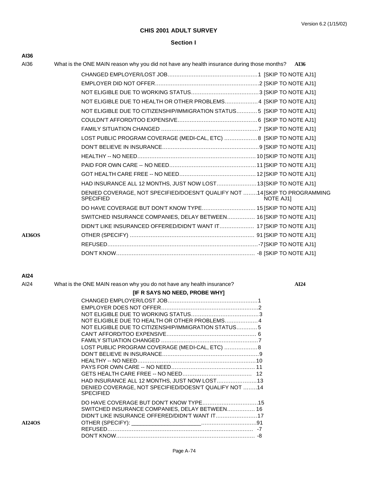#### **Section I**

| AI36          |                                                                                                             |
|---------------|-------------------------------------------------------------------------------------------------------------|
| AI36          | What is the ONE MAIN reason why you did not have any health insurance during those months?<br>AI36          |
|               |                                                                                                             |
|               |                                                                                                             |
|               |                                                                                                             |
|               | NOT ELIGIBLE DUE TO HEALTH OR OTHER PROBLEMS4 [SKIP TO NOTE AJ1]                                            |
|               | NOT ELIGIBLE DUE TO CITIZENSHIP/IMMIGRATION STATUS5 [SKIP TO NOTE AJ1]                                      |
|               |                                                                                                             |
|               |                                                                                                             |
|               | LOST PUBLIC PROGRAM COVERAGE (MEDI-CAL, ETC)  8 [SKIP TO NOTE AJ1]                                          |
|               |                                                                                                             |
|               |                                                                                                             |
|               |                                                                                                             |
|               |                                                                                                             |
|               | HAD INSURANCE ALL 12 MONTHS, JUST NOW LOST13[SKIP TO NOTE AJ1]                                              |
|               | DENIED COVERAGE, NOT SPECIFIED/DOESN'T QUALIFY NOT 14 [SKIP TO PROGRAMMING<br><b>SPECIFIED</b><br>NOTE AJ1] |
|               | DO HAVE COVERAGE BUT DON'T KNOW TYPE 15 [SKIP TO NOTE AJ1]                                                  |
|               | SWITCHED INSURANCE COMPANIES, DELAY BETWEEN 16 [SKIP TO NOTE AJ1]                                           |
|               | DIDN'T LIKE INSURANCED OFFERED/DIDN'T WANT IT 17 [SKIP TO NOTE AJ1]                                         |
| <b>AI36OS</b> |                                                                                                             |
|               |                                                                                                             |
|               |                                                                                                             |

#### **AI24**

| AI24 | What is the ONE MAIN reason why you do not have any health insurance? | AI24 |
|------|-----------------------------------------------------------------------|------|
|      |                                                                       |      |

|               | <b>[IF R SAYS NO NEED, PROBE WHY]</b>                                                                                                                                                                                                                                                |  |
|---------------|--------------------------------------------------------------------------------------------------------------------------------------------------------------------------------------------------------------------------------------------------------------------------------------|--|
|               | NOT ELIGIBLE DUE TO HEALTH OR OTHER PROBLEMS4<br>NOT ELIGIBLE DUE TO CITIZENSHIP/IMMIGRATION STATUS5<br>LOST PUBLIC PROGRAM COVERAGE (MEDI-CAL, ETC)  8<br>HAD INSURANCE ALL 12 MONTHS, JUST NOW LOST13<br>DENIED COVERAGE, NOT SPECIFIED/DOESN'T QUALIFY NOT 14<br><b>SPECIFIED</b> |  |
| <b>AI24OS</b> | DO HAVE COVERAGE BUT DON'T KNOW TYPE15<br>SWITCHED INSURANCE COMPANIES, DELAY BETWEEN 16                                                                                                                                                                                             |  |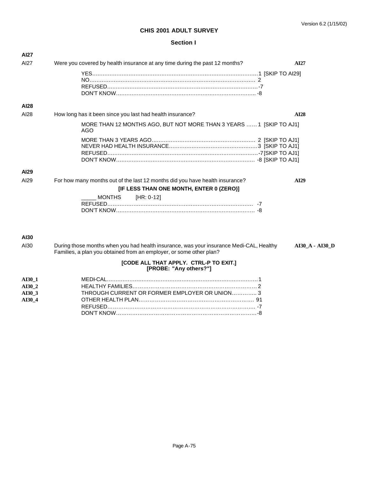### **Section I**

| <b>AI27</b>   |                                                                                                                                                                                                                                                                                                                                    |                 |
|---------------|------------------------------------------------------------------------------------------------------------------------------------------------------------------------------------------------------------------------------------------------------------------------------------------------------------------------------------|-----------------|
| AI27          | Were you covered by health insurance at any time during the past 12 months?                                                                                                                                                                                                                                                        | AI27            |
|               |                                                                                                                                                                                                                                                                                                                                    |                 |
| <b>AI28</b>   |                                                                                                                                                                                                                                                                                                                                    |                 |
| AI28          | How long has it been since you last had health insurance?                                                                                                                                                                                                                                                                          | <b>AI28</b>     |
|               | MORE THAN 12 MONTHS AGO, BUT NOT MORE THAN 3 YEARS  1 [SKIP TO AJ1]<br>AGO                                                                                                                                                                                                                                                         |                 |
|               |                                                                                                                                                                                                                                                                                                                                    |                 |
| <b>AI29</b>   |                                                                                                                                                                                                                                                                                                                                    |                 |
| AI29          | For how many months out of the last 12 months did you have health insurance?<br>[IF LESS THAN ONE MONTH, ENTER 0 (ZERO)]                                                                                                                                                                                                           | <b>AI29</b>     |
|               | MONTHS [HR: 0-12]                                                                                                                                                                                                                                                                                                                  |                 |
| <b>AI30</b>   |                                                                                                                                                                                                                                                                                                                                    |                 |
| AI30          | During those months when you had health insurance, was your insurance Medi-CAL, Healthy<br>Families, a plan you obtained from an employer, or some other plan?                                                                                                                                                                     | AI30 A - AI30 D |
|               | [CODE ALL THAT APPLY. CTRL-P TO EXIT.]<br>[PROBE: "Any others?"]                                                                                                                                                                                                                                                                   |                 |
| <b>AI30 1</b> | $\mathbf{E}$ $\mathbf{E}$ $\mathbf{E}$ $\mathbf{E}$ $\mathbf{E}$ $\mathbf{E}$ $\mathbf{E}$ $\mathbf{E}$ $\mathbf{E}$ $\mathbf{E}$ $\mathbf{E}$ $\mathbf{E}$ $\mathbf{E}$ $\mathbf{E}$ $\mathbf{E}$ $\mathbf{E}$ $\mathbf{E}$ $\mathbf{E}$ $\mathbf{E}$ $\mathbf{E}$ $\mathbf{E}$ $\mathbf{E}$ $\mathbf{E}$ $\mathbf{E}$ $\mathbf{$ |                 |

| AI30 2 |                                               |  |
|--------|-----------------------------------------------|--|
| AI30 3 | THROUGH CURRENT OR FORMER EMPLOYER OR UNION 3 |  |
| AI30 4 |                                               |  |
|        |                                               |  |
|        |                                               |  |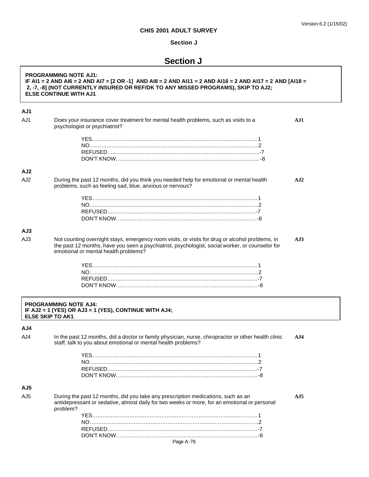<u> 1980 - Johann Barnett, fransk politik (</u>

## **CHIS 2001 ADULT SURVEY**

## **Section J**

# **Section J**

|                 | <b>PROGRAMMING NOTE AJ1:</b><br>IF AI1 = 2 AND AI6 = 2 AND AI7 = [2 OR -1] AND AI8 = 2 AND AI11 = 2 AND AI16 = 2 AND AI17 = 2 AND [AI18 =<br>2, -7, -8] (NOT CURRENTLY INSURED OR REF/DK TO ANY MISSED PROGRAMS), SKIP TO AJ2;<br><b>ELSE CONTINUE WITH AJ1</b> |                 |
|-----------------|-----------------------------------------------------------------------------------------------------------------------------------------------------------------------------------------------------------------------------------------------------------------|-----------------|
| AJ1             |                                                                                                                                                                                                                                                                 |                 |
| AJ1             | Does your insurance cover treatment for mental health problems, such as visits to a<br>psychologist or psychiatrist?                                                                                                                                            | AJI             |
|                 |                                                                                                                                                                                                                                                                 |                 |
|                 |                                                                                                                                                                                                                                                                 |                 |
|                 |                                                                                                                                                                                                                                                                 |                 |
| AJ2             |                                                                                                                                                                                                                                                                 |                 |
| AJ <sub>2</sub> | During the past 12 months, did you think you needed help for emotional or mental health<br>problems, such as feeling sad, blue, anxious or nervous?                                                                                                             | A <sub>J2</sub> |
|                 |                                                                                                                                                                                                                                                                 |                 |
|                 |                                                                                                                                                                                                                                                                 |                 |
|                 |                                                                                                                                                                                                                                                                 |                 |
|                 |                                                                                                                                                                                                                                                                 |                 |
| AJ3             |                                                                                                                                                                                                                                                                 |                 |
| AJ3             | Not counting overnight stays, emergency room visits, or visits for drug or alcohol problems, in<br>the past 12 months, have you seen a psychiatrist, psychologist, social worker, or counselor for<br>emotional or mental health problems?                      | A <sub>J3</sub> |
|                 |                                                                                                                                                                                                                                                                 |                 |
|                 |                                                                                                                                                                                                                                                                 |                 |
|                 |                                                                                                                                                                                                                                                                 |                 |
|                 |                                                                                                                                                                                                                                                                 |                 |
|                 | <b>PROGRAMMING NOTE AJ4:</b><br>IF AJ2 = 1 (YES) OR AJ3 = 1 (YES), CONTINUE WITH AJ4;<br><b>ELSE SKIP TO AK1</b>                                                                                                                                                |                 |
| AJ4             |                                                                                                                                                                                                                                                                 |                 |
| AJ4             | In the past 12 months, did a doctor or family physician, nurse, chiropractor or other health clinic<br>staff, talk to you about emotional or mental health problems?                                                                                            | AJ4             |
|                 |                                                                                                                                                                                                                                                                 |                 |
|                 |                                                                                                                                                                                                                                                                 |                 |
|                 |                                                                                                                                                                                                                                                                 |                 |
| AJ5             |                                                                                                                                                                                                                                                                 |                 |
| AJ <sub>5</sub> | During the past 12 months, did you take any prescription medications, such as an<br>antidepressant or sedative, almost daily for two weeks or more, for an emotional or personal<br>problem?                                                                    | A <sub>J5</sub> |
|                 |                                                                                                                                                                                                                                                                 |                 |
|                 |                                                                                                                                                                                                                                                                 |                 |
|                 |                                                                                                                                                                                                                                                                 |                 |
|                 | Page A-76                                                                                                                                                                                                                                                       |                 |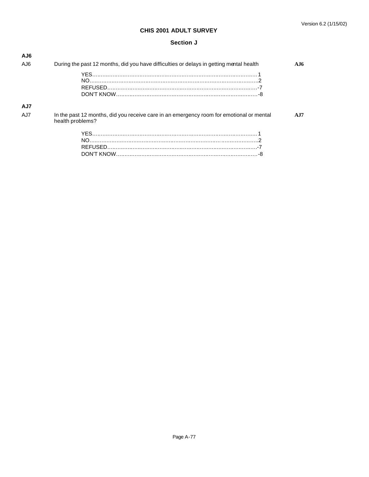### **Section J**

| AJ6<br>AJ6  | During the past 12 months, did you have difficulties or delays in getting mental health  | A.I6 |
|-------------|------------------------------------------------------------------------------------------|------|
|             |                                                                                          |      |
| AJ7<br>A.J7 | In the past 12 months, did you receive care in an emergency room for emotional or mental | A.I7 |
|             | health problems?                                                                         |      |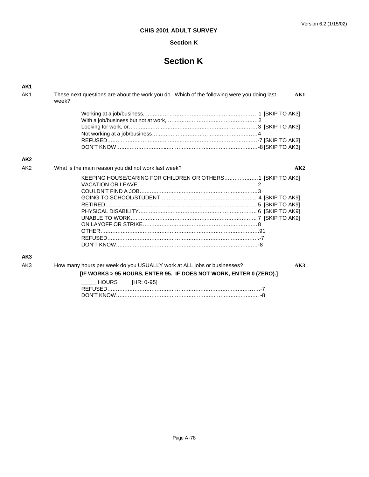## **Section K**

# **Section K**

| AK <sub>1</sub> |                                                                                                            |
|-----------------|------------------------------------------------------------------------------------------------------------|
| AK <sub>1</sub> | These next questions are about the work you do. Which of the following were you doing last<br>AK1<br>week? |
|                 |                                                                                                            |
|                 |                                                                                                            |
|                 |                                                                                                            |
|                 |                                                                                                            |
|                 |                                                                                                            |
|                 |                                                                                                            |
| AK <sub>2</sub> |                                                                                                            |
| AK <sub>2</sub> | What is the main reason you did not work last week?<br>AK2                                                 |
|                 | KEEPING HOUSE/CARING FOR CHILDREN OR OTHERS1 [SKIP TO AK9]                                                 |
| AK3             |                                                                                                            |
| AK3             | How many hours per week do you USUALLY work at ALL jobs or businesses?<br>AK3                              |
|                 | [IF WORKS > 95 HOURS, ENTER 95. IF DOES NOT WORK, ENTER 0 (ZERO).]                                         |
|                 | <b>HOURS</b><br>$[HR: 0-95]$                                                                               |

REFUSED…..…..…..…..…..…..…..…..…..…..…..…..…..…..…..…..……….-7 DON'T KNOW…..…..…..…..…..…..…..…..…..…..…..…..…..…..…..…..….. -8

Page A-78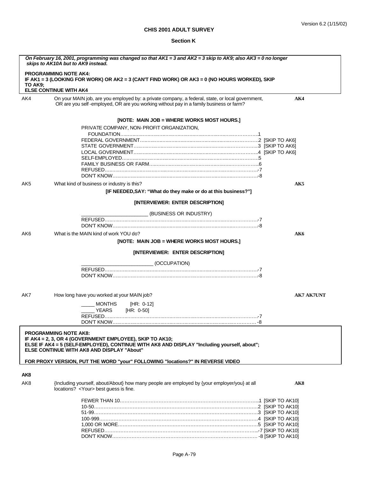## **Section K**

| On February 16, 2001, programming was changed so that AK1 = 3 and AK2 = 3 skip to AK9; also AK3 = 0 no longer<br>skips to AK10A but to AK9 instead. |                                                                                                                                                                                                                                             |                   |
|-----------------------------------------------------------------------------------------------------------------------------------------------------|---------------------------------------------------------------------------------------------------------------------------------------------------------------------------------------------------------------------------------------------|-------------------|
| TO AK9:                                                                                                                                             | <b>PROGRAMMING NOTE AK4:</b><br>IF AK1 = 3 (LOOKING FOR WORK) OR AK2 = 3 (CAN'T FIND WORK) OR AK3 = 0 (NO HOURS WORKED), SKIP<br><b>ELSE CONTINUE WITH AK4</b>                                                                              |                   |
| AK4                                                                                                                                                 | On your MAIN job, are you employed by: a private company, a federal, state, or local government,<br>OR are you self-employed, OR are you working without pay in a family business or farm?                                                  | AK4               |
|                                                                                                                                                     | [NOTE: MAIN JOB = WHERE WORKS MOST HOURS.]                                                                                                                                                                                                  |                   |
|                                                                                                                                                     | PRIVATE COMPANY, NON-PROFIT ORGANIZATION,                                                                                                                                                                                                   |                   |
|                                                                                                                                                     |                                                                                                                                                                                                                                             |                   |
|                                                                                                                                                     |                                                                                                                                                                                                                                             |                   |
|                                                                                                                                                     |                                                                                                                                                                                                                                             |                   |
|                                                                                                                                                     |                                                                                                                                                                                                                                             |                   |
|                                                                                                                                                     |                                                                                                                                                                                                                                             |                   |
|                                                                                                                                                     |                                                                                                                                                                                                                                             |                   |
|                                                                                                                                                     |                                                                                                                                                                                                                                             |                   |
|                                                                                                                                                     |                                                                                                                                                                                                                                             |                   |
| AK5                                                                                                                                                 | What kind of business or industry is this?<br>[IF NEEDED, SAY: "What do they make or do at this business?"]                                                                                                                                 | AK5               |
|                                                                                                                                                     | [INTERVIEWER: ENTER DESCRIPTION]                                                                                                                                                                                                            |                   |
|                                                                                                                                                     | (BUSINESS OR INDUSTRY)                                                                                                                                                                                                                      |                   |
|                                                                                                                                                     |                                                                                                                                                                                                                                             |                   |
|                                                                                                                                                     |                                                                                                                                                                                                                                             |                   |
| AK6                                                                                                                                                 | What is the MAIN kind of work YOU do?                                                                                                                                                                                                       | AK6               |
|                                                                                                                                                     |                                                                                                                                                                                                                                             |                   |
|                                                                                                                                                     | [NOTE: MAIN JOB = WHERE WORKS MOST HOURS.]                                                                                                                                                                                                  |                   |
|                                                                                                                                                     | [INTERVIEWER: ENTER DESCRIPTION]                                                                                                                                                                                                            |                   |
|                                                                                                                                                     | (OCCUPATION)                                                                                                                                                                                                                                |                   |
|                                                                                                                                                     |                                                                                                                                                                                                                                             |                   |
|                                                                                                                                                     |                                                                                                                                                                                                                                             |                   |
|                                                                                                                                                     |                                                                                                                                                                                                                                             |                   |
|                                                                                                                                                     |                                                                                                                                                                                                                                             |                   |
| AK7                                                                                                                                                 | How long have you worked at your MAIN job?                                                                                                                                                                                                  | <b>AK7 AK7UNT</b> |
|                                                                                                                                                     | <b>MONTHS</b><br>[HR: 0-12]                                                                                                                                                                                                                 |                   |
|                                                                                                                                                     | YEARS<br>[HR: 0-50]                                                                                                                                                                                                                         |                   |
|                                                                                                                                                     |                                                                                                                                                                                                                                             |                   |
|                                                                                                                                                     |                                                                                                                                                                                                                                             |                   |
|                                                                                                                                                     | <b>PROGRAMMING NOTE AK8:</b><br>IF AK4 = 2, 3, OR 4 (GOVERNMENT EMPLOYEE), SKIP TO AK10;<br>ELSE IF AK4 = 5 (SELFEMPLOYED), CONTINUE WITH AK8 AND DISPLAY "Including yourself, about";<br><b>ELSE CONTINUE WITH AK8 AND DISPLAY "About"</b> |                   |
|                                                                                                                                                     | FOR PROXY VERSION, PUT THE WORD "your" FOLLOWING "locations?" IN REVERSE VIDEO                                                                                                                                                              |                   |
| AK8                                                                                                                                                 |                                                                                                                                                                                                                                             |                   |
| AK8                                                                                                                                                 | {Including yourself, about/About} how many people are employed by {your employer/you} at all<br>locations? <your> best guess is fine.</your>                                                                                                | AK8               |
|                                                                                                                                                     |                                                                                                                                                                                                                                             |                   |
|                                                                                                                                                     |                                                                                                                                                                                                                                             |                   |
|                                                                                                                                                     |                                                                                                                                                                                                                                             |                   |
|                                                                                                                                                     |                                                                                                                                                                                                                                             |                   |
|                                                                                                                                                     |                                                                                                                                                                                                                                             |                   |
|                                                                                                                                                     |                                                                                                                                                                                                                                             |                   |
|                                                                                                                                                     |                                                                                                                                                                                                                                             |                   |
|                                                                                                                                                     |                                                                                                                                                                                                                                             |                   |
|                                                                                                                                                     |                                                                                                                                                                                                                                             |                   |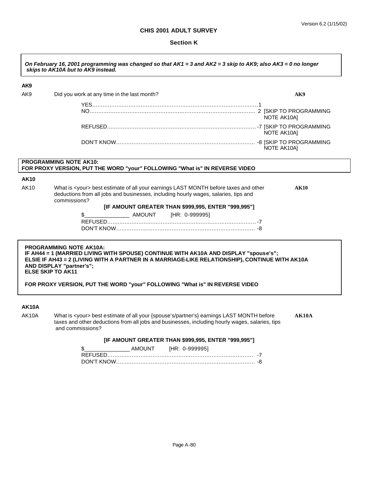## **Section K**

|              | On February 16, 2001 programming was changed so that AK1 = 3 and AK2 = 3 skip to AK9; also AK3 = 0 no longer<br>skips to AK10A but to AK9 instead.                                                                                                                                                                                                              |
|--------------|-----------------------------------------------------------------------------------------------------------------------------------------------------------------------------------------------------------------------------------------------------------------------------------------------------------------------------------------------------------------|
| AK9          |                                                                                                                                                                                                                                                                                                                                                                 |
| AK9          | Did you work at any time in the last month?<br>AK9                                                                                                                                                                                                                                                                                                              |
|              | NOTE AK10A]                                                                                                                                                                                                                                                                                                                                                     |
|              | NOTE AK10A]                                                                                                                                                                                                                                                                                                                                                     |
|              | NOTE AK10A]                                                                                                                                                                                                                                                                                                                                                     |
|              | PROGRAMMING NOTE AK10:<br>FOR PROXY VERSION, PUT THE WORD "your" FOLLOWING "What is" IN REVERSE VIDEO                                                                                                                                                                                                                                                           |
| <b>AK10</b>  |                                                                                                                                                                                                                                                                                                                                                                 |
| AK10         | What is <your> best estimate of all your earnings LAST MONTH before taxes and other<br/><b>AK10</b><br/>deductions from all jobs and businesses, including hourly wages, salaries, tips and<br/>commissions?<br/>[IF AMOUNT GREATER THAN \$999,995, ENTER "999,995"]</your>                                                                                     |
|              | \$                                                                                                                                                                                                                                                                                                                                                              |
|              |                                                                                                                                                                                                                                                                                                                                                                 |
|              |                                                                                                                                                                                                                                                                                                                                                                 |
|              | <b>PROGRAMMING NOTE AK10A:</b><br>IF AH44 = 1 (MARRIED LIVING WITH SPOUSE) CONTINUE WITH AK10A AND DISPLAY "spouse's";<br>ELSIE IF AH43 = 2 (LIVING WITH A PARTNER IN A MARRIAGE-LIKE RELATIONSHIP), CONTINUE WITH AK10A<br>AND DISPLAY "partner's";<br><b>ELSE SKIP TO AK11</b><br>FOR PROXY VERSION, PUT THE WORD "your" FOLLOWING "What is" IN REVERSE VIDEO |
|              |                                                                                                                                                                                                                                                                                                                                                                 |
| <b>AK10A</b> |                                                                                                                                                                                                                                                                                                                                                                 |
| AK10A        | What is <your> best estimate of all your {spouse's/partner's} earnings LAST MONTH before<br/>AK10A<br/>taxes and other deductions from all jobs and businesses, including hourly wages, salaries, tips<br/>and commissions?</your>                                                                                                                              |

## **[IF AMOUNT GREATER THAN \$999,995, ENTER "999,995"]**

|         | AMOUNT | [HR: 0-999995] |  |
|---------|--------|----------------|--|
| RFFUSED |        |                |  |
|         |        |                |  |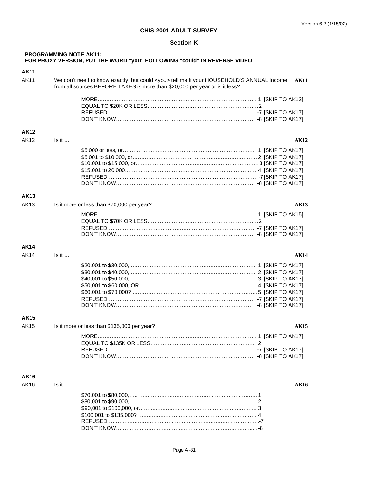| <b>Section K</b> |  |
|------------------|--|
|------------------|--|

|             | <b>PROGRAMMING NOTE AK11:</b> | FOR PROXY VERSION, PUT THE WORD "you" FOLLOWING "could" IN REVERSE VIDEO                                                                                                       |             |
|-------------|-------------------------------|--------------------------------------------------------------------------------------------------------------------------------------------------------------------------------|-------------|
| <b>AK11</b> |                               |                                                                                                                                                                                |             |
| <b>AK11</b> |                               | We don't need to know exactly, but could <you> tell me if your HOUSEHOLD'S ANNUAL income<br/>from all sources BEFORE TAXES is more than \$20,000 per year or is it less?</you> | <b>AK11</b> |
|             |                               |                                                                                                                                                                                |             |
|             |                               |                                                                                                                                                                                |             |
|             |                               |                                                                                                                                                                                |             |
|             |                               |                                                                                                                                                                                |             |
| <b>AK12</b> |                               |                                                                                                                                                                                |             |
| <b>AK12</b> | Is it                         |                                                                                                                                                                                | <b>AK12</b> |
|             |                               |                                                                                                                                                                                |             |
|             |                               |                                                                                                                                                                                |             |
|             |                               |                                                                                                                                                                                |             |
|             |                               |                                                                                                                                                                                |             |
|             |                               |                                                                                                                                                                                |             |
|             |                               |                                                                                                                                                                                |             |
| <b>AK13</b> |                               |                                                                                                                                                                                |             |
| <b>AK13</b> |                               | Is it more or less than \$70,000 per year?                                                                                                                                     | <b>AK13</b> |
|             |                               |                                                                                                                                                                                |             |
|             |                               |                                                                                                                                                                                |             |
|             |                               |                                                                                                                                                                                |             |
|             |                               |                                                                                                                                                                                |             |
| AK14        |                               |                                                                                                                                                                                |             |
| <b>AK14</b> | Is it                         |                                                                                                                                                                                | AK14        |
|             |                               |                                                                                                                                                                                |             |
|             |                               |                                                                                                                                                                                |             |
|             |                               |                                                                                                                                                                                |             |
|             |                               |                                                                                                                                                                                |             |
|             |                               |                                                                                                                                                                                |             |
|             |                               |                                                                                                                                                                                |             |
|             |                               |                                                                                                                                                                                |             |
| AK15        |                               |                                                                                                                                                                                |             |
| <b>AK15</b> |                               | Is it more or less than \$135,000 per year?                                                                                                                                    | <b>AK15</b> |
|             |                               |                                                                                                                                                                                |             |
|             |                               |                                                                                                                                                                                |             |
|             |                               |                                                                                                                                                                                |             |
|             |                               |                                                                                                                                                                                |             |
|             |                               |                                                                                                                                                                                |             |
| AK16        |                               |                                                                                                                                                                                |             |
| AK16        | Is it                         |                                                                                                                                                                                | <b>AK16</b> |
|             |                               |                                                                                                                                                                                |             |
|             |                               |                                                                                                                                                                                |             |
|             |                               |                                                                                                                                                                                |             |
|             |                               |                                                                                                                                                                                |             |
|             |                               |                                                                                                                                                                                |             |
|             |                               |                                                                                                                                                                                |             |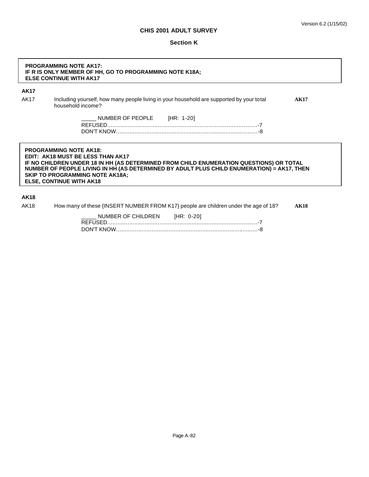#### **Section K**

#### **PROGRAMMING NOTE AK17: IF R IS ONLY MEMBER OF HH, GO TO PROGRAMMING NOTE K18A; ELSE CONTINUE WITH AK17**

### **AK17**

AK17 Including yourself, how many people living in your household are supported by your total **AK17** household income?

> NUMBER OF PEOPLE [HR: 1-20] REFUSED…..…..…..…..…..…..…..…..…..…..…..…..…..…..…..…..…..….-7 DON'T KNOW…..…..…..…..…..…..…..…..…..…..…..…..…..…..…..…..….-8

**PROGRAMMING NOTE AK18: EDIT: AK18 MUST BE LESS THAN AK17 IF NO CHILDREN UNDER 18 IN HH (AS DETERMINED FROM CHILD ENUMERATION QUESTIONS) OR TOTAL NUMBER OF PEOPLE LIVING IN HH (AS DETERMINED BY ADULT PLUS CHILD ENUMERATION) = AK17, THEN SKIP TO PROGRAMMING NOTE AK18A; ELSE, CONTINUE WITH AK18**

#### **AK18**

AK18 How many of these {INSERT NUMBER FROM K17} people are children under the age of 18? **AK18**

| NUMBER OF CHILDREN [HR: 0-20] |  |
|-------------------------------|--|
|                               |  |
|                               |  |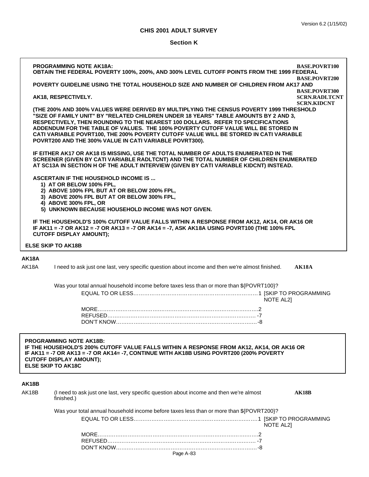## **Section K**

|                                                                                                                                                                                                                                                                                      | <b>PROGRAMMING NOTE AK18A:</b><br>OBTAIN THE FEDERAL POVERTY 100%, 200%, AND 300% LEVEL CUTOFF POINTS FROM THE 1999 FEDERAL                                                                                                                                                                                                                                                                                                                                                                                 | <b>BASE.POVRT100</b>                                               |  |
|--------------------------------------------------------------------------------------------------------------------------------------------------------------------------------------------------------------------------------------------------------------------------------------|-------------------------------------------------------------------------------------------------------------------------------------------------------------------------------------------------------------------------------------------------------------------------------------------------------------------------------------------------------------------------------------------------------------------------------------------------------------------------------------------------------------|--------------------------------------------------------------------|--|
|                                                                                                                                                                                                                                                                                      | POVERTY GUIDELINE USING THE TOTAL HOUSEHOLD SIZE AND NUMBER OF CHILDREN FROM AK17 AND                                                                                                                                                                                                                                                                                                                                                                                                                       | <b>BASE.POVRT200</b>                                               |  |
|                                                                                                                                                                                                                                                                                      | AK18, RESPECTIVELY.                                                                                                                                                                                                                                                                                                                                                                                                                                                                                         | <b>BASE.POVRT300</b><br><b>SCRN.RADLTCNT</b><br><b>SCRN.KIDCNT</b> |  |
|                                                                                                                                                                                                                                                                                      | (THE 200% AND 300% VALUES WERE DERIVED BY MULTIPLYING THE CENSUS POVERTY 1999 THRESHOLD<br>"SIZE OF FAMILY UNIT" BY "RELATED CHILDREN UNDER 18 YEARS" TABLE AMOUNTS BY 2 AND 3,<br>RESPECTIVELY, THEN ROUNDING TO THE NEAREST 100 DOLLARS. REFER TO SPECIFICATIONS<br>ADDENDUM FOR THE TABLE OF VALUES. THE 100% POVERTY CUTOFF VALUE WILL BE STORED IN<br>CATI VARIABLE POVRT100, THE 200% POVERTY CUTOFF VALUE WILL BE STORED IN CATI VARIABLE<br>POVRT200 AND THE 300% VALUE IN CATI VARIABLE POVRT300). |                                                                    |  |
|                                                                                                                                                                                                                                                                                      | IF EITHER AK17 OR AK18 IS MISSING, USE THE TOTAL NUMBER OF ADULTS ENUMERATED IN THE<br>SCREENER (GIVEN BY CATI VARIABLE RADLTCNT) AND THE TOTAL NUMBER OF CHILDREN ENUMERATED<br>AT SC13A IN SECTION H OF THE ADULT INTERVIEW (GIVEN BY CATI VARIABLE KIDCNT) INSTEAD.                                                                                                                                                                                                                                      |                                                                    |  |
|                                                                                                                                                                                                                                                                                      | <b>ASCERTAIN IF THE HOUSEHOLD INCOME IS </b><br>1) AT OR BELOW 100% FPL,<br>2) ABOVE 100% FPL BUT AT OR BELOW 200% FPL,<br>3) ABOVE 200% FPL BUT AT OR BELOW 300% FPL,<br>4) ABOVE 300% FPL, OR<br>5) UNKNOWN BECAUSE HOUSEHOLD INCOME WAS NOT GIVEN.                                                                                                                                                                                                                                                       |                                                                    |  |
|                                                                                                                                                                                                                                                                                      | IF THE HOUSEHOLD'S 100% CUTOFF VALUE FALLS WITHIN A RESPONSE FROM AK12, AK14, OR AK16 OR<br>IF AK11 = -7 OR AK12 = -7 OR AK13 = -7 OR AK14 = -7, ASK AK18A USING POVRT100 (THE 100% FPL<br><b>CUTOFF DISPLAY AMOUNT);</b>                                                                                                                                                                                                                                                                                   |                                                                    |  |
|                                                                                                                                                                                                                                                                                      | <b>ELSE SKIP TO AK18B</b>                                                                                                                                                                                                                                                                                                                                                                                                                                                                                   |                                                                    |  |
| AK18A<br>AK18A                                                                                                                                                                                                                                                                       | I need to ask just one last, very specific question about income and then we're almost finished.                                                                                                                                                                                                                                                                                                                                                                                                            | <b>AK18A</b>                                                       |  |
|                                                                                                                                                                                                                                                                                      | Was your total annual household income before taxes less than or more than \${POVRT100}?<br><b>NOTE AL21</b>                                                                                                                                                                                                                                                                                                                                                                                                |                                                                    |  |
|                                                                                                                                                                                                                                                                                      |                                                                                                                                                                                                                                                                                                                                                                                                                                                                                                             |                                                                    |  |
| <b>PROGRAMMING NOTE AK18B:</b><br>IF THE HOUSEHOLD'S 200% CUTOFF VALUE FALLS WITHIN A RESPONSE FROM AK12, AK14, OR AK16 OR<br>IF AK11 = -7 OR AK13 = -7 OR AK14= -7, CONTINUE WITH AK18B USING POVRT200 (200% POVERTY<br><b>CUTOFF DISPLAY AMOUNT);</b><br><b>ELSE SKIP TO AK18C</b> |                                                                                                                                                                                                                                                                                                                                                                                                                                                                                                             |                                                                    |  |
| AK18B                                                                                                                                                                                                                                                                                |                                                                                                                                                                                                                                                                                                                                                                                                                                                                                                             |                                                                    |  |
| AK18B                                                                                                                                                                                                                                                                                | (I need to ask just one last, very specific question about income and then we're almost<br>finished.)                                                                                                                                                                                                                                                                                                                                                                                                       | <b>AK18B</b>                                                       |  |
|                                                                                                                                                                                                                                                                                      | Was your total annual household income before taxes less than or more than \${POVRT200}?                                                                                                                                                                                                                                                                                                                                                                                                                    |                                                                    |  |
|                                                                                                                                                                                                                                                                                      | NOTE AL21                                                                                                                                                                                                                                                                                                                                                                                                                                                                                                   |                                                                    |  |
|                                                                                                                                                                                                                                                                                      |                                                                                                                                                                                                                                                                                                                                                                                                                                                                                                             |                                                                    |  |
|                                                                                                                                                                                                                                                                                      |                                                                                                                                                                                                                                                                                                                                                                                                                                                                                                             |                                                                    |  |
|                                                                                                                                                                                                                                                                                      | Page A-83                                                                                                                                                                                                                                                                                                                                                                                                                                                                                                   |                                                                    |  |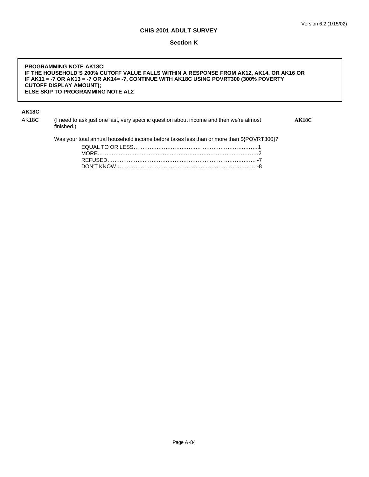#### **Section K**

#### **PROGRAMMING NOTE AK18C: IF THE HOUSEHOLD'S 200% CUTOFF VALUE FALLS WITHIN A RESPONSE FROM AK12, AK14, OR AK16 OR IF AK11 = -7 OR AK13 = -7 OR AK14= -7, CONTINUE WITH AK18C USING POVRT300 (300% POVERTY CUTOFF DISPLAY AMOUNT); ELSE SKIP TO PROGRAMMING NOTE AL2**

## **AK18C**

| AK18C | (I need to ask just one last, very specific question about income and then we're almost<br>finished.) | AK18C |
|-------|-------------------------------------------------------------------------------------------------------|-------|
|       | Was your total annual household income before taxes less than or more than \${POVRT300}?              |       |
|       |                                                                                                       |       |
|       |                                                                                                       |       |
|       |                                                                                                       |       |
|       |                                                                                                       |       |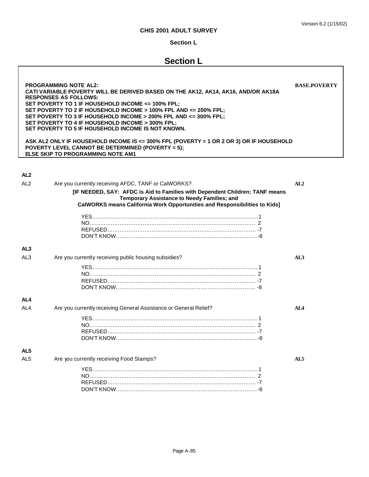## **Section L**

# **Section L**

| <b>PROGRAMMING NOTE AL2:</b><br><b>BASE.POVERTY</b><br>CATI VARIABLE POVERTY WILL BE DERIVED BASED ON THE AK12, AK14, AK16, AND/OR AK18A<br><b>RESPONSES AS FOLLOWS:</b><br>SET POVERTY TO 1 IF HOUSEHOLD INCOME <= 100% FPL;<br>SET POVERTY TO 2 IF HOUSEHOLD INCOME > 100% FPL AND <= 200% FPL;<br>SET POVERTY TO 3 IF HOUSEHOLD INCOME > 200% FPL AND <= 300% FPL;<br>SET POVERTY TO 4 IF HOUSEHOLD INCOME > 300% FPL;<br>SET POVERTY TO 5 IF HOUSEHOLD INCOME IS NOT KNOWN.<br>ASK AL2 ONLY IF HOUSEHOLD INCOME IS <= 300% FPL (POVERTY = 1 OR 2 OR 3) OR IF HOUSEHOLD<br>POVERTY LEVEL CANNOT BE DETERMINED (POVERTY = 5);<br><b>ELSE SKIP TO PROGRAMMING NOTE AM1</b> |                                                                                                                                                                                                           |                 |
|-----------------------------------------------------------------------------------------------------------------------------------------------------------------------------------------------------------------------------------------------------------------------------------------------------------------------------------------------------------------------------------------------------------------------------------------------------------------------------------------------------------------------------------------------------------------------------------------------------------------------------------------------------------------------------|-----------------------------------------------------------------------------------------------------------------------------------------------------------------------------------------------------------|-----------------|
|                                                                                                                                                                                                                                                                                                                                                                                                                                                                                                                                                                                                                                                                             |                                                                                                                                                                                                           |                 |
| AL <sub>2</sub>                                                                                                                                                                                                                                                                                                                                                                                                                                                                                                                                                                                                                                                             |                                                                                                                                                                                                           |                 |
| AL <sub>2</sub>                                                                                                                                                                                                                                                                                                                                                                                                                                                                                                                                                                                                                                                             | Are you currently receiving AFDC, TANF or CalWORKS?                                                                                                                                                       | AL2             |
|                                                                                                                                                                                                                                                                                                                                                                                                                                                                                                                                                                                                                                                                             | [IF NEEDED, SAY: AFDC is Aid to Families with Dependent Children; TANF means<br>Temporary Assistance to Needy Families; and<br>CalWORKS means California Work Opportunities and Responsibilities to Kids] |                 |
| AL <sub>3</sub>                                                                                                                                                                                                                                                                                                                                                                                                                                                                                                                                                                                                                                                             |                                                                                                                                                                                                           |                 |
| AL <sub>3</sub>                                                                                                                                                                                                                                                                                                                                                                                                                                                                                                                                                                                                                                                             | Are you currently receiving public housing subsidies?                                                                                                                                                     | AL3             |
| AL4                                                                                                                                                                                                                                                                                                                                                                                                                                                                                                                                                                                                                                                                         |                                                                                                                                                                                                           |                 |
| AL <sub>4</sub>                                                                                                                                                                                                                                                                                                                                                                                                                                                                                                                                                                                                                                                             | Are you currently receiving General Assistance or General Relief?                                                                                                                                         | AI <sub>A</sub> |
| AL <sub>5</sub>                                                                                                                                                                                                                                                                                                                                                                                                                                                                                                                                                                                                                                                             |                                                                                                                                                                                                           |                 |
| AL <sub>5</sub>                                                                                                                                                                                                                                                                                                                                                                                                                                                                                                                                                                                                                                                             | Are you currently receiving Food Stamps?                                                                                                                                                                  | AL5             |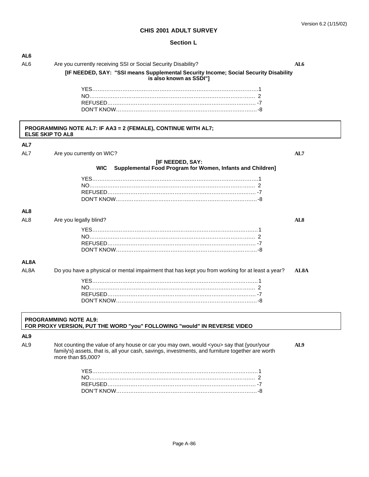#### Version 6.2 (1/15/02)

## **CHIS 2001 ADULT SURVEY**

### **Section L**

| AL6               |                                                                                                                        |                   |
|-------------------|------------------------------------------------------------------------------------------------------------------------|-------------------|
| AL <sub>6</sub>   | Are you currently receiving SSI or Social Security Disability?                                                         | AL6               |
|                   | [IF NEEDED, SAY: "SSI means Supplemental Security Income; Social Security Disability<br>is also known as SSDI"]        |                   |
|                   |                                                                                                                        |                   |
|                   |                                                                                                                        |                   |
|                   |                                                                                                                        |                   |
|                   |                                                                                                                        |                   |
|                   | PROGRAMMING NOTE AL7: IF AA3 = 2 (FEMALE), CONTINUE WITH AL7;<br><b>ELSE SKIP TO AL8</b>                               |                   |
| AL7               |                                                                                                                        |                   |
| AL7               | Are you currently on WIC?                                                                                              | AL7               |
|                   |                                                                                                                        |                   |
|                   | [IF NEEDED, SAY:<br><b>WIC</b><br>Supplemental Food Program for Women, Infants and Children]                           |                   |
|                   |                                                                                                                        |                   |
|                   |                                                                                                                        |                   |
|                   |                                                                                                                        |                   |
|                   |                                                                                                                        |                   |
| AL <sub>8</sub>   |                                                                                                                        |                   |
| AL <sub>8</sub>   | Are you legally blind?                                                                                                 | AL <sub>8</sub>   |
|                   |                                                                                                                        |                   |
|                   |                                                                                                                        |                   |
|                   |                                                                                                                        |                   |
|                   |                                                                                                                        |                   |
| AL <sub>8</sub> A |                                                                                                                        |                   |
| AL <sub>8</sub> A | Do you have a physical or mental impairment that has kept you from working for at least a year?                        | AL <sub>8</sub> A |
|                   |                                                                                                                        |                   |
|                   |                                                                                                                        |                   |
|                   |                                                                                                                        |                   |
|                   |                                                                                                                        |                   |
|                   | <b>PROGRAMMING NOTE AL9:</b><br>FOR PROXY VERSION, PUT THE WORD "you" FOLLOWING "would" IN REVERSE VIDEO               |                   |
| AL <sub>9</sub>   |                                                                                                                        |                   |
| AL <sub>9</sub>   | Not counting the value of any house or car you may own, would <you> say that {your/your</you>                          | AL9               |
|                   | family's} assets, that is, all your cash, savings, investments, and furniture together are worth<br>more than \$5,000? |                   |
|                   |                                                                                                                        |                   |
|                   |                                                                                                                        |                   |
|                   |                                                                                                                        |                   |
|                   |                                                                                                                        |                   |
|                   |                                                                                                                        |                   |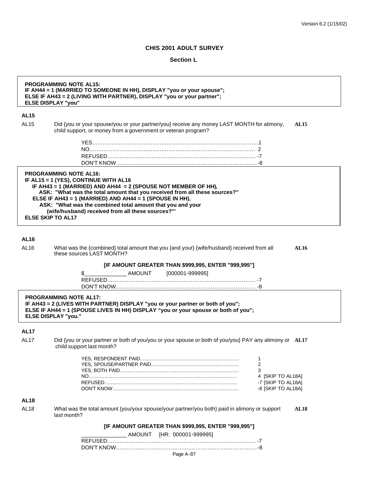## **Section L**

| <b>PROGRAMMING NOTE AL15:</b><br>IF AH44 = 1 (MARRIED TO SOMEONE IN HH), DISPLAY "you or your spouse";<br>ELSE IF AH43 = 2 (LIVING WITH PARTNER), DISPLAY "you or your partner";<br><b>ELSE DISPLAY "you"</b> |                                                                                                                                                                                                                                                                                                                                                                                                                                 |                        |
|---------------------------------------------------------------------------------------------------------------------------------------------------------------------------------------------------------------|---------------------------------------------------------------------------------------------------------------------------------------------------------------------------------------------------------------------------------------------------------------------------------------------------------------------------------------------------------------------------------------------------------------------------------|------------------------|
| <b>AL15</b>                                                                                                                                                                                                   |                                                                                                                                                                                                                                                                                                                                                                                                                                 |                        |
| <b>AL15</b>                                                                                                                                                                                                   | Did {you or your spouse/you or your partner/you} receive any money LAST MONTH for alimony,<br>child support, or money from a government or veteran program?                                                                                                                                                                                                                                                                     | <b>AL15</b>            |
|                                                                                                                                                                                                               |                                                                                                                                                                                                                                                                                                                                                                                                                                 |                        |
|                                                                                                                                                                                                               | <b>PROGRAMMING NOTE AL16:</b><br>IF AL15 = 1 (YES), CONTINUE WITH AL16<br>IF AH43 = 1 (MARRIED) AND AH44 = 2 (SPOUSE NOT MEMBER OF HH),<br>ASK: "What was the total amount that you received from all these sources?"<br>ELSE IF AH43 = 1 (MARRIED) AND AH44 = 1 (SPOUSE IN HH),<br>ASK: "What was the combined total amount that you and your<br>(wife/husband) received from all these sources?"'<br><b>ELSE SKIP TO AL17</b> |                        |
| <b>AL16</b>                                                                                                                                                                                                   |                                                                                                                                                                                                                                                                                                                                                                                                                                 |                        |
| AL16                                                                                                                                                                                                          | What was the {combined} total amount that you {and your} {wife/husband} received from all<br>these sources LAST MONTH?                                                                                                                                                                                                                                                                                                          | <b>AL16</b>            |
|                                                                                                                                                                                                               | [IF AMOUNT GREATER THAN \$999,995, ENTER "999,995"]                                                                                                                                                                                                                                                                                                                                                                             |                        |
|                                                                                                                                                                                                               | AMOUNT<br>[000001-999995]<br>\$                                                                                                                                                                                                                                                                                                                                                                                                 |                        |
|                                                                                                                                                                                                               |                                                                                                                                                                                                                                                                                                                                                                                                                                 |                        |
|                                                                                                                                                                                                               |                                                                                                                                                                                                                                                                                                                                                                                                                                 |                        |
|                                                                                                                                                                                                               | <b>PROGRAMMING NOTE AL17:</b><br>IF AH43 = 2 (LIVES WITH PARTNER) DISPLAY "you or your partner or both of you";<br>ELSE IF AH44 = 1 (SPOUSE LIVES IN HH) DISPLAY "you or your spouse or both of you";<br><b>ELSE DISPLAY "you."</b>                                                                                                                                                                                             |                        |
| <b>AL17</b>                                                                                                                                                                                                   |                                                                                                                                                                                                                                                                                                                                                                                                                                 |                        |
| <b>AL17</b>                                                                                                                                                                                                   | Did {you or your partner or both of you/you or your spouse or both of you/you} PAY any alimony or AL17<br>child support last month?                                                                                                                                                                                                                                                                                             |                        |
|                                                                                                                                                                                                               |                                                                                                                                                                                                                                                                                                                                                                                                                                 | 1                      |
|                                                                                                                                                                                                               |                                                                                                                                                                                                                                                                                                                                                                                                                                 | $\overline{2}$         |
|                                                                                                                                                                                                               |                                                                                                                                                                                                                                                                                                                                                                                                                                 | 3<br>4 [SKIP TO AL18A] |
|                                                                                                                                                                                                               |                                                                                                                                                                                                                                                                                                                                                                                                                                 | -7 [SKIP TO AL18A]     |
|                                                                                                                                                                                                               |                                                                                                                                                                                                                                                                                                                                                                                                                                 | -8 [SKIP TO AL18A]     |
| <b>AL18</b>                                                                                                                                                                                                   |                                                                                                                                                                                                                                                                                                                                                                                                                                 |                        |
| AL <sub>18</sub>                                                                                                                                                                                              | What was the total amount {you/your spouse/your partner/you both} paid in alimony or support<br>last month?                                                                                                                                                                                                                                                                                                                     | <b>AL18</b>            |
|                                                                                                                                                                                                               | [IF AMOUNT GREATER THAN \$999,995, ENTER "999,995"]                                                                                                                                                                                                                                                                                                                                                                             |                        |
|                                                                                                                                                                                                               | _AMOUNT [HR: 000001-999995]                                                                                                                                                                                                                                                                                                                                                                                                     |                        |
|                                                                                                                                                                                                               |                                                                                                                                                                                                                                                                                                                                                                                                                                 |                        |
|                                                                                                                                                                                                               |                                                                                                                                                                                                                                                                                                                                                                                                                                 |                        |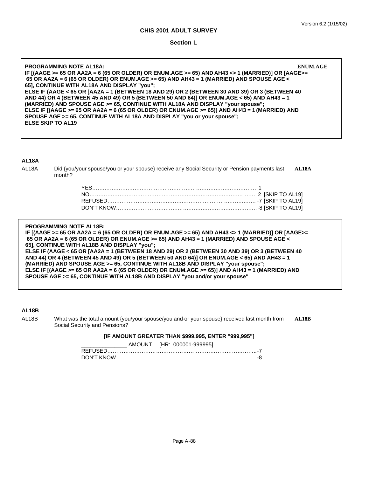**Section L**

**PROGRAMMING NOTE AL18A: ENUM.AGE IF [(AAGE >= 65 OR AA2A = 6 (65 OR OLDER) OR ENUM.AGE >= 65) AND AH43 <> 1 (MARRIED)] OR [AAGE>= 65 OR AA2A = 6 (65 OR OLDER) OR ENUM.AGE >= 65) AND AH43 = 1 (MARRIED) AND SPOUSE AGE < 65], CONTINUE WITH AL18A AND DISPLAY "you"; ELSE IF (AAGE < 65 OR [AA2A = 1 (BETWEEN 18 AND 29) OR 2 (BETWEEN 30 AND 39) OR 3 (BETWEEN 40 AND 44) OR 4 (BETWEEN 45 AND 49) OR 5 (BETWEEN 50 AND 64)] OR ENUM.AGE < 65) AND AH43 = 1 (MARRIED) AND SPOUSE AGE >= 65, CONTINUE WITH AL18A AND DISPLAY "your spouse"; ELSE IF [(AAGE >= 65 OR AA2A = 6 (65 OR OLDER) OR ENUM.AGE >= 65)] AND AH43 = 1 (MARRIED) AND SPOUSE AGE >= 65, CONTINUE WITH AL18A AND DISPLAY "you or your spouse"; ELSE SKIP TO AL19**

### **AL18A**

AL18A Did {you/your spouse/you or your spouse} receive any Social Security or Pension payments last **AL18A** month?

**PROGRAMMING NOTE AL18B: IF [(AAGE >= 65 OR AA2A = 6 (65 OR OLDER) OR ENUM.AGE >= 65) AND AH43 <> 1 (MARRIED)] OR [AAGE>= 65 OR AA2A = 6 (65 OR OLDER) OR ENUM.AGE >= 65) AND AH43 = 1 (MARRIED) AND SPOUSE AGE < 65], CONTINUE WITH AL18B AND DISPLAY "you"; ELSE IF (AAGE < 65 OR [AA2A = 1 (BETWEEN 18 AND 29) OR 2 (BETWEEN 30 AND 39) OR 3 (BETWEEN 40 AND 44) OR 4 (BETWEEN 45 AND 49) OR 5 (BETWEEN 50 AND 64)] OR ENUM.AGE < 65) AND AH43 = 1 (MARRIED) AND SPOUSE AGE >= 65, CONTINUE WITH AL18B AND DISPLAY "your spouse"; ELSE IF [(AAGE >= 65 OR AA2A = 6 (65 OR OLDER) OR ENUM.AGE >= 65)] AND AH43 = 1 (MARRIED) AND SPOUSE AGE >= 65, CONTINUE WITH AL18B AND DISPLAY "you and/or your spouse"**

#### **AL18B**

AL18B What was the total amount {you/your spouse/you and-or your spouse} received last month from **AL18B** Social Security and Pensions?

#### **[IF AMOUNT GREATER THAN \$999,995, ENTER "999,995"]**

| AMOUNT [HR: 000001-999995] |
|----------------------------|
|                            |
|                            |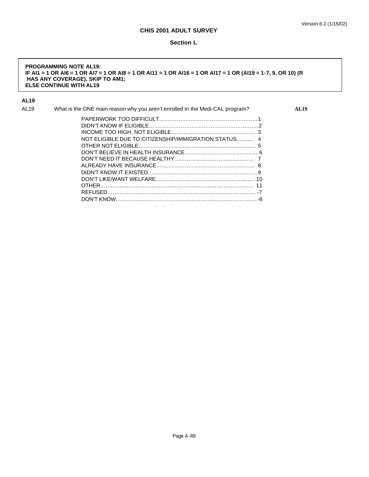#### **Section L**

#### **PROGRAMMING NOTE AL19: IF AI1 = 1 OR AI6 = 1 OR AI7 = 1 OR AI8 = 1 OR AI11 = 1 OR AI16 = 1 OR AI17 = 1 OR (AI19 = 1-7, 9, OR 10) (R HAS ANY COVERAGE), SKIP TO AM1; ELSE CONTINUE WITH AL19**

## **AL19**

| AL19 | What is the ONE main reason why you aren't enrolled in the Medi-CAL program? | <b>AL19</b> |
|------|------------------------------------------------------------------------------|-------------|
|      |                                                                              |             |
|      |                                                                              |             |
|      |                                                                              |             |
|      | NOT ELIGIBLE DUE TO CITIZENSHIP/IMMIGRATION STATUS 4                         |             |
|      |                                                                              |             |
|      |                                                                              |             |
|      |                                                                              |             |
|      |                                                                              |             |
|      |                                                                              |             |
|      |                                                                              |             |
|      |                                                                              |             |
|      |                                                                              |             |
|      |                                                                              |             |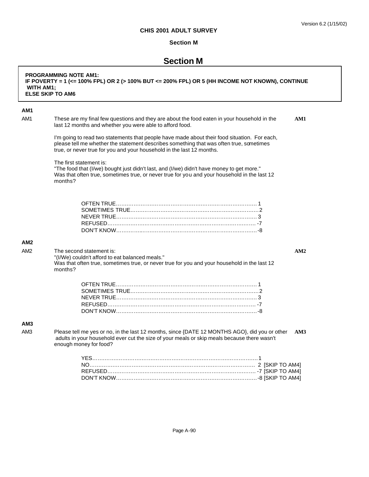## **Section M**

# **Section M**

| <b>WITH AM1;</b> | <b>PROGRAMMING NOTE AM1:</b><br>IF POVERTY = 1 (<= 100% FPL) OR 2 (> 100% BUT <= 200% FPL) OR 5 (HH INCOME NOT KNOWN), CONTINUE<br><b>ELSE SKIP TO AM6</b>                                                                                                       |
|------------------|------------------------------------------------------------------------------------------------------------------------------------------------------------------------------------------------------------------------------------------------------------------|
| AM <sub>1</sub>  |                                                                                                                                                                                                                                                                  |
| AM1              | These are my final few questions and they are about the food eaten in your household in the<br>AM1<br>last 12 months and whether you were able to afford food.                                                                                                   |
|                  | I'm going to read two statements that people have made about their food situation. For each,<br>please tell me whether the statement describes something that was often true, sometimes<br>true, or never true for you and your household in the last 12 months. |
|                  | The first statement is:<br>"The food that (I/we) bought just didn't last, and (I/we) didn't have money to get more."<br>Was that often true, sometimes true, or never true for you and your household in the last 12<br>months?                                  |
|                  |                                                                                                                                                                                                                                                                  |
| AM <sub>2</sub>  |                                                                                                                                                                                                                                                                  |
| AM <sub>2</sub>  | The second statement is:<br>AM2<br>"(I/We) couldn't afford to eat balanced meals."<br>Was that often true, sometimes true, or never true for you and your household in the last 12<br>months?                                                                    |
|                  |                                                                                                                                                                                                                                                                  |
| AM <sub>3</sub>  |                                                                                                                                                                                                                                                                  |
| AM3              | Please tell me yes or no, in the last 12 months, since {DATE 12 MONTHS AGO}, did you or other<br>AM3<br>adults in your household ever cut the size of your meals or skip meals because there wasn't<br>enough money for food?                                    |
|                  |                                                                                                                                                                                                                                                                  |

DON'T KNOW…….…….…….…….…….…….…….…….…….…….…….…-8 [SKIP TO AM4]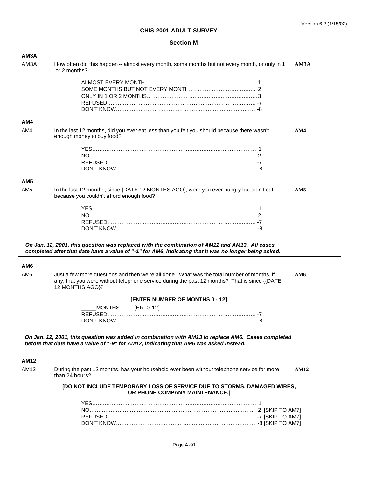#### **Section M**

| AM <sub>3</sub> A |                                                                                                                                                                                                                |                |
|-------------------|----------------------------------------------------------------------------------------------------------------------------------------------------------------------------------------------------------------|----------------|
| AM3A              | How often did this happen -- almost every month, some months but not every month, or only in 1<br>or 2 months?                                                                                                 | AM3A           |
|                   |                                                                                                                                                                                                                |                |
| AM4               |                                                                                                                                                                                                                |                |
| AM4               | In the last 12 months, did you ever eat less than you felt you should because there wasn't<br>enough money to buy food?                                                                                        | AM4            |
|                   |                                                                                                                                                                                                                |                |
| AM <sub>5</sub>   |                                                                                                                                                                                                                |                |
| AM <sub>5</sub>   | In the last 12 months, since {DATE 12 MONTHS AGO}, were you ever hungry but didn't eat<br>because you couldn't afford enough food?                                                                             | AM5            |
|                   |                                                                                                                                                                                                                |                |
|                   | On Jan. 12, 2001, this question was replaced with the combination of AM12 and AM13. All cases<br>completed after that date have a value of "-1" for AM6, indicating that it was no longer being asked.         |                |
| AM6               |                                                                                                                                                                                                                |                |
| AM <sub>6</sub>   | Just a few more questions and then we're all done. What was the total number of months, if<br>any, that you were without telephone service during the past 12 months? That is since {{DATE}<br>12 MONTHS AGO}? | AM6            |
|                   | [ENTER NUMBER OF MONTHS 0 - 12]                                                                                                                                                                                |                |
|                   | <b>MONTHS</b><br>[HR: 0-12]                                                                                                                                                                                    |                |
|                   | On Jan. 12, 2001, this question was added in combination with AM13 to replace AM6. Cases completed<br>before that date have a value of "-9" for AM12, indicating that AM6 was asked instead.                   |                |
| <b>AM12</b>       |                                                                                                                                                                                                                |                |
| AA42              | During the peat 10 menths, has veur household over heap without telephone comice for more                                                                                                                      | <b>A 3.519</b> |

AM12 During the past 12 months, has your household ever been without telephone service for more **AM12** than 24 hours?

#### **[DO NOT INCLUDE TEMPORARY LOSS OF SERVICE DUE TO STORMS, DAMAGED WIRES, OR PHONE COMPANY MAINTENANCE.]**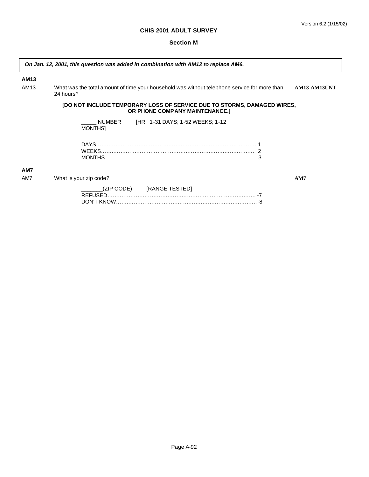$\mathbf{r}$ 

#### **Section M**

| AM13 |                                 |                                                                                                                 |              |
|------|---------------------------------|-----------------------------------------------------------------------------------------------------------------|--------------|
| AM13 | 24 hours?                       | What was the total amount of time your household was without telephone service for more than                    | AM13 AM13UNT |
|      |                                 | <b>[DO NOT INCLUDE TEMPORARY LOSS OF SERVICE DUE TO STORMS, DAMAGED WIRES,</b><br>OR PHONE COMPANY MAINTENANCE. |              |
|      | <b>NUMBER</b><br><b>MONTHSI</b> | [HR: 1-31 DAYS; 1-52 WEEKS; 1-12                                                                                |              |
|      |                                 |                                                                                                                 |              |
| AM7  |                                 |                                                                                                                 |              |
| AM7  | What is your zip code?          |                                                                                                                 | AM7          |

| (ZIP CODE) [RANGE TESTED] |
|---------------------------|
|                           |
|                           |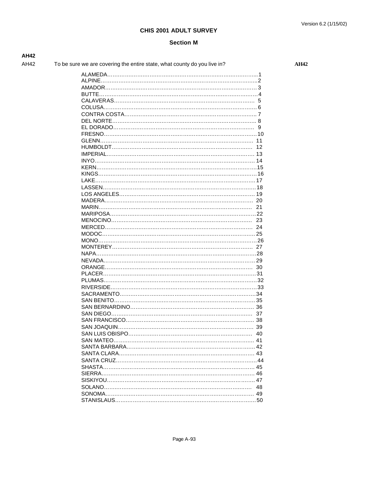#### **Section M**

| <b>AH42</b> |                                                                          |
|-------------|--------------------------------------------------------------------------|
| AH42        | To be sure we are covering the entire state, what county do you live in? |

**AH42** 

|                                         | 12 |
|-----------------------------------------|----|
|                                         |    |
|                                         |    |
|                                         |    |
|                                         |    |
|                                         |    |
|                                         |    |
|                                         |    |
|                                         |    |
|                                         |    |
|                                         |    |
|                                         |    |
|                                         |    |
|                                         |    |
|                                         |    |
|                                         |    |
|                                         |    |
|                                         |    |
|                                         |    |
|                                         |    |
|                                         |    |
|                                         |    |
|                                         |    |
|                                         |    |
|                                         |    |
|                                         |    |
|                                         |    |
|                                         |    |
|                                         |    |
|                                         | 40 |
| SAN MATEO……………………………………………………………………… 41 |    |
|                                         |    |
|                                         |    |
|                                         |    |
|                                         |    |
|                                         |    |
|                                         |    |
|                                         |    |
|                                         | 48 |
|                                         |    |